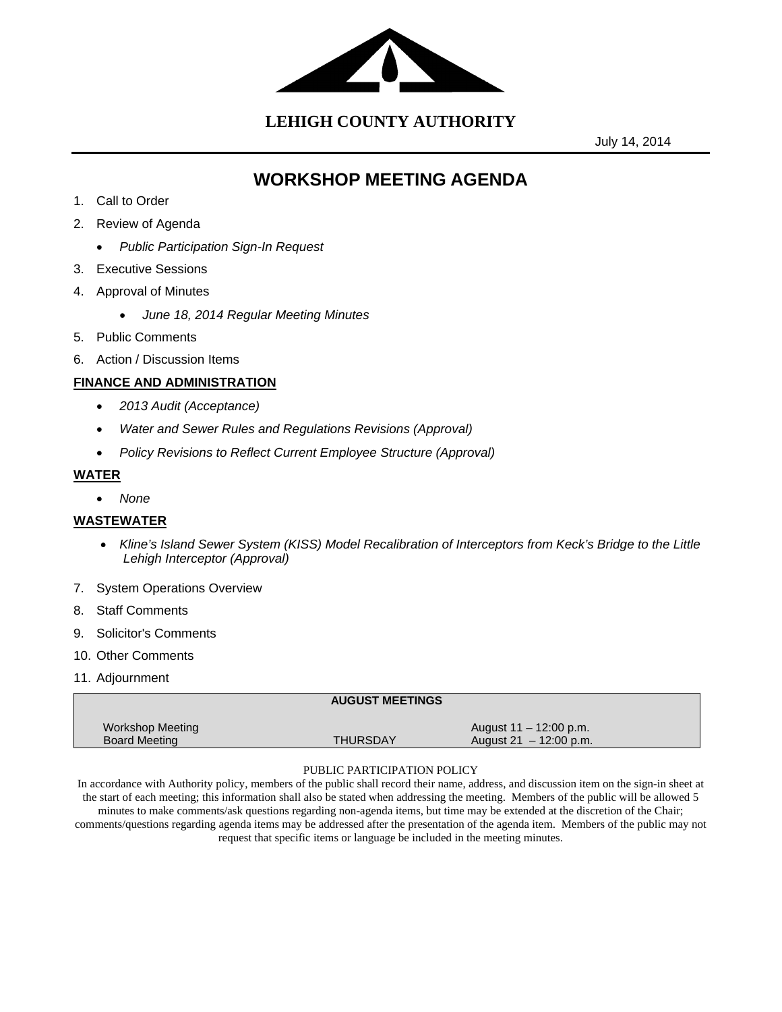

**LEHIGH COUNTY AUTHORITY**

July 14, 2014

# **WORKSHOP MEETING AGENDA**

- 1. Call to Order
- 2. Review of Agenda
	- *Public Participation Sign-In Request*
- 3. Executive Sessions
- 4. Approval of Minutes
	- *June 18, 2014 Regular Meeting Minutes*
- 5. Public Comments
- 6. Action / Discussion Items

## **FINANCE AND ADMINISTRATION**

- *2013 Audit (Acceptance)*
- *Water and Sewer Rules and Regulations Revisions (Approval)*
- *Policy Revisions to Reflect Current Employee Structure (Approval)*

## **WATER**

*None*

## **WASTEWATER**

- *Kline's Island Sewer System (KISS) Model Recalibration of Interceptors from Keck's Bridge to the Little Lehigh Interceptor (Approval)*
- 7. System Operations Overview
- 8. Staff Comments
- 9. Solicitor's Comments
- 10. Other Comments
- 11. Adjournment

|                                                 | <b>AUGUST MEETINGS</b> |                                                   |  |
|-------------------------------------------------|------------------------|---------------------------------------------------|--|
| <b>Workshop Meeting</b><br><b>Board Meeting</b> | <b>THURSDAY</b>        | August 11 – 12:00 p.m.<br>August 21 $-12:00$ p.m. |  |

#### PUBLIC PARTICIPATION POLICY

In accordance with Authority policy, members of the public shall record their name, address, and discussion item on the sign-in sheet at the start of each meeting; this information shall also be stated when addressing the meeting. Members of the public will be allowed 5 minutes to make comments/ask questions regarding non-agenda items, but time may be extended at the discretion of the Chair; comments/questions regarding agenda items may be addressed after the presentation of the agenda item. Members of the public may not request that specific items or language be included in the meeting minutes.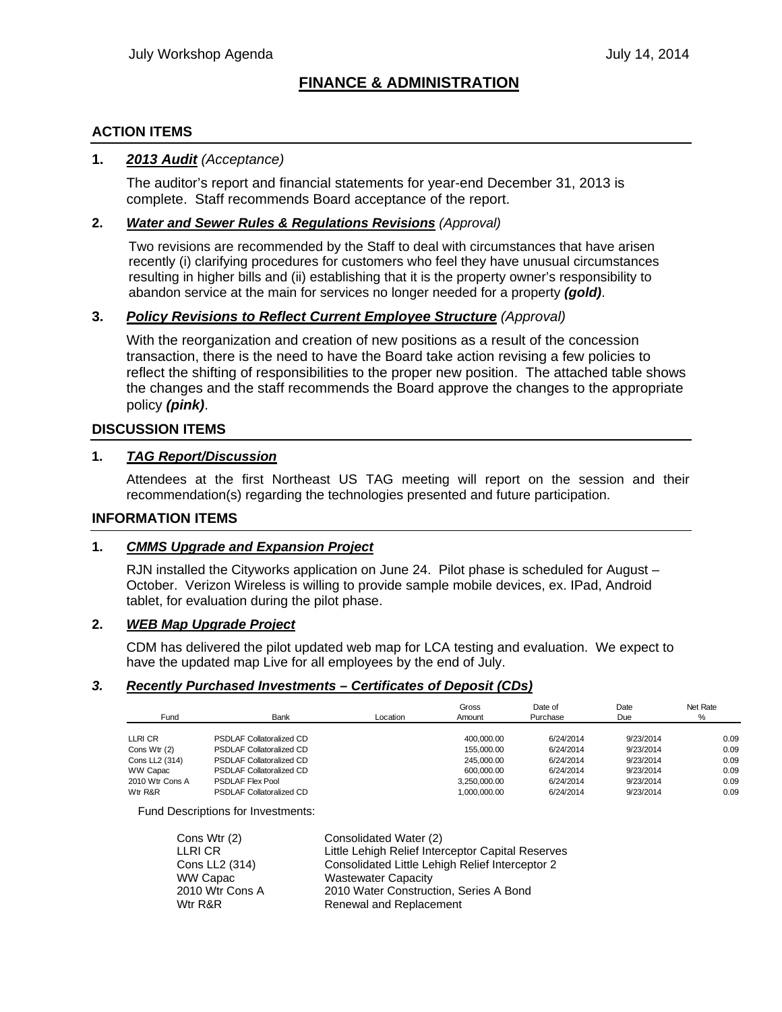## **FINANCE & ADMINISTRATION**

## **ACTION ITEMS**

### **1.** *2013 Audit (Acceptance)*

The auditor's report and financial statements for year-end December 31, 2013 is complete. Staff recommends Board acceptance of the report.

### **2.** *Water and Sewer Rules & Regulations Revisions (Approval)*

Two revisions are recommended by the Staff to deal with circumstances that have arisen recently (i) clarifying procedures for customers who feel they have unusual circumstances resulting in higher bills and (ii) establishing that it is the property owner's responsibility to abandon service at the main for services no longer needed for a property *(gold)*.

### **3.** *Policy Revisions to Reflect Current Employee Structure (Approval)*

With the reorganization and creation of new positions as a result of the concession transaction, there is the need to have the Board take action revising a few policies to reflect the shifting of responsibilities to the proper new position. The attached table shows the changes and the staff recommends the Board approve the changes to the appropriate policy *(pink)*.

### **DISCUSSION ITEMS**

#### **1.** *TAG Report/Discussion*

Attendees at the first Northeast US TAG meeting will report on the session and their recommendation(s) regarding the technologies presented and future participation.

#### **INFORMATION ITEMS**

#### **1.** *CMMS Upgrade and Expansion Project*

RJN installed the Cityworks application on June 24. Pilot phase is scheduled for August – October. Verizon Wireless is willing to provide sample mobile devices, ex. IPad, Android tablet, for evaluation during the pilot phase.

#### **2.** *WEB Map Upgrade Project*

CDM has delivered the pilot updated web map for LCA testing and evaluation. We expect to have the updated map Live for all employees by the end of July.

#### *3. Recently Purchased Investments – Certificates of Deposit (CDs)*

| Fund            | Bank                            | Location | Gross<br>Amount | Date of<br>Purchase | Date<br>Due | Net Rate<br>% |
|-----------------|---------------------------------|----------|-----------------|---------------------|-------------|---------------|
| LLRI CR         | <b>PSDLAF Collatoralized CD</b> |          | 400.000.00      | 6/24/2014           | 9/23/2014   | 0.09          |
| Cons Wtr (2)    | <b>PSDLAF Collatoralized CD</b> |          | 155,000.00      | 6/24/2014           | 9/23/2014   | 0.09          |
| Cons LL2 (314)  | <b>PSDLAF Collatoralized CD</b> |          | 245.000.00      | 6/24/2014           | 9/23/2014   | 0.09          |
| WW Capac        | <b>PSDLAF Collatoralized CD</b> |          | 600.000.00      | 6/24/2014           | 9/23/2014   | 0.09          |
| 2010 Wtr Cons A | <b>PSDLAF Flex Pool</b>         |          | 3.250.000.00    | 6/24/2014           | 9/23/2014   | 0.09          |
| Wtr R&R         | <b>PSDLAF Collatoralized CD</b> |          | 1.000.000.00    | 6/24/2014           | 9/23/2014   | 0.09          |

Fund Descriptions for Investments:

| Cons Wtr (2)    | Consolidated Water (2)                            |
|-----------------|---------------------------------------------------|
| LLRI CR         | Little Lehigh Relief Interceptor Capital Reserves |
| Cons LL2 (314)  | Consolidated Little Lehigh Relief Interceptor 2   |
| WW Capac        | <b>Wastewater Capacity</b>                        |
| 2010 Wtr Cons A | 2010 Water Construction, Series A Bond            |
| Wtr R&R         | Renewal and Replacement                           |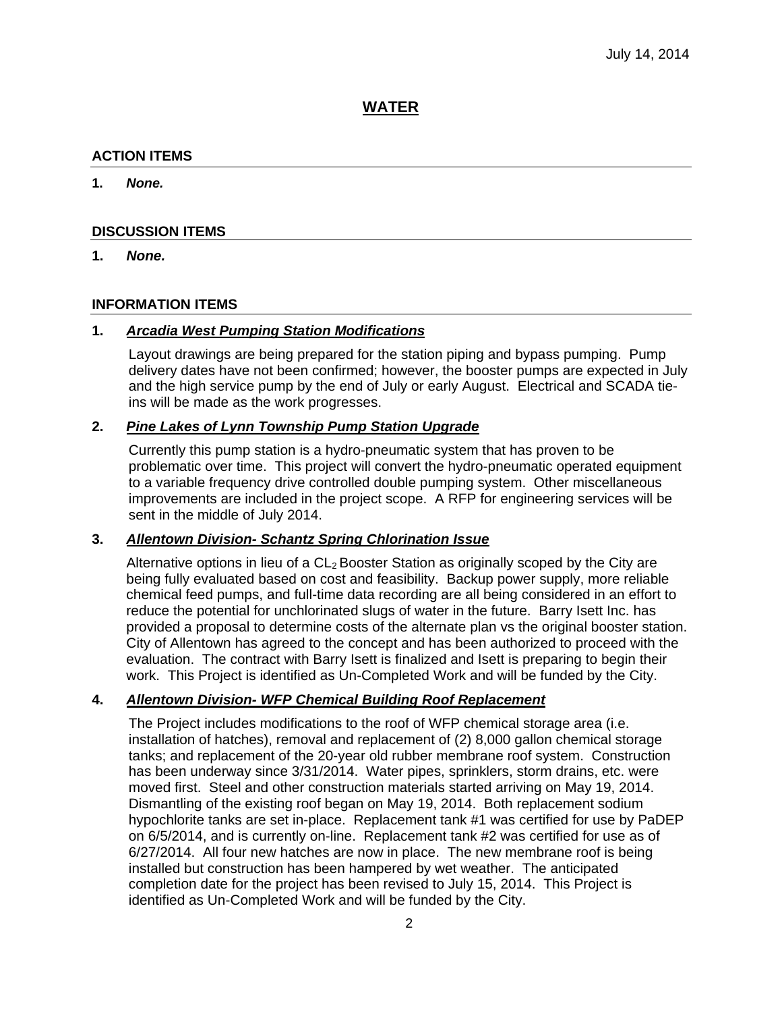## **WATER**

## **ACTION ITEMS**

**1.** *None.*

#### **DISCUSSION ITEMS**

#### **1.** *None.*

#### **INFORMATION ITEMS**

## **1.** *Arcadia West Pumping Station Modifications*

Layout drawings are being prepared for the station piping and bypass pumping. Pump delivery dates have not been confirmed; however, the booster pumps are expected in July and the high service pump by the end of July or early August. Electrical and SCADA tieins will be made as the work progresses.

### **2.** *Pine Lakes of Lynn Township Pump Station Upgrade*

Currently this pump station is a hydro-pneumatic system that has proven to be problematic over time. This project will convert the hydro-pneumatic operated equipment to a variable frequency drive controlled double pumping system. Other miscellaneous improvements are included in the project scope. A RFP for engineering services will be sent in the middle of July 2014.

### **3.** *Allentown Division- Schantz Spring Chlorination Issue*

Alternative options in lieu of a  $CL<sub>2</sub>$  Booster Station as originally scoped by the City are being fully evaluated based on cost and feasibility. Backup power supply, more reliable chemical feed pumps, and full-time data recording are all being considered in an effort to reduce the potential for unchlorinated slugs of water in the future. Barry Isett Inc. has provided a proposal to determine costs of the alternate plan vs the original booster station. City of Allentown has agreed to the concept and has been authorized to proceed with the evaluation. The contract with Barry Isett is finalized and Isett is preparing to begin their work. This Project is identified as Un-Completed Work and will be funded by the City.

### **4.** *Allentown Division- WFP Chemical Building Roof Replacement*

The Project includes modifications to the roof of WFP chemical storage area (i.e. installation of hatches), removal and replacement of (2) 8,000 gallon chemical storage tanks; and replacement of the 20-year old rubber membrane roof system. Construction has been underway since 3/31/2014. Water pipes, sprinklers, storm drains, etc. were moved first. Steel and other construction materials started arriving on May 19, 2014. Dismantling of the existing roof began on May 19, 2014. Both replacement sodium hypochlorite tanks are set in-place. Replacement tank #1 was certified for use by PaDEP on 6/5/2014, and is currently on-line. Replacement tank #2 was certified for use as of 6/27/2014. All four new hatches are now in place. The new membrane roof is being installed but construction has been hampered by wet weather. The anticipated completion date for the project has been revised to July 15, 2014. This Project is identified as Un-Completed Work and will be funded by the City.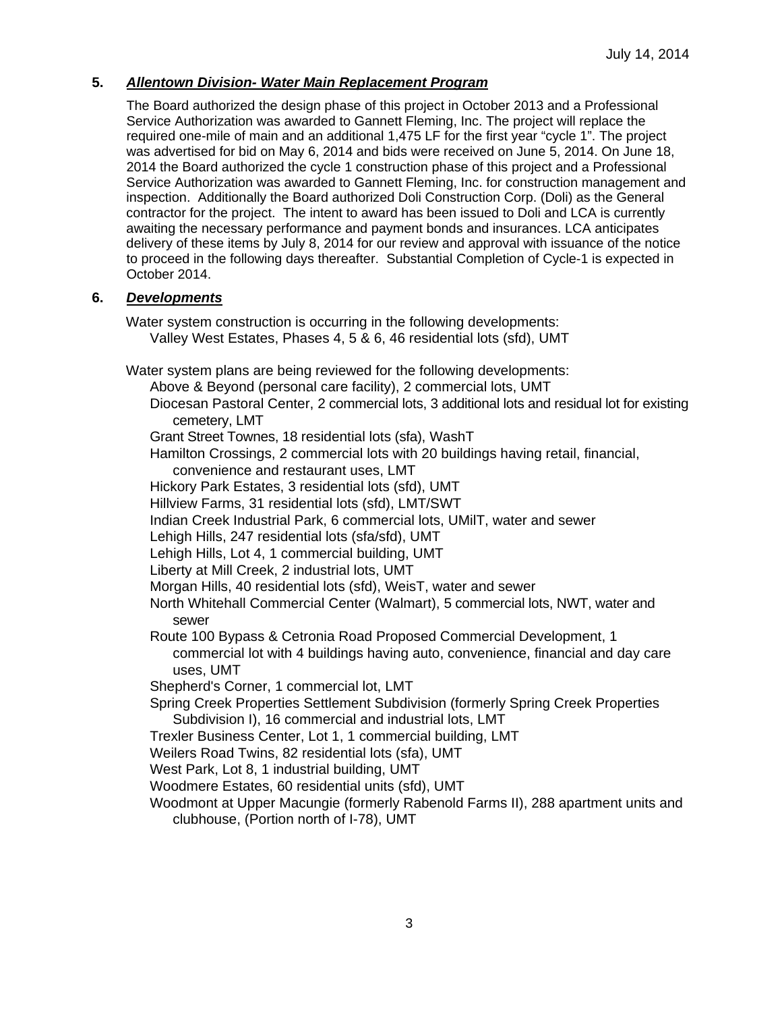## **5.** *Allentown Division- Water Main Replacement Program*

The Board authorized the design phase of this project in October 2013 and a Professional Service Authorization was awarded to Gannett Fleming, Inc. The project will replace the required one-mile of main and an additional 1,475 LF for the first year "cycle 1". The project was advertised for bid on May 6, 2014 and bids were received on June 5, 2014. On June 18, 2014 the Board authorized the cycle 1 construction phase of this project and a Professional Service Authorization was awarded to Gannett Fleming, Inc. for construction management and inspection. Additionally the Board authorized Doli Construction Corp. (Doli) as the General contractor for the project. The intent to award has been issued to Doli and LCA is currently awaiting the necessary performance and payment bonds and insurances. LCA anticipates delivery of these items by July 8, 2014 for our review and approval with issuance of the notice to proceed in the following days thereafter. Substantial Completion of Cycle-1 is expected in October 2014.

## **6.** *Developments*

Water system construction is occurring in the following developments: Valley West Estates, Phases 4, 5 & 6, 46 residential lots (sfd), UMT

Water system plans are being reviewed for the following developments:

Above & Beyond (personal care facility), 2 commercial lots, UMT

Diocesan Pastoral Center, 2 commercial lots, 3 additional lots and residual lot for existing cemetery, LMT

Grant Street Townes, 18 residential lots (sfa), WashT

Hamilton Crossings, 2 commercial lots with 20 buildings having retail, financial,

convenience and restaurant uses, LMT

Hickory Park Estates, 3 residential lots (sfd), UMT

Hillview Farms, 31 residential lots (sfd), LMT/SWT

Indian Creek Industrial Park, 6 commercial lots, UMilT, water and sewer

Lehigh Hills, 247 residential lots (sfa/sfd), UMT

Lehigh Hills, Lot 4, 1 commercial building, UMT

Liberty at Mill Creek, 2 industrial lots, UMT

Morgan Hills, 40 residential lots (sfd), WeisT, water and sewer

North Whitehall Commercial Center (Walmart), 5 commercial lots, NWT, water and sewer

Route 100 Bypass & Cetronia Road Proposed Commercial Development, 1

commercial lot with 4 buildings having auto, convenience, financial and day care uses, UMT

Shepherd's Corner, 1 commercial lot, LMT

Spring Creek Properties Settlement Subdivision (formerly Spring Creek Properties Subdivision I), 16 commercial and industrial lots, LMT

Trexler Business Center, Lot 1, 1 commercial building, LMT

Weilers Road Twins, 82 residential lots (sfa), UMT

West Park, Lot 8, 1 industrial building, UMT

Woodmere Estates, 60 residential units (sfd), UMT

Woodmont at Upper Macungie (formerly Rabenold Farms II), 288 apartment units and clubhouse, (Portion north of I-78), UMT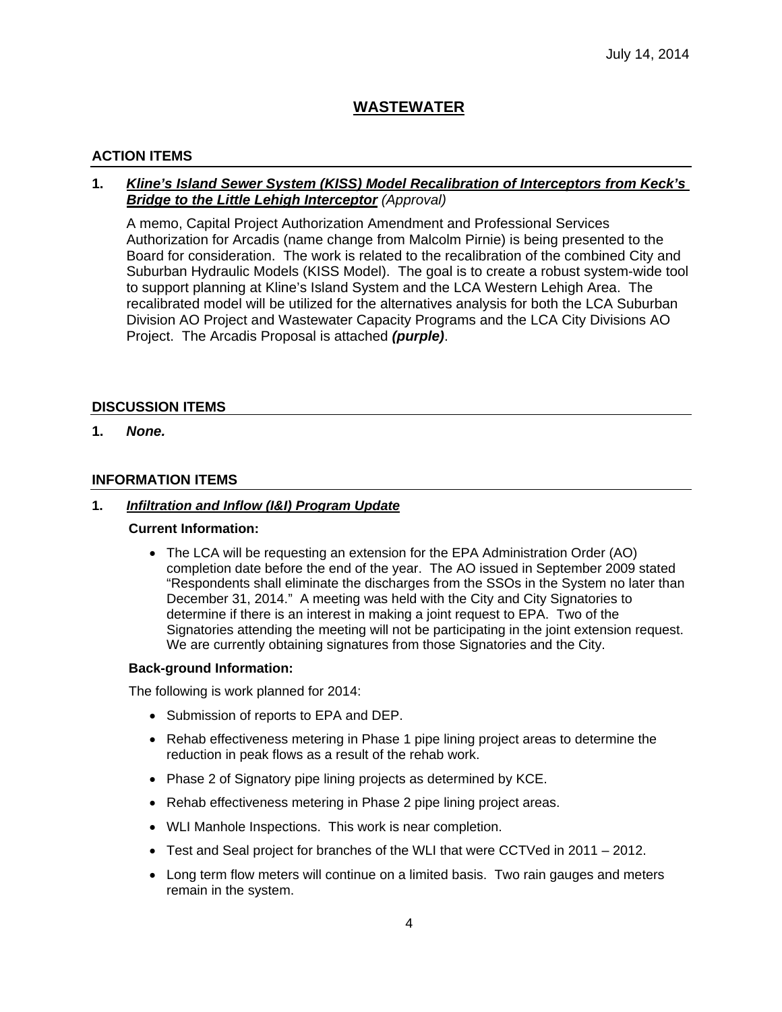## **WASTEWATER**

## **ACTION ITEMS**

## **1.** *Kline's Island Sewer System (KISS) Model Recalibration of Interceptors from Keck's Bridge to the Little Lehigh Interceptor (Approval)*

A memo, Capital Project Authorization Amendment and Professional Services Authorization for Arcadis (name change from Malcolm Pirnie) is being presented to the Board for consideration. The work is related to the recalibration of the combined City and Suburban Hydraulic Models (KISS Model). The goal is to create a robust system-wide tool to support planning at Kline's Island System and the LCA Western Lehigh Area. The recalibrated model will be utilized for the alternatives analysis for both the LCA Suburban Division AO Project and Wastewater Capacity Programs and the LCA City Divisions AO Project. The Arcadis Proposal is attached *(purple)*.

## **DISCUSSION ITEMS**

**1.** *None.*

## **INFORMATION ITEMS**

#### **1.** *Infiltration and Inflow (I&I) Program Update*

#### **Current Information:**

 The LCA will be requesting an extension for the EPA Administration Order (AO) completion date before the end of the year. The AO issued in September 2009 stated "Respondents shall eliminate the discharges from the SSOs in the System no later than December 31, 2014." A meeting was held with the City and City Signatories to determine if there is an interest in making a joint request to EPA. Two of the Signatories attending the meeting will not be participating in the joint extension request. We are currently obtaining signatures from those Signatories and the City.

### **Back-ground Information:**

The following is work planned for 2014:

- Submission of reports to EPA and DEP.
- Rehab effectiveness metering in Phase 1 pipe lining project areas to determine the reduction in peak flows as a result of the rehab work.
- Phase 2 of Signatory pipe lining projects as determined by KCE.
- Rehab effectiveness metering in Phase 2 pipe lining project areas.
- WLI Manhole Inspections. This work is near completion.
- Test and Seal project for branches of the WLI that were CCTVed in 2011 2012.
- Long term flow meters will continue on a limited basis. Two rain gauges and meters remain in the system.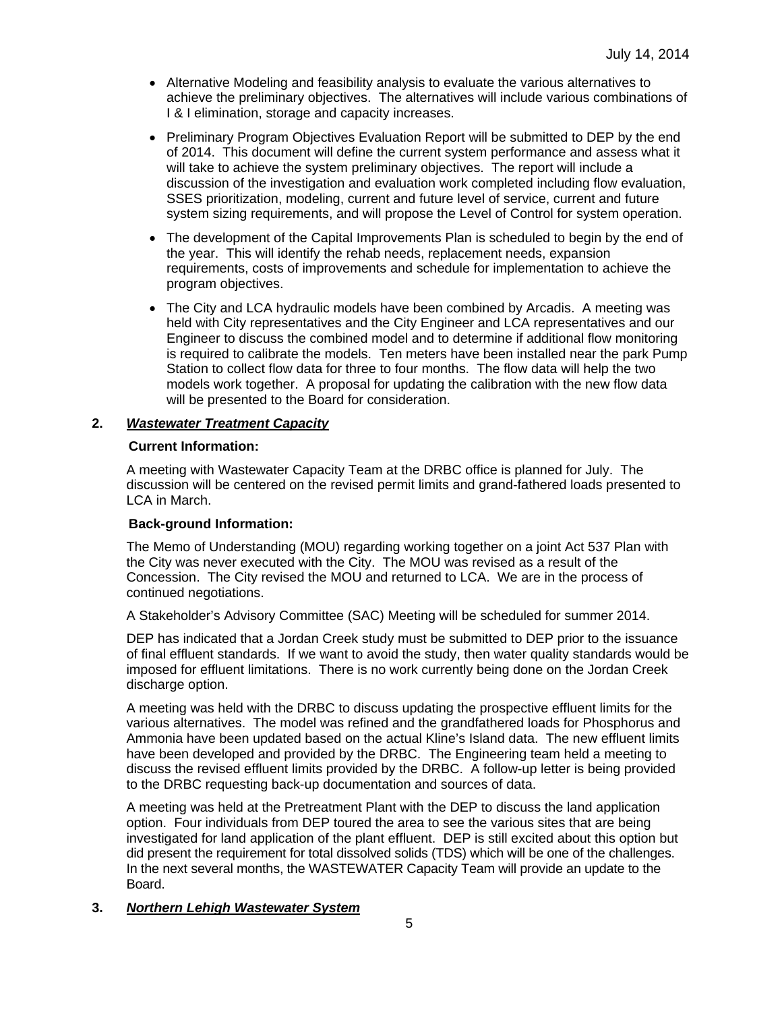- Alternative Modeling and feasibility analysis to evaluate the various alternatives to achieve the preliminary objectives. The alternatives will include various combinations of I & I elimination, storage and capacity increases.
- Preliminary Program Objectives Evaluation Report will be submitted to DEP by the end of 2014. This document will define the current system performance and assess what it will take to achieve the system preliminary objectives. The report will include a discussion of the investigation and evaluation work completed including flow evaluation, SSES prioritization, modeling, current and future level of service, current and future system sizing requirements, and will propose the Level of Control for system operation.
- The development of the Capital Improvements Plan is scheduled to begin by the end of the year. This will identify the rehab needs, replacement needs, expansion requirements, costs of improvements and schedule for implementation to achieve the program objectives.
- The City and LCA hydraulic models have been combined by Arcadis. A meeting was held with City representatives and the City Engineer and LCA representatives and our Engineer to discuss the combined model and to determine if additional flow monitoring is required to calibrate the models. Ten meters have been installed near the park Pump Station to collect flow data for three to four months. The flow data will help the two models work together. A proposal for updating the calibration with the new flow data will be presented to the Board for consideration.

#### **2.** *Wastewater Treatment Capacity*

#### **Current Information:**

A meeting with Wastewater Capacity Team at the DRBC office is planned for July. The discussion will be centered on the revised permit limits and grand-fathered loads presented to LCA in March.

### **Back-ground Information:**

The Memo of Understanding (MOU) regarding working together on a joint Act 537 Plan with the City was never executed with the City. The MOU was revised as a result of the Concession. The City revised the MOU and returned to LCA. We are in the process of continued negotiations.

A Stakeholder's Advisory Committee (SAC) Meeting will be scheduled for summer 2014.

DEP has indicated that a Jordan Creek study must be submitted to DEP prior to the issuance of final effluent standards. If we want to avoid the study, then water quality standards would be imposed for effluent limitations. There is no work currently being done on the Jordan Creek discharge option.

A meeting was held with the DRBC to discuss updating the prospective effluent limits for the various alternatives. The model was refined and the grandfathered loads for Phosphorus and Ammonia have been updated based on the actual Kline's Island data. The new effluent limits have been developed and provided by the DRBC. The Engineering team held a meeting to discuss the revised effluent limits provided by the DRBC. A follow-up letter is being provided to the DRBC requesting back-up documentation and sources of data.

A meeting was held at the Pretreatment Plant with the DEP to discuss the land application option. Four individuals from DEP toured the area to see the various sites that are being investigated for land application of the plant effluent. DEP is still excited about this option but did present the requirement for total dissolved solids (TDS) which will be one of the challenges. In the next several months, the WASTEWATER Capacity Team will provide an update to the Board.

#### **3.** *Northern Lehigh Wastewater System*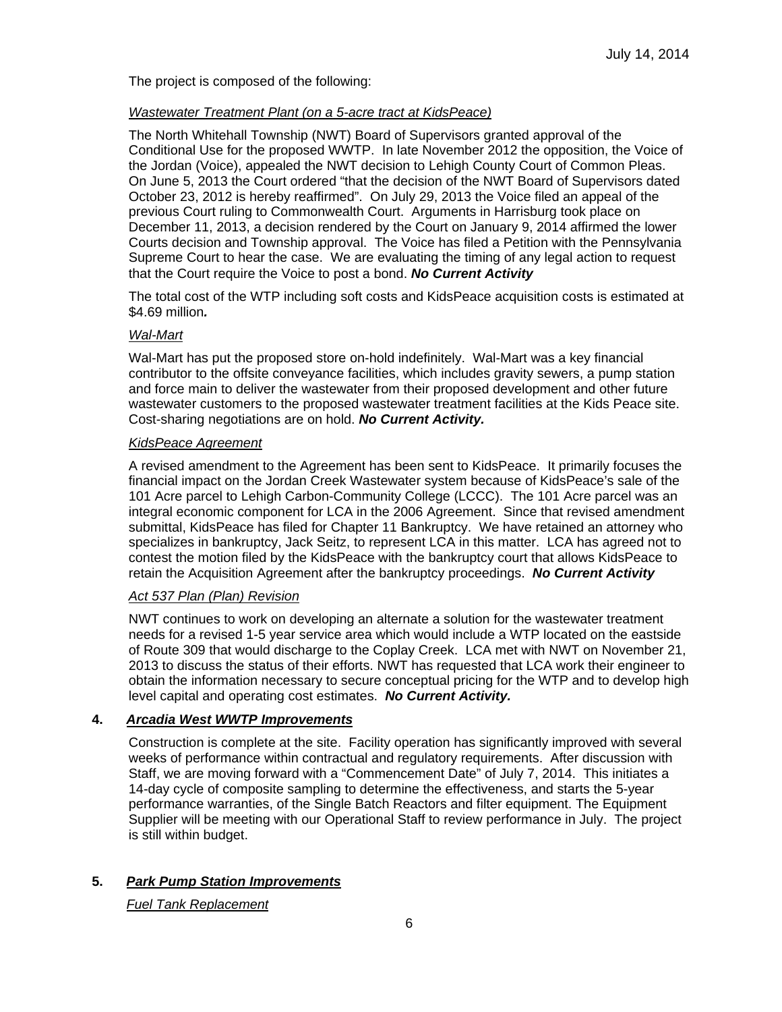The project is composed of the following:

## *Wastewater Treatment Plant (on a 5-acre tract at KidsPeace)*

The North Whitehall Township (NWT) Board of Supervisors granted approval of the Conditional Use for the proposed WWTP. In late November 2012 the opposition, the Voice of the Jordan (Voice), appealed the NWT decision to Lehigh County Court of Common Pleas. On June 5, 2013 the Court ordered "that the decision of the NWT Board of Supervisors dated October 23, 2012 is hereby reaffirmed". On July 29, 2013 the Voice filed an appeal of the previous Court ruling to Commonwealth Court. Arguments in Harrisburg took place on December 11, 2013, a decision rendered by the Court on January 9, 2014 affirmed the lower Courts decision and Township approval. The Voice has filed a Petition with the Pennsylvania Supreme Court to hear the case. We are evaluating the timing of any legal action to request that the Court require the Voice to post a bond. *No Current Activity*

The total cost of the WTP including soft costs and KidsPeace acquisition costs is estimated at \$4.69 million*.* 

#### *Wal-Mart*

Wal-Mart has put the proposed store on-hold indefinitely. Wal-Mart was a key financial contributor to the offsite conveyance facilities, which includes gravity sewers, a pump station and force main to deliver the wastewater from their proposed development and other future wastewater customers to the proposed wastewater treatment facilities at the Kids Peace site. Cost-sharing negotiations are on hold. *No Current Activity.*

### *KidsPeace Agreement*

A revised amendment to the Agreement has been sent to KidsPeace. It primarily focuses the financial impact on the Jordan Creek Wastewater system because of KidsPeace's sale of the 101 Acre parcel to Lehigh Carbon-Community College (LCCC). The 101 Acre parcel was an integral economic component for LCA in the 2006 Agreement. Since that revised amendment submittal, KidsPeace has filed for Chapter 11 Bankruptcy. We have retained an attorney who specializes in bankruptcy, Jack Seitz, to represent LCA in this matter. LCA has agreed not to contest the motion filed by the KidsPeace with the bankruptcy court that allows KidsPeace to retain the Acquisition Agreement after the bankruptcy proceedings. *No Current Activity*

### *Act 537 Plan (Plan) Revision*

NWT continues to work on developing an alternate a solution for the wastewater treatment needs for a revised 1-5 year service area which would include a WTP located on the eastside of Route 309 that would discharge to the Coplay Creek. LCA met with NWT on November 21, 2013 to discuss the status of their efforts. NWT has requested that LCA work their engineer to obtain the information necessary to secure conceptual pricing for the WTP and to develop high level capital and operating cost estimates. *No Current Activity.* 

### **4.** *Arcadia West WWTP Improvements*

Construction is complete at the site. Facility operation has significantly improved with several weeks of performance within contractual and regulatory requirements. After discussion with Staff, we are moving forward with a "Commencement Date" of July 7, 2014. This initiates a 14-day cycle of composite sampling to determine the effectiveness, and starts the 5-year performance warranties, of the Single Batch Reactors and filter equipment. The Equipment Supplier will be meeting with our Operational Staff to review performance in July. The project is still within budget.

### **5.** *Park Pump Station Improvements*

*Fuel Tank Replacement*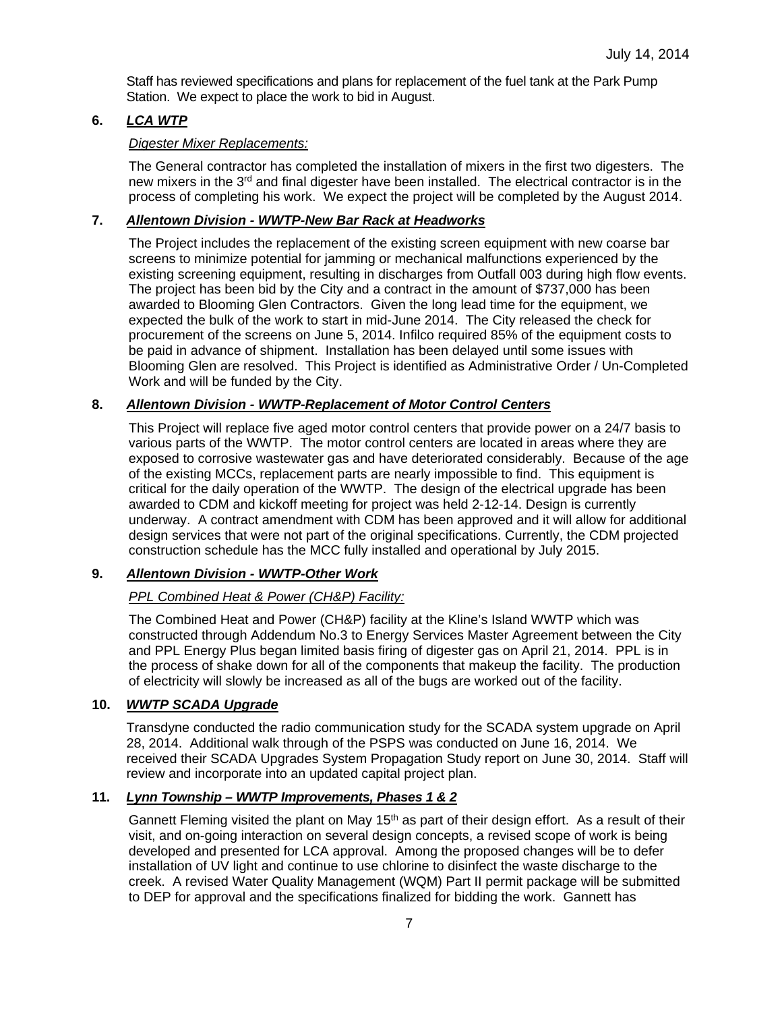Staff has reviewed specifications and plans for replacement of the fuel tank at the Park Pump Station. We expect to place the work to bid in August.

## **6.** *LCA WTP*

## *Digester Mixer Replacements:*

The General contractor has completed the installation of mixers in the first two digesters. The new mixers in the 3rd and final digester have been installed. The electrical contractor is in the process of completing his work. We expect the project will be completed by the August 2014.

## **7.** *Allentown Division - WWTP-New Bar Rack at Headworks*

The Project includes the replacement of the existing screen equipment with new coarse bar screens to minimize potential for jamming or mechanical malfunctions experienced by the existing screening equipment, resulting in discharges from Outfall 003 during high flow events. The project has been bid by the City and a contract in the amount of \$737,000 has been awarded to Blooming Glen Contractors. Given the long lead time for the equipment, we expected the bulk of the work to start in mid-June 2014. The City released the check for procurement of the screens on June 5, 2014. Infilco required 85% of the equipment costs to be paid in advance of shipment. Installation has been delayed until some issues with Blooming Glen are resolved. This Project is identified as Administrative Order / Un-Completed Work and will be funded by the City.

## **8.** *Allentown Division - WWTP-Replacement of Motor Control Centers*

This Project will replace five aged motor control centers that provide power on a 24/7 basis to various parts of the WWTP. The motor control centers are located in areas where they are exposed to corrosive wastewater gas and have deteriorated considerably. Because of the age of the existing MCCs, replacement parts are nearly impossible to find. This equipment is critical for the daily operation of the WWTP. The design of the electrical upgrade has been awarded to CDM and kickoff meeting for project was held 2-12-14. Design is currently underway. A contract amendment with CDM has been approved and it will allow for additional design services that were not part of the original specifications. Currently, the CDM projected construction schedule has the MCC fully installed and operational by July 2015.

### **9.** *Allentown Division - WWTP-Other Work*

## *PPL Combined Heat & Power (CH&P) Facility:*

The Combined Heat and Power (CH&P) facility at the Kline's Island WWTP which was constructed through Addendum No.3 to Energy Services Master Agreement between the City and PPL Energy Plus began limited basis firing of digester gas on April 21, 2014. PPL is in the process of shake down for all of the components that makeup the facility. The production of electricity will slowly be increased as all of the bugs are worked out of the facility.

### **10.** *WWTP SCADA Upgrade*

Transdyne conducted the radio communication study for the SCADA system upgrade on April 28, 2014. Additional walk through of the PSPS was conducted on June 16, 2014. We received their SCADA Upgrades System Propagation Study report on June 30, 2014. Staff will review and incorporate into an updated capital project plan.

## **11.** *Lynn Township – WWTP Improvements, Phases 1 & 2*

Gannett Fleming visited the plant on May  $15<sup>th</sup>$  as part of their design effort. As a result of their visit, and on-going interaction on several design concepts, a revised scope of work is being developed and presented for LCA approval. Among the proposed changes will be to defer installation of UV light and continue to use chlorine to disinfect the waste discharge to the creek. A revised Water Quality Management (WQM) Part II permit package will be submitted to DEP for approval and the specifications finalized for bidding the work. Gannett has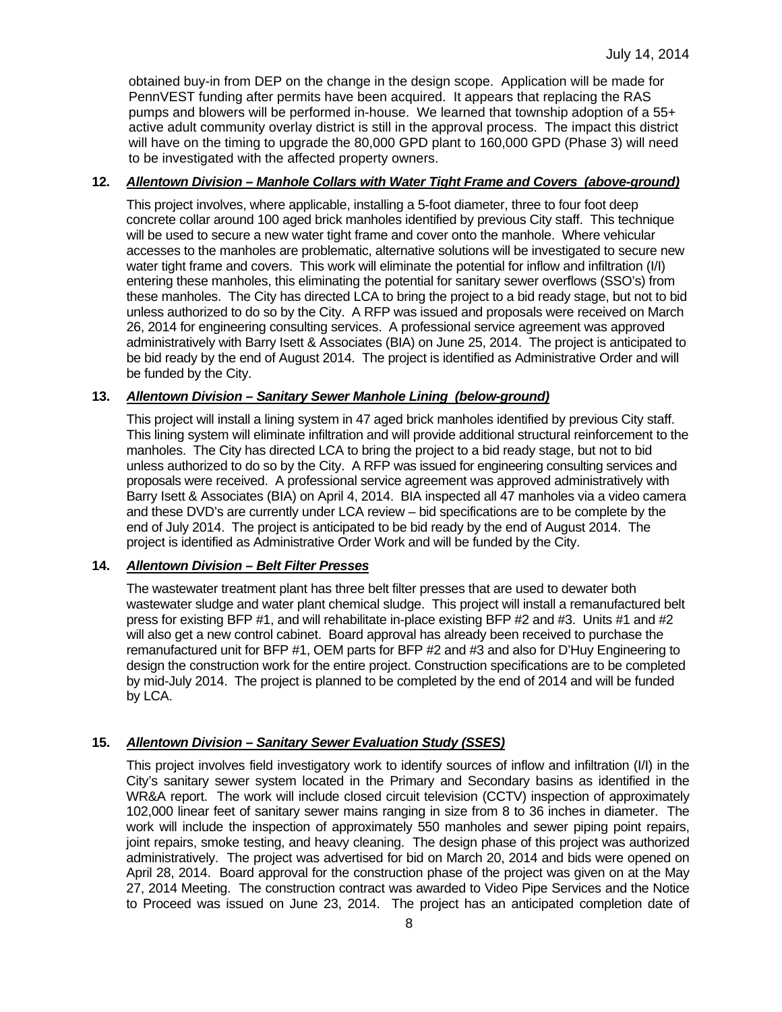obtained buy-in from DEP on the change in the design scope. Application will be made for PennVEST funding after permits have been acquired. It appears that replacing the RAS pumps and blowers will be performed in-house. We learned that township adoption of a 55+ active adult community overlay district is still in the approval process. The impact this district will have on the timing to upgrade the 80,000 GPD plant to 160,000 GPD (Phase 3) will need to be investigated with the affected property owners.

### **12.** *Allentown Division – Manhole Collars with Water Tight Frame and Covers (above-ground)*

This project involves, where applicable, installing a 5-foot diameter, three to four foot deep concrete collar around 100 aged brick manholes identified by previous City staff. This technique will be used to secure a new water tight frame and cover onto the manhole. Where vehicular accesses to the manholes are problematic, alternative solutions will be investigated to secure new water tight frame and covers. This work will eliminate the potential for inflow and infiltration (I/I) entering these manholes, this eliminating the potential for sanitary sewer overflows (SSO's) from these manholes. The City has directed LCA to bring the project to a bid ready stage, but not to bid unless authorized to do so by the City. A RFP was issued and proposals were received on March 26, 2014 for engineering consulting services. A professional service agreement was approved administratively with Barry Isett & Associates (BIA) on June 25, 2014. The project is anticipated to be bid ready by the end of August 2014. The project is identified as Administrative Order and will be funded by the City.

#### **13.** *Allentown Division – Sanitary Sewer Manhole Lining (below-ground)*

This project will install a lining system in 47 aged brick manholes identified by previous City staff. This lining system will eliminate infiltration and will provide additional structural reinforcement to the manholes. The City has directed LCA to bring the project to a bid ready stage, but not to bid unless authorized to do so by the City. A RFP was issued for engineering consulting services and proposals were received. A professional service agreement was approved administratively with Barry Isett & Associates (BIA) on April 4, 2014. BIA inspected all 47 manholes via a video camera and these DVD's are currently under LCA review – bid specifications are to be complete by the end of July 2014. The project is anticipated to be bid ready by the end of August 2014. The project is identified as Administrative Order Work and will be funded by the City.

### **14.** *Allentown Division – Belt Filter Presses*

The wastewater treatment plant has three belt filter presses that are used to dewater both wastewater sludge and water plant chemical sludge. This project will install a remanufactured belt press for existing BFP #1, and will rehabilitate in-place existing BFP #2 and #3. Units #1 and #2 will also get a new control cabinet. Board approval has already been received to purchase the remanufactured unit for BFP #1, OEM parts for BFP #2 and #3 and also for D'Huy Engineering to design the construction work for the entire project. Construction specifications are to be completed by mid-July 2014. The project is planned to be completed by the end of 2014 and will be funded by LCA.

### **15.** *Allentown Division – Sanitary Sewer Evaluation Study (SSES)*

This project involves field investigatory work to identify sources of inflow and infiltration (I/I) in the City's sanitary sewer system located in the Primary and Secondary basins as identified in the WR&A report. The work will include closed circuit television (CCTV) inspection of approximately 102,000 linear feet of sanitary sewer mains ranging in size from 8 to 36 inches in diameter. The work will include the inspection of approximately 550 manholes and sewer piping point repairs, joint repairs, smoke testing, and heavy cleaning. The design phase of this project was authorized administratively. The project was advertised for bid on March 20, 2014 and bids were opened on April 28, 2014. Board approval for the construction phase of the project was given on at the May 27, 2014 Meeting. The construction contract was awarded to Video Pipe Services and the Notice to Proceed was issued on June 23, 2014. The project has an anticipated completion date of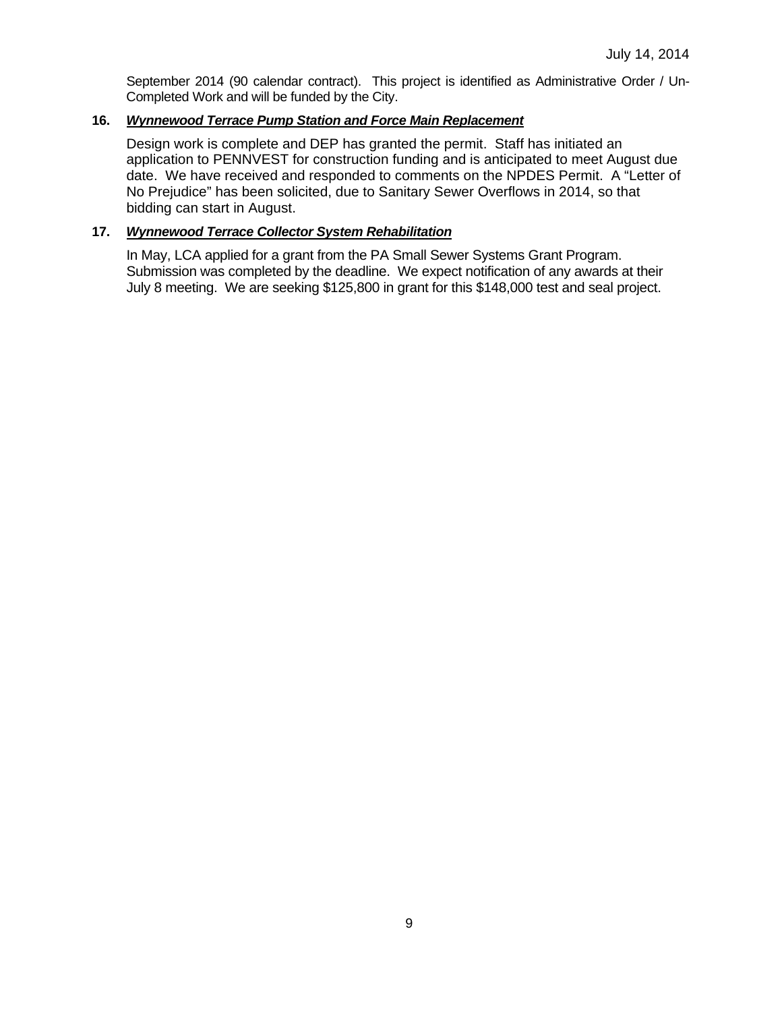September 2014 (90 calendar contract). This project is identified as Administrative Order / Un-Completed Work and will be funded by the City.

## **16.** *Wynnewood Terrace Pump Station and Force Main Replacement*

Design work is complete and DEP has granted the permit. Staff has initiated an application to PENNVEST for construction funding and is anticipated to meet August due date. We have received and responded to comments on the NPDES Permit. A "Letter of No Prejudice" has been solicited, due to Sanitary Sewer Overflows in 2014, so that bidding can start in August.

## **17.** *Wynnewood Terrace Collector System Rehabilitation*

In May, LCA applied for a grant from the PA Small Sewer Systems Grant Program. Submission was completed by the deadline. We expect notification of any awards at their July 8 meeting. We are seeking \$125,800 in grant for this \$148,000 test and seal project.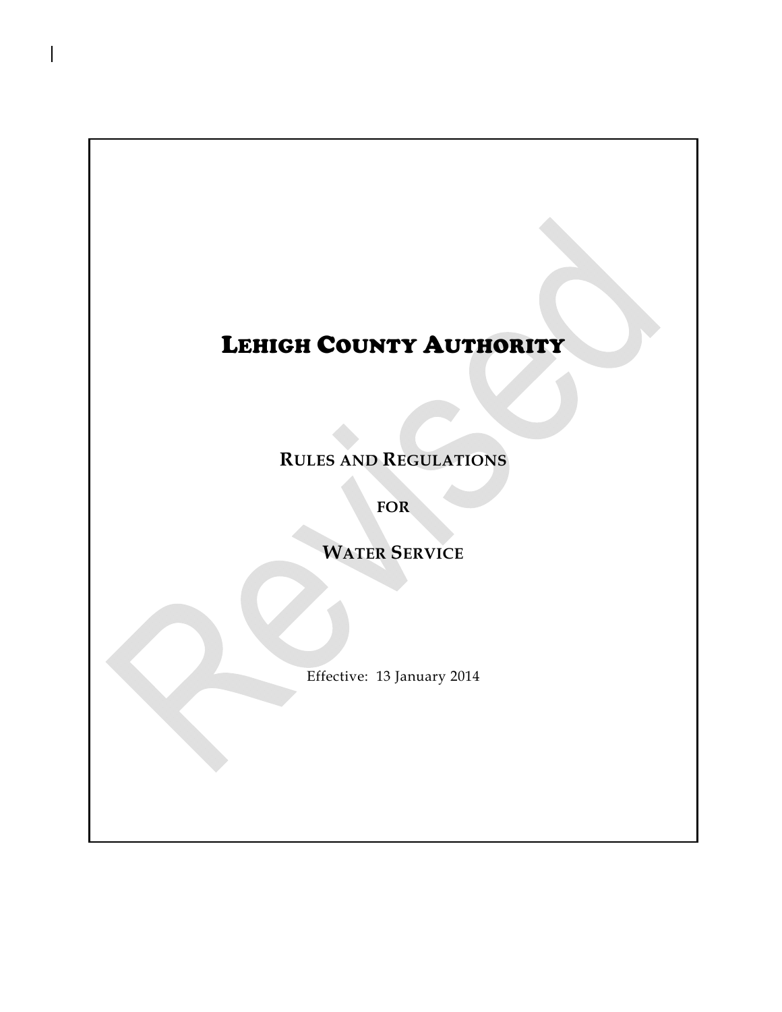# LEHIGH COUNTY AUTHORITY

**RULES AND REGULATIONS**

**FOR**

**WATER SERVICE**

Effective: 13 January 2014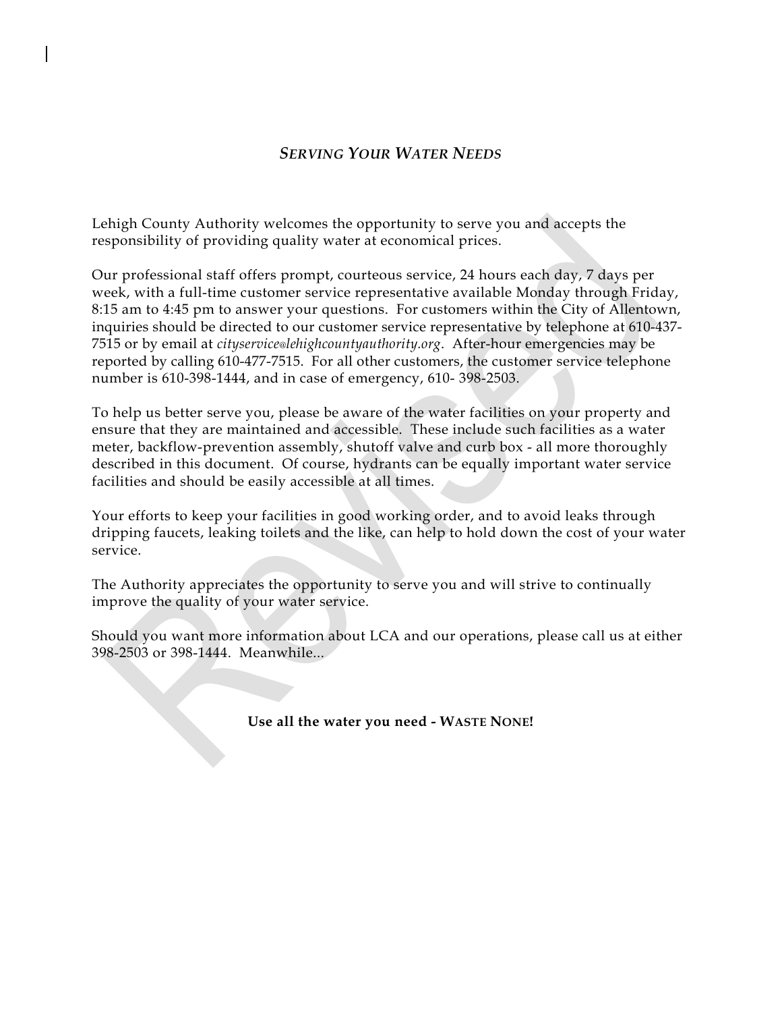## *SERVING YOUR WATER NEEDS*

Lehigh County Authority welcomes the opportunity to serve you and accepts the responsibility of providing quality water at economical prices.

Our professional staff offers prompt, courteous service, 24 hours each day, 7 days per week, with a full-time customer service representative available Monday through Friday, 8:15 am to 4:45 pm to answer your questions. For customers within the City of Allentown, inquiries should be directed to our customer service representative by telephone at 610-437- 7515 or by email at *cityservice@lehighcountyauthority.org*. After-hour emergencies may be reported by calling 610-477-7515. For all other customers, the customer service telephone number is 610-398-1444, and in case of emergency, 610- 398-2503.

To help us better serve you, please be aware of the water facilities on your property and ensure that they are maintained and accessible. These include such facilities as a water meter, backflow-prevention assembly, shutoff valve and curb box - all more thoroughly described in this document. Of course, hydrants can be equally important water service facilities and should be easily accessible at all times.

Your efforts to keep your facilities in good working order, and to avoid leaks through dripping faucets, leaking toilets and the like, can help to hold down the cost of your water service.

The Authority appreciates the opportunity to serve you and will strive to continually improve the quality of your water service.

Should you want more information about LCA and our operations, please call us at either 398-2503 or 398-1444. Meanwhile...

**Use all the water you need - WASTE NONE!**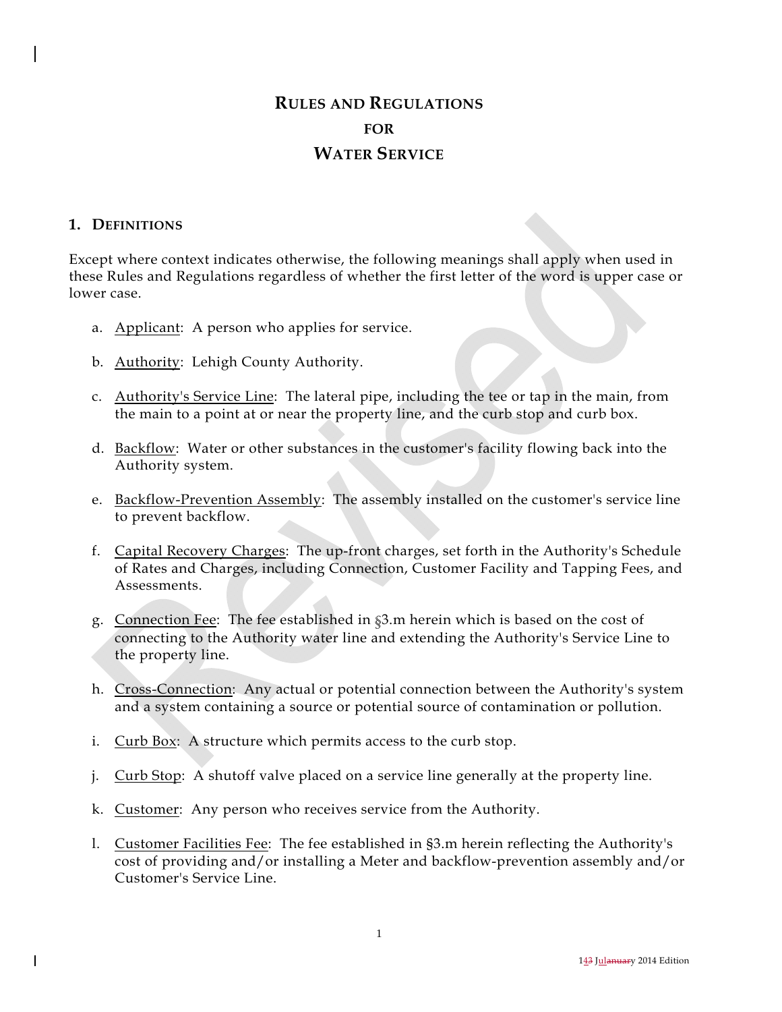# **RULES AND REGULATIONS FOR WATER SERVICE**

### **1. DEFINITIONS**

Except where context indicates otherwise, the following meanings shall apply when used in these Rules and Regulations regardless of whether the first letter of the word is upper case or lower case.

- a. Applicant: A person who applies for service.
- b. Authority: Lehigh County Authority.
- c. Authority's Service Line: The lateral pipe, including the tee or tap in the main, from the main to a point at or near the property line, and the curb stop and curb box.
- d. Backflow: Water or other substances in the customer's facility flowing back into the Authority system.
- e. Backflow-Prevention Assembly: The assembly installed on the customer's service line to prevent backflow.
- f. Capital Recovery Charges: The up-front charges, set forth in the Authority's Schedule of Rates and Charges, including Connection, Customer Facility and Tapping Fees, and Assessments.
- g. Connection Fee: The fee established in §3.m herein which is based on the cost of connecting to the Authority water line and extending the Authority's Service Line to the property line.
- h. Cross-Connection: Any actual or potential connection between the Authority's system and a system containing a source or potential source of contamination or pollution.
- i. Curb Box: A structure which permits access to the curb stop.
- j. Curb Stop: A shutoff valve placed on a service line generally at the property line.
- k. Customer: Any person who receives service from the Authority.
- l. Customer Facilities Fee: The fee established in §3.m herein reflecting the Authority's cost of providing and/or installing a Meter and backflow-prevention assembly and/or Customer's Service Line.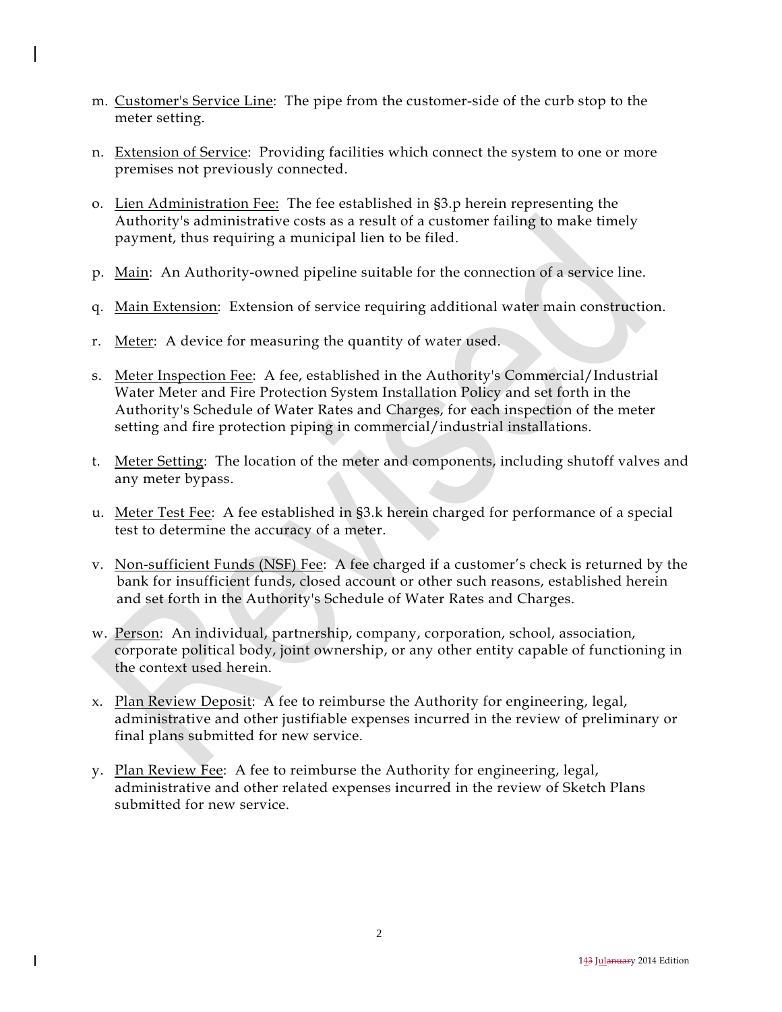- m. Customer's Service Line: The pipe from the customer-side of the curb stop to the meter setting.
- n. Extension of Service: Providing facilities which connect the system to one or more premises not previously connected.
- o. Lien Administration Fee: The fee established in §3.p herein representing the Authority's administrative costs as a result of a customer failing to make timely payment, thus requiring a municipal lien to be filed.
- p. Main: An Authority-owned pipeline suitable for the connection of a service line.
- q. Main Extension: Extension of service requiring additional water main construction.
- r. Meter: A device for measuring the quantity of water used.
- s. Meter Inspection Fee: A fee, established in the Authority's Commercial/Industrial Water Meter and Fire Protection System Installation Policy and set forth in the Authority's Schedule of Water Rates and Charges, for each inspection of the meter setting and fire protection piping in commercial/industrial installations.
- t. Meter Setting: The location of the meter and components, including shutoff valves and any meter bypass.
- u. Meter Test Fee: A fee established in §3.k herein charged for performance of a special test to determine the accuracy of a meter.
- v. Non-sufficient Funds (NSF) Fee: A fee charged if a customer's check is returned by the bank for insufficient funds, closed account or other such reasons, established herein and set forth in the Authority's Schedule of Water Rates and Charges.
- w. Person: An individual, partnership, company, corporation, school, association, corporate political body, joint ownership, or any other entity capable of functioning in the context used herein.
- x. Plan Review Deposit: A fee to reimburse the Authority for engineering, legal, administrative and other justifiable expenses incurred in the review of preliminary or final plans submitted for new service.
- y. Plan Review Fee: A fee to reimburse the Authority for engineering, legal, administrative and other related expenses incurred in the review of Sketch Plans submitted for new service.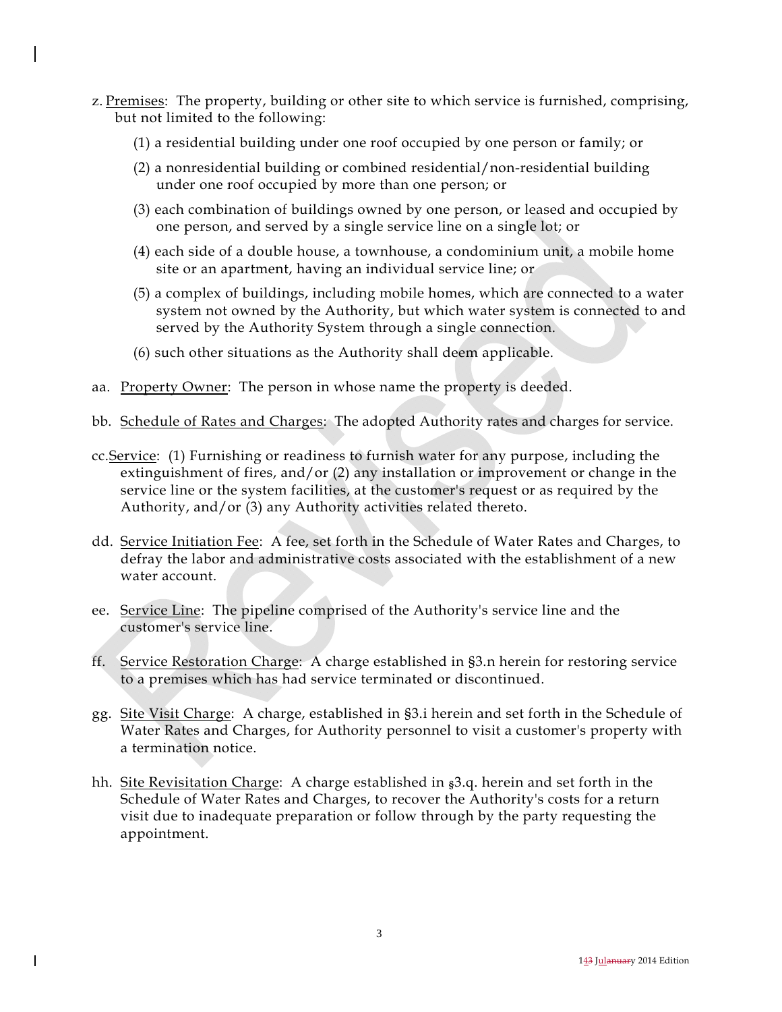- z. Premises: The property, building or other site to which service is furnished, comprising, but not limited to the following:
	- (1) a residential building under one roof occupied by one person or family; or
	- (2) a nonresidential building or combined residential/non-residential building under one roof occupied by more than one person; or
	- (3) each combination of buildings owned by one person, or leased and occupied by one person, and served by a single service line on a single lot; or
	- (4) each side of a double house, a townhouse, a condominium unit, a mobile home site or an apartment, having an individual service line; or
	- (5) a complex of buildings, including mobile homes, which are connected to a water system not owned by the Authority, but which water system is connected to and served by the Authority System through a single connection.
	- (6) such other situations as the Authority shall deem applicable.
- aa. Property Owner: The person in whose name the property is deeded.
- bb. Schedule of Rates and Charges: The adopted Authority rates and charges for service.
- cc. Service: (1) Furnishing or readiness to furnish water for any purpose, including the extinguishment of fires, and/or (2) any installation or improvement or change in the service line or the system facilities, at the customer's request or as required by the Authority, and/or (3) any Authority activities related thereto.
- dd. Service Initiation Fee: A fee, set forth in the Schedule of Water Rates and Charges, to defray the labor and administrative costs associated with the establishment of a new water account.
- ee. Service Line: The pipeline comprised of the Authority's service line and the customer's service line.
- ff. Service Restoration Charge: A charge established in §3.n herein for restoring service to a premises which has had service terminated or discontinued.
- gg. Site Visit Charge: A charge, established in §3.i herein and set forth in the Schedule of Water Rates and Charges, for Authority personnel to visit a customer's property with a termination notice.
- hh. Site Revisitation Charge: A charge established in  $\frac{1}{5}$ , herein and set forth in the Schedule of Water Rates and Charges, to recover the Authority's costs for a return visit due to inadequate preparation or follow through by the party requesting the appointment.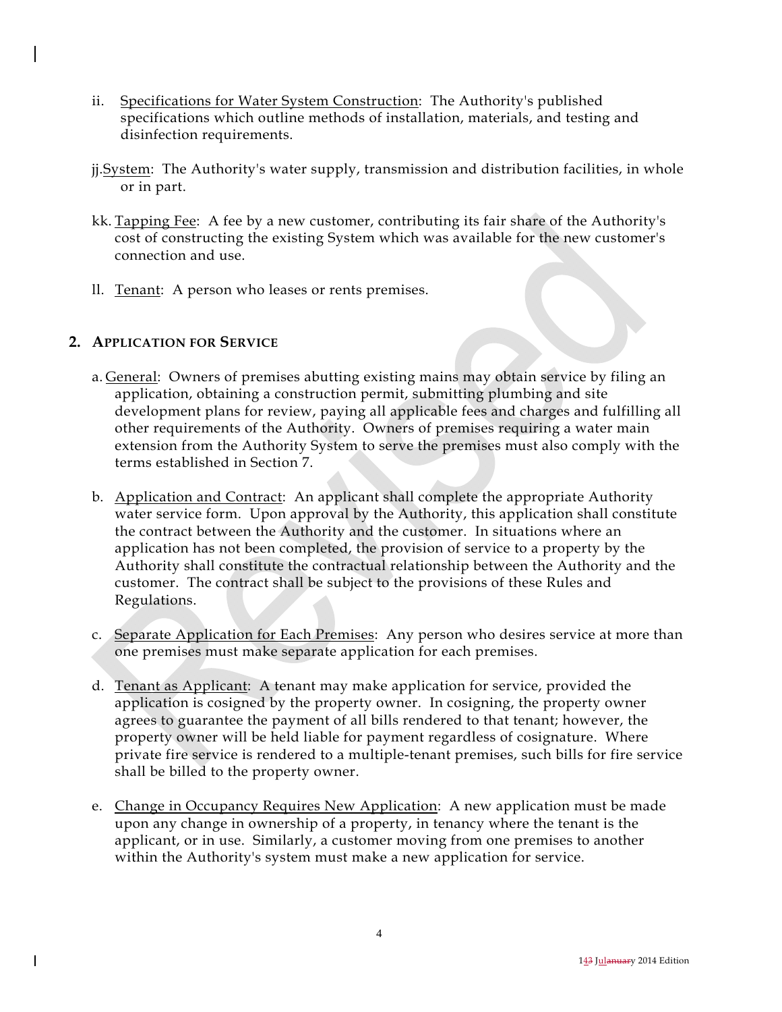- ii. Specifications for Water System Construction: The Authority's published specifications which outline methods of installation, materials, and testing and disinfection requirements.
- jj. System: The Authority's water supply, transmission and distribution facilities, in whole or in part.
- kk. Tapping Fee: A fee by a new customer, contributing its fair share of the Authority's cost of constructing the existing System which was available for the new customer's connection and use.
- ll. Tenant: A person who leases or rents premises.

## **2. APPLICATION FOR SERVICE**

- a. General: Owners of premises abutting existing mains may obtain service by filing an application, obtaining a construction permit, submitting plumbing and site development plans for review, paying all applicable fees and charges and fulfilling all other requirements of the Authority. Owners of premises requiring a water main extension from the Authority System to serve the premises must also comply with the terms established in Section 7.
- b. Application and Contract: An applicant shall complete the appropriate Authority water service form. Upon approval by the Authority, this application shall constitute the contract between the Authority and the customer. In situations where an application has not been completed, the provision of service to a property by the Authority shall constitute the contractual relationship between the Authority and the customer. The contract shall be subject to the provisions of these Rules and Regulations.
- c. Separate Application for Each Premises: Any person who desires service at more than one premises must make separate application for each premises.
- d. Tenant as Applicant: A tenant may make application for service, provided the application is cosigned by the property owner. In cosigning, the property owner agrees to guarantee the payment of all bills rendered to that tenant; however, the property owner will be held liable for payment regardless of cosignature. Where private fire service is rendered to a multiple-tenant premises, such bills for fire service shall be billed to the property owner.
- e. Change in Occupancy Requires New Application: A new application must be made upon any change in ownership of a property, in tenancy where the tenant is the applicant, or in use. Similarly, a customer moving from one premises to another within the Authority's system must make a new application for service.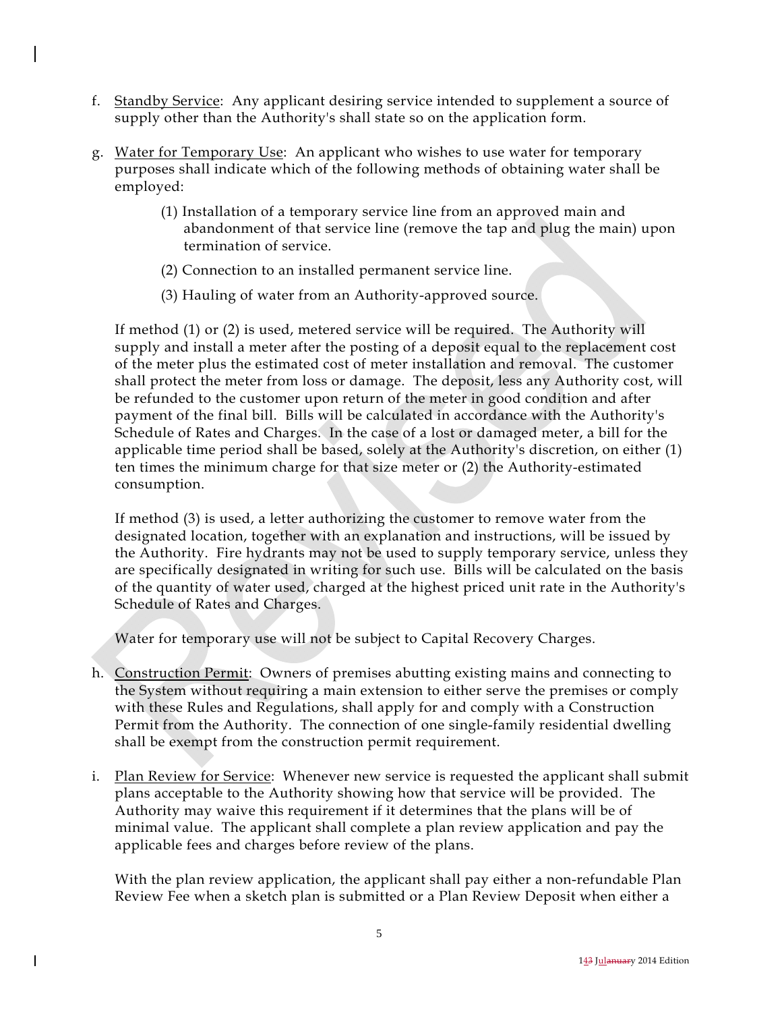- f. Standby Service: Any applicant desiring service intended to supplement a source of supply other than the Authority's shall state so on the application form.
- g. Water for Temporary Use: An applicant who wishes to use water for temporary purposes shall indicate which of the following methods of obtaining water shall be employed:
	- (1) Installation of a temporary service line from an approved main and abandonment of that service line (remove the tap and plug the main) upon termination of service.
	- (2) Connection to an installed permanent service line.
	- (3) Hauling of water from an Authority-approved source.

If method (1) or (2) is used, metered service will be required. The Authority will supply and install a meter after the posting of a deposit equal to the replacement cost of the meter plus the estimated cost of meter installation and removal. The customer shall protect the meter from loss or damage. The deposit, less any Authority cost, will be refunded to the customer upon return of the meter in good condition and after payment of the final bill. Bills will be calculated in accordance with the Authority's Schedule of Rates and Charges. In the case of a lost or damaged meter, a bill for the applicable time period shall be based, solely at the Authority's discretion, on either (1) ten times the minimum charge for that size meter or (2) the Authority-estimated consumption.

If method (3) is used, a letter authorizing the customer to remove water from the designated location, together with an explanation and instructions, will be issued by the Authority. Fire hydrants may not be used to supply temporary service, unless they are specifically designated in writing for such use. Bills will be calculated on the basis of the quantity of water used, charged at the highest priced unit rate in the Authority's Schedule of Rates and Charges.

Water for temporary use will not be subject to Capital Recovery Charges.

- h. Construction Permit: Owners of premises abutting existing mains and connecting to the System without requiring a main extension to either serve the premises or comply with these Rules and Regulations, shall apply for and comply with a Construction Permit from the Authority. The connection of one single-family residential dwelling shall be exempt from the construction permit requirement.
- i. Plan Review for Service: Whenever new service is requested the applicant shall submit plans acceptable to the Authority showing how that service will be provided. The Authority may waive this requirement if it determines that the plans will be of minimal value. The applicant shall complete a plan review application and pay the applicable fees and charges before review of the plans.

 With the plan review application, the applicant shall pay either a non-refundable Plan Review Fee when a sketch plan is submitted or a Plan Review Deposit when either a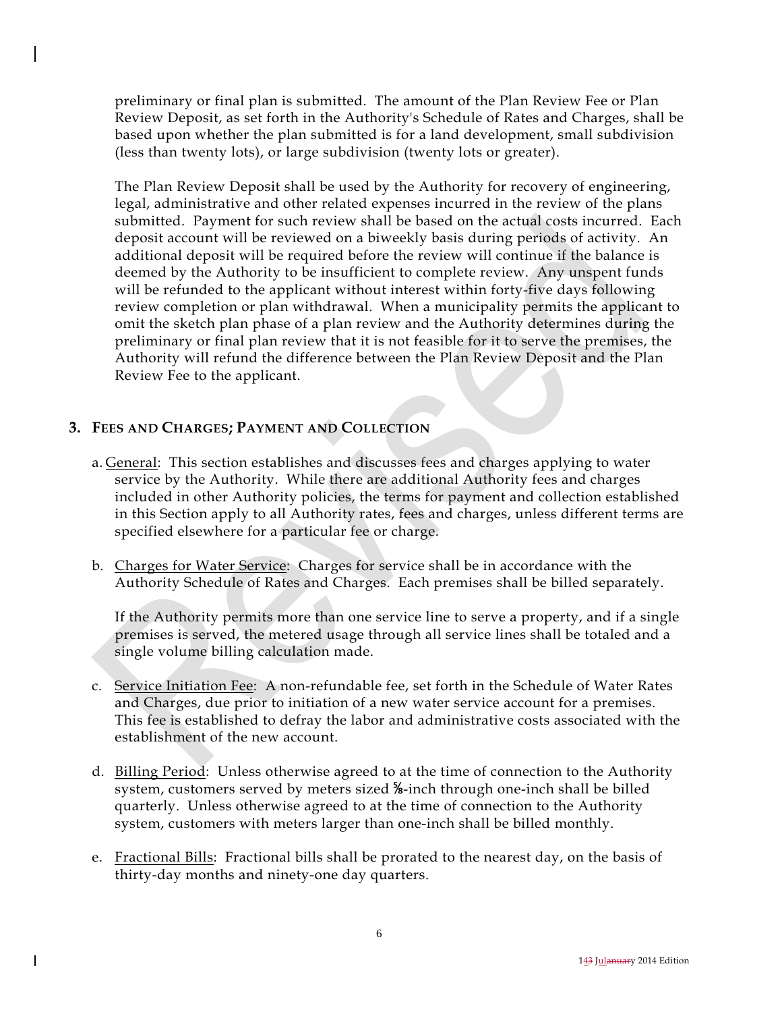preliminary or final plan is submitted. The amount of the Plan Review Fee or Plan Review Deposit, as set forth in the Authority's Schedule of Rates and Charges, shall be based upon whether the plan submitted is for a land development, small subdivision (less than twenty lots), or large subdivision (twenty lots or greater).

 The Plan Review Deposit shall be used by the Authority for recovery of engineering, legal, administrative and other related expenses incurred in the review of the plans submitted. Payment for such review shall be based on the actual costs incurred. Each deposit account will be reviewed on a biweekly basis during periods of activity. An additional deposit will be required before the review will continue if the balance is deemed by the Authority to be insufficient to complete review. Any unspent funds will be refunded to the applicant without interest within forty-five days following review completion or plan withdrawal. When a municipality permits the applicant to omit the sketch plan phase of a plan review and the Authority determines during the preliminary or final plan review that it is not feasible for it to serve the premises, the Authority will refund the difference between the Plan Review Deposit and the Plan Review Fee to the applicant.

## **3. FEES AND CHARGES; PAYMENT AND COLLECTION**

- a. General: This section establishes and discusses fees and charges applying to water service by the Authority. While there are additional Authority fees and charges included in other Authority policies, the terms for payment and collection established in this Section apply to all Authority rates, fees and charges, unless different terms are specified elsewhere for a particular fee or charge.
- b. Charges for Water Service: Charges for service shall be in accordance with the Authority Schedule of Rates and Charges. Each premises shall be billed separately.

 If the Authority permits more than one service line to serve a property, and if a single premises is served, the metered usage through all service lines shall be totaled and a single volume billing calculation made.

- c. Service Initiation Fee: A non-refundable fee, set forth in the Schedule of Water Rates and Charges, due prior to initiation of a new water service account for a premises. This fee is established to defray the labor and administrative costs associated with the establishment of the new account.
- d. Billing Period: Unless otherwise agreed to at the time of connection to the Authority system, customers served by meters sized <sup>%</sup>-inch through one-inch shall be billed quarterly. Unless otherwise agreed to at the time of connection to the Authority system, customers with meters larger than one-inch shall be billed monthly.
- e. Fractional Bills: Fractional bills shall be prorated to the nearest day, on the basis of thirty-day months and ninety-one day quarters.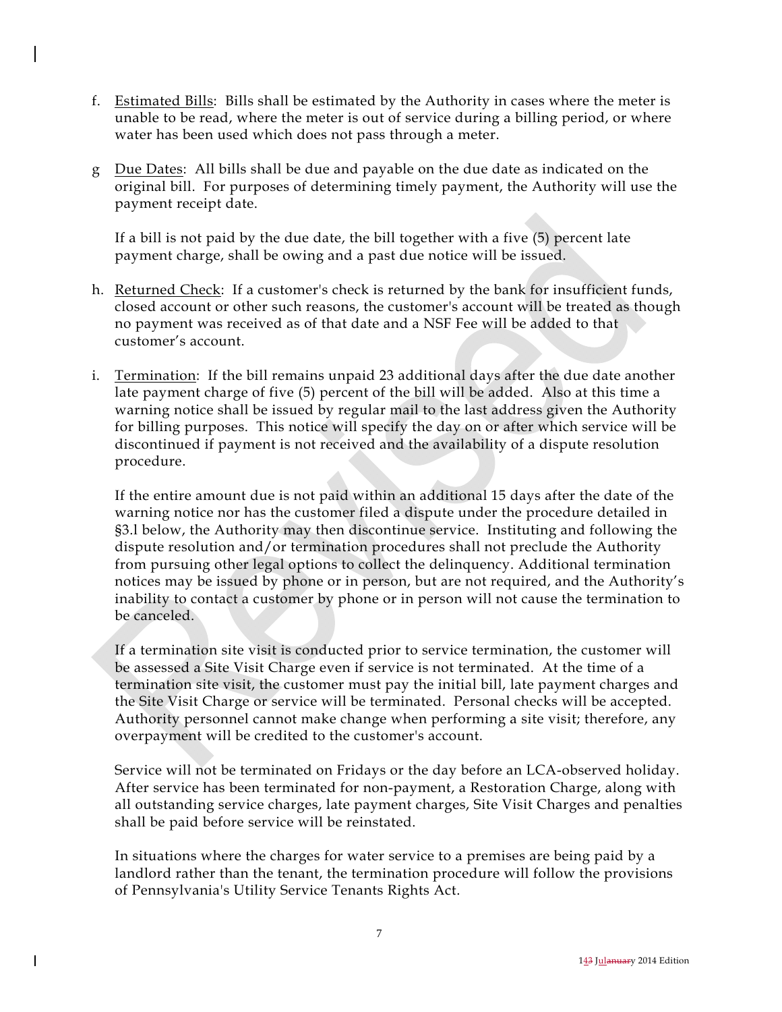- f. Estimated Bills: Bills shall be estimated by the Authority in cases where the meter is unable to be read, where the meter is out of service during a billing period, or where water has been used which does not pass through a meter.
- g Due Dates: All bills shall be due and payable on the due date as indicated on the original bill. For purposes of determining timely payment, the Authority will use the payment receipt date.

 If a bill is not paid by the due date, the bill together with a five (5) percent late payment charge, shall be owing and a past due notice will be issued.

- h. Returned Check: If a customer's check is returned by the bank for insufficient funds, closed account or other such reasons, the customer's account will be treated as though no payment was received as of that date and a NSF Fee will be added to that customer's account.
- i. Termination: If the bill remains unpaid 23 additional days after the due date another late payment charge of five (5) percent of the bill will be added. Also at this time a warning notice shall be issued by regular mail to the last address given the Authority for billing purposes. This notice will specify the day on or after which service will be discontinued if payment is not received and the availability of a dispute resolution procedure.

 If the entire amount due is not paid within an additional 15 days after the date of the warning notice nor has the customer filed a dispute under the procedure detailed in §3.l below, the Authority may then discontinue service. Instituting and following the dispute resolution and/or termination procedures shall not preclude the Authority from pursuing other legal options to collect the delinquency. Additional termination notices may be issued by phone or in person, but are not required, and the Authority's inability to contact a customer by phone or in person will not cause the termination to be canceled.

 If a termination site visit is conducted prior to service termination, the customer will be assessed a Site Visit Charge even if service is not terminated. At the time of a termination site visit, the customer must pay the initial bill, late payment charges and the Site Visit Charge or service will be terminated. Personal checks will be accepted. Authority personnel cannot make change when performing a site visit; therefore, any overpayment will be credited to the customer's account.

 Service will not be terminated on Fridays or the day before an LCA-observed holiday. After service has been terminated for non-payment, a Restoration Charge, along with all outstanding service charges, late payment charges, Site Visit Charges and penalties shall be paid before service will be reinstated.

 In situations where the charges for water service to a premises are being paid by a landlord rather than the tenant, the termination procedure will follow the provisions of Pennsylvania's Utility Service Tenants Rights Act.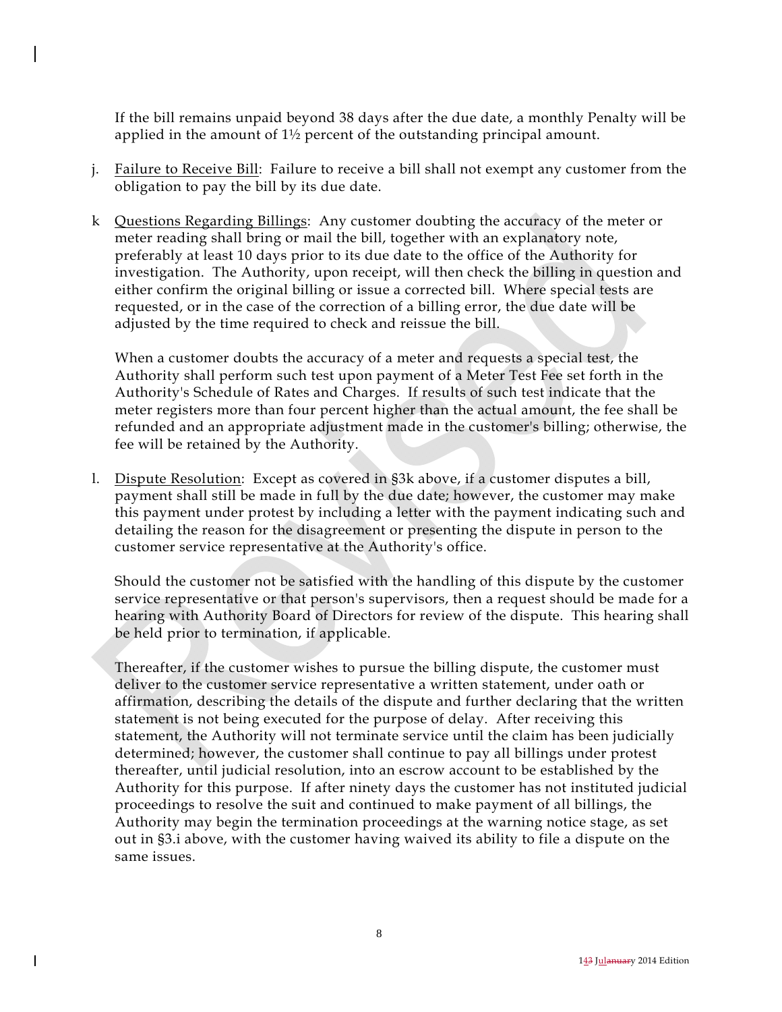If the bill remains unpaid beyond 38 days after the due date, a monthly Penalty will be applied in the amount of 1½ percent of the outstanding principal amount.

- j. Failure to Receive Bill: Failure to receive a bill shall not exempt any customer from the obligation to pay the bill by its due date.
- k Questions Regarding Billings: Any customer doubting the accuracy of the meter or meter reading shall bring or mail the bill, together with an explanatory note, preferably at least 10 days prior to its due date to the office of the Authority for investigation. The Authority, upon receipt, will then check the billing in question and either confirm the original billing or issue a corrected bill. Where special tests are requested, or in the case of the correction of a billing error, the due date will be adjusted by the time required to check and reissue the bill.

 When a customer doubts the accuracy of a meter and requests a special test, the Authority shall perform such test upon payment of a Meter Test Fee set forth in the Authority's Schedule of Rates and Charges. If results of such test indicate that the meter registers more than four percent higher than the actual amount, the fee shall be refunded and an appropriate adjustment made in the customer's billing; otherwise, the fee will be retained by the Authority.

 l. Dispute Resolution: Except as covered in §3k above, if a customer disputes a bill, payment shall still be made in full by the due date; however, the customer may make this payment under protest by including a letter with the payment indicating such and detailing the reason for the disagreement or presenting the dispute in person to the customer service representative at the Authority's office.

 Should the customer not be satisfied with the handling of this dispute by the customer service representative or that person's supervisors, then a request should be made for a hearing with Authority Board of Directors for review of the dispute. This hearing shall be held prior to termination, if applicable.

 Thereafter, if the customer wishes to pursue the billing dispute, the customer must deliver to the customer service representative a written statement, under oath or affirmation, describing the details of the dispute and further declaring that the written statement is not being executed for the purpose of delay. After receiving this statement, the Authority will not terminate service until the claim has been judicially determined; however, the customer shall continue to pay all billings under protest thereafter, until judicial resolution, into an escrow account to be established by the Authority for this purpose. If after ninety days the customer has not instituted judicial proceedings to resolve the suit and continued to make payment of all billings, the Authority may begin the termination proceedings at the warning notice stage, as set out in §3.i above, with the customer having waived its ability to file a dispute on the same issues.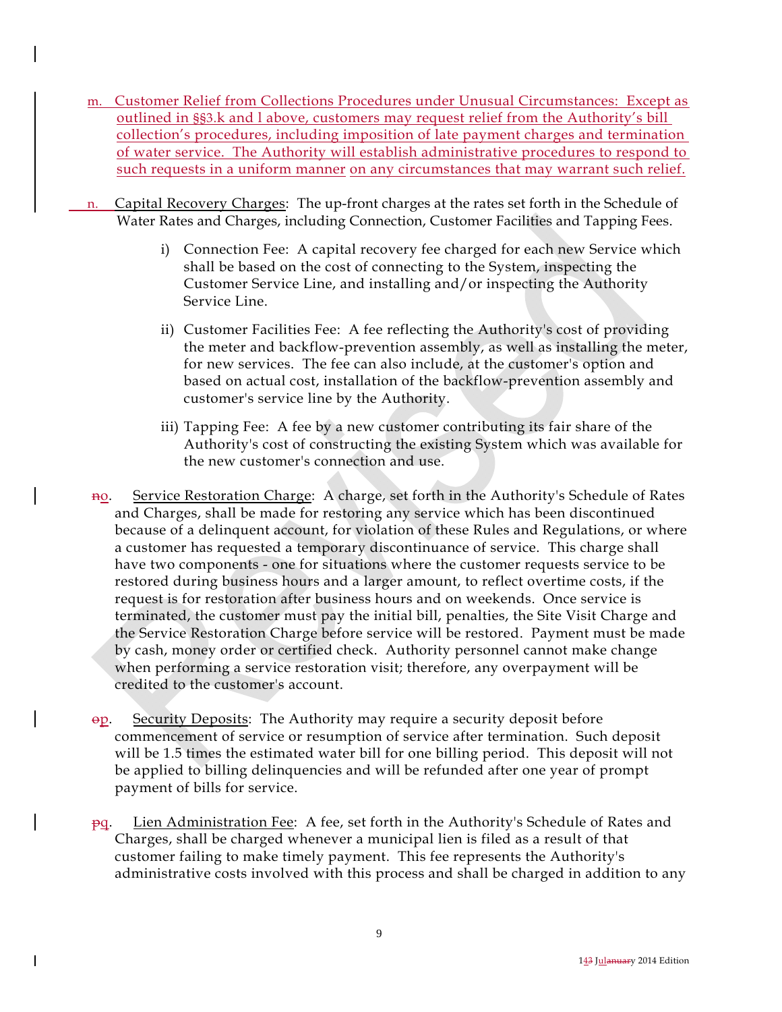- m. Customer Relief from Collections Procedures under Unusual Circumstances: Except as outlined in §§3.k and l above, customers may request relief from the Authority's bill collection's procedures, including imposition of late payment charges and termination of water service. The Authority will establish administrative procedures to respond to such requests in a uniform manner on any circumstances that may warrant such relief.
- n. Capital Recovery Charges: The up-front charges at the rates set forth in the Schedule of Water Rates and Charges, including Connection, Customer Facilities and Tapping Fees.
	- i) Connection Fee: A capital recovery fee charged for each new Service which shall be based on the cost of connecting to the System, inspecting the Customer Service Line, and installing and/or inspecting the Authority Service Line.
	- ii) Customer Facilities Fee: A fee reflecting the Authority's cost of providing the meter and backflow-prevention assembly, as well as installing the meter, for new services. The fee can also include, at the customer's option and based on actual cost, installation of the backflow-prevention assembly and customer's service line by the Authority.
	- iii) Tapping Fee: A fee by a new customer contributing its fair share of the Authority's cost of constructing the existing System which was available for the new customer's connection and use.
	- no. Service Restoration Charge: A charge, set forth in the Authority's Schedule of Rates and Charges, shall be made for restoring any service which has been discontinued because of a delinquent account, for violation of these Rules and Regulations, or where a customer has requested a temporary discontinuance of service. This charge shall have two components - one for situations where the customer requests service to be restored during business hours and a larger amount, to reflect overtime costs, if the request is for restoration after business hours and on weekends. Once service is terminated, the customer must pay the initial bill, penalties, the Site Visit Charge and the Service Restoration Charge before service will be restored. Payment must be made by cash, money order or certified check. Authority personnel cannot make change when performing a service restoration visit; therefore, any overpayment will be credited to the customer's account.
	- op. Security Deposits: The Authority may require a security deposit before commencement of service or resumption of service after termination. Such deposit will be 1.5 times the estimated water bill for one billing period. This deposit will not be applied to billing delinquencies and will be refunded after one year of prompt payment of bills for service.
	- pq. Lien Administration Fee: A fee, set forth in the Authority's Schedule of Rates and Charges, shall be charged whenever a municipal lien is filed as a result of that customer failing to make timely payment. This fee represents the Authority's administrative costs involved with this process and shall be charged in addition to any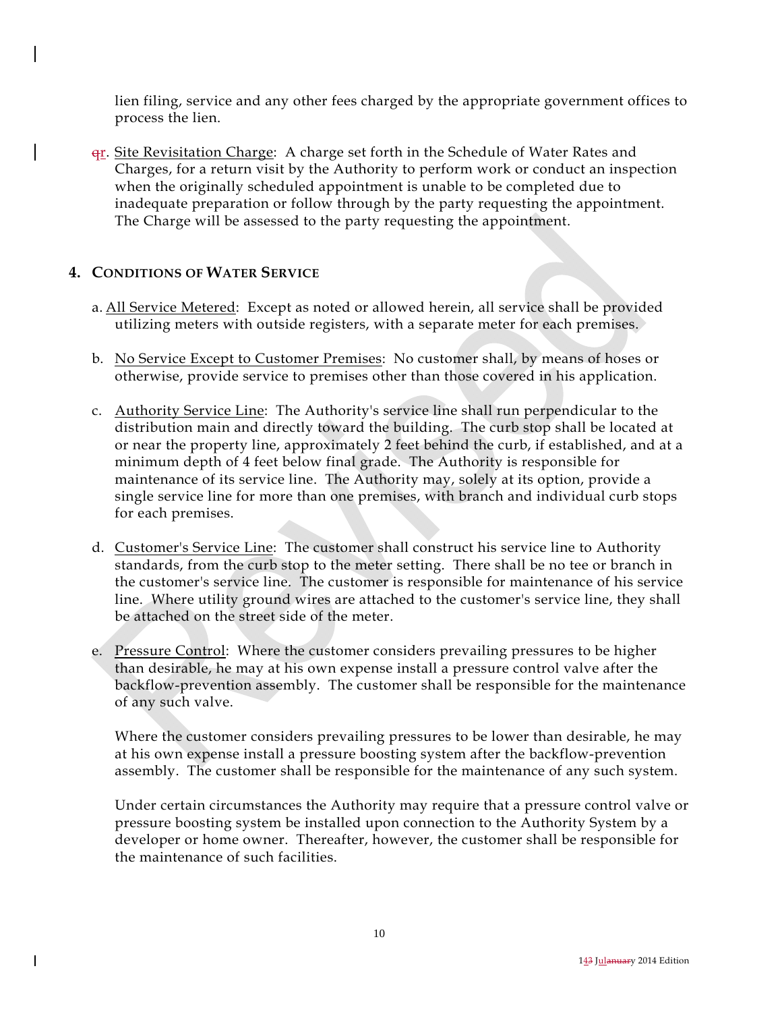lien filing, service and any other fees charged by the appropriate government offices to process the lien.

 $\frac{q_{r}}{r}$ . Site Revisitation Charge: A charge set forth in the Schedule of Water Rates and Charges, for a return visit by the Authority to perform work or conduct an inspection when the originally scheduled appointment is unable to be completed due to inadequate preparation or follow through by the party requesting the appointment. The Charge will be assessed to the party requesting the appointment.

## **4. CONDITIONS OF WATER SERVICE**

- a. All Service Metered: Except as noted or allowed herein, all service shall be provided utilizing meters with outside registers, with a separate meter for each premises.
- b. No Service Except to Customer Premises: No customer shall, by means of hoses or otherwise, provide service to premises other than those covered in his application.
- c. Authority Service Line: The Authority's service line shall run perpendicular to the distribution main and directly toward the building. The curb stop shall be located at or near the property line, approximately 2 feet behind the curb, if established, and at a minimum depth of 4 feet below final grade. The Authority is responsible for maintenance of its service line. The Authority may, solely at its option, provide a single service line for more than one premises, with branch and individual curb stops for each premises.
- d. Customer's Service Line: The customer shall construct his service line to Authority standards, from the curb stop to the meter setting. There shall be no tee or branch in the customer's service line. The customer is responsible for maintenance of his service line. Where utility ground wires are attached to the customer's service line, they shall be attached on the street side of the meter.
- e. Pressure Control: Where the customer considers prevailing pressures to be higher than desirable, he may at his own expense install a pressure control valve after the backflow-prevention assembly. The customer shall be responsible for the maintenance of any such valve.

 Where the customer considers prevailing pressures to be lower than desirable, he may at his own expense install a pressure boosting system after the backflow-prevention assembly. The customer shall be responsible for the maintenance of any such system.

 Under certain circumstances the Authority may require that a pressure control valve or pressure boosting system be installed upon connection to the Authority System by a developer or home owner. Thereafter, however, the customer shall be responsible for the maintenance of such facilities.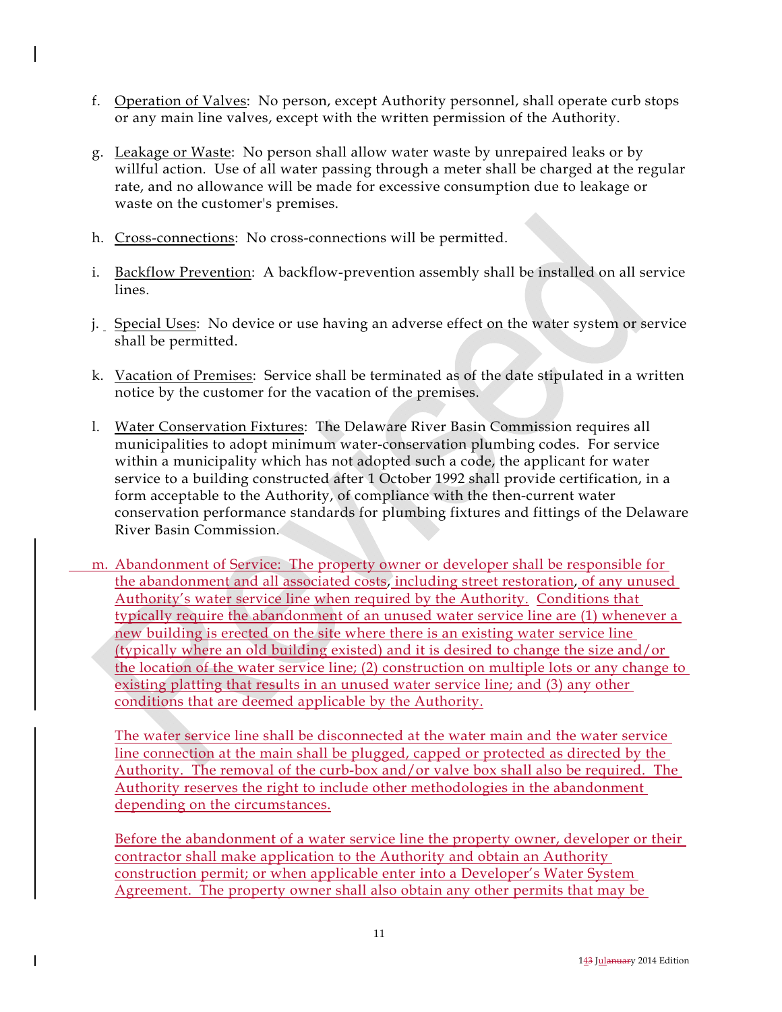- f. Operation of Valves: No person, except Authority personnel, shall operate curb stops or any main line valves, except with the written permission of the Authority.
- g. Leakage or Waste: No person shall allow water waste by unrepaired leaks or by willful action. Use of all water passing through a meter shall be charged at the regular rate, and no allowance will be made for excessive consumption due to leakage or waste on the customer's premises.
- h. Cross-connections: No cross-connections will be permitted.
- i. Backflow Prevention: A backflow-prevention assembly shall be installed on all service lines.
- j. Special Uses: No device or use having an adverse effect on the water system or service shall be permitted.
- k. Vacation of Premises: Service shall be terminated as of the date stipulated in a written notice by the customer for the vacation of the premises.
- l. Water Conservation Fixtures: The Delaware River Basin Commission requires all municipalities to adopt minimum water-conservation plumbing codes. For service within a municipality which has not adopted such a code, the applicant for water service to a building constructed after 1 October 1992 shall provide certification, in a form acceptable to the Authority, of compliance with the then-current water conservation performance standards for plumbing fixtures and fittings of the Delaware River Basin Commission.
- m. Abandonment of Service: The property owner or developer shall be responsible for the abandonment and all associated costs, including street restoration, of any unused Authority's water service line when required by the Authority. Conditions that typically require the abandonment of an unused water service line are (1) whenever a new building is erected on the site where there is an existing water service line (typically where an old building existed) and it is desired to change the size and/or the location of the water service line; (2) construction on multiple lots or any change to existing platting that results in an unused water service line; and (3) any other conditions that are deemed applicable by the Authority.

The water service line shall be disconnected at the water main and the water service line connection at the main shall be plugged, capped or protected as directed by the Authority. The removal of the curb-box and/or valve box shall also be required. The Authority reserves the right to include other methodologies in the abandonment depending on the circumstances.

Before the abandonment of a water service line the property owner, developer or their contractor shall make application to the Authority and obtain an Authority construction permit; or when applicable enter into a Developer's Water System Agreement. The property owner shall also obtain any other permits that may be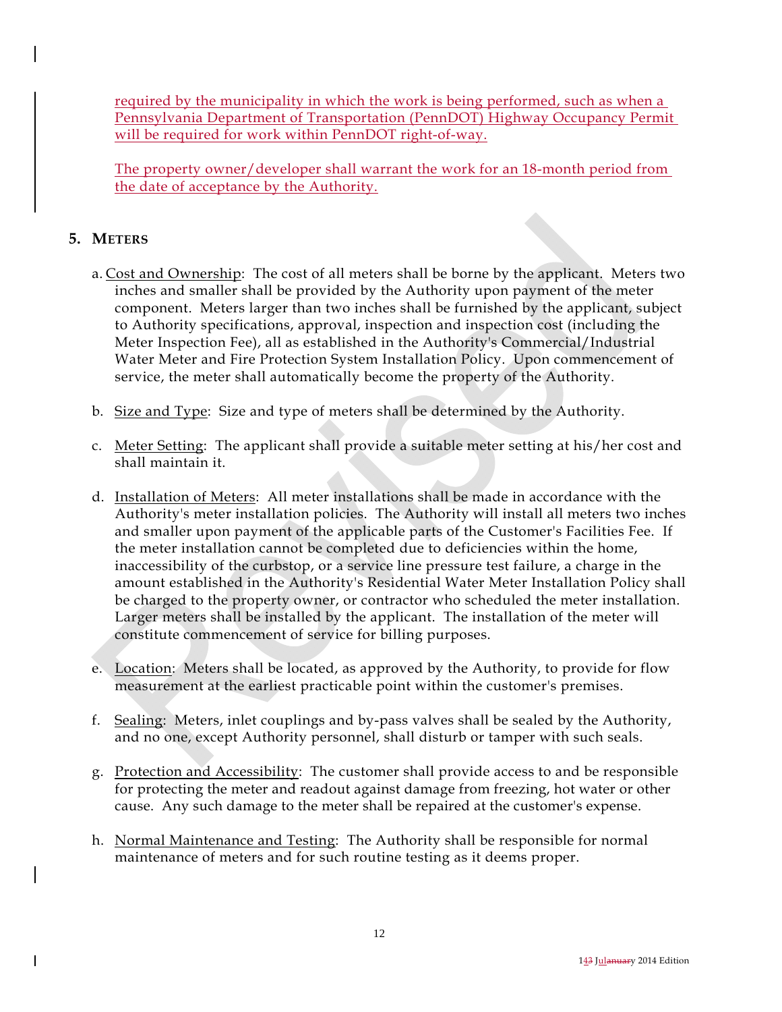required by the municipality in which the work is being performed, such as when a Pennsylvania Department of Transportation (PennDOT) Highway Occupancy Permit will be required for work within PennDOT right-of-way.

The property owner/developer shall warrant the work for an 18-month period from the date of acceptance by the Authority.

## **5. METERS**

- a. Cost and Ownership: The cost of all meters shall be borne by the applicant. Meters two inches and smaller shall be provided by the Authority upon payment of the meter component. Meters larger than two inches shall be furnished by the applicant, subject to Authority specifications, approval, inspection and inspection cost (including the Meter Inspection Fee), all as established in the Authority's Commercial/Industrial Water Meter and Fire Protection System Installation Policy. Upon commencement of service, the meter shall automatically become the property of the Authority.
- b. Size and Type: Size and type of meters shall be determined by the Authority.
- c. Meter Setting: The applicant shall provide a suitable meter setting at his/her cost and shall maintain it.
- d. Installation of Meters: All meter installations shall be made in accordance with the Authority's meter installation policies. The Authority will install all meters two inches and smaller upon payment of the applicable parts of the Customer's Facilities Fee. If the meter installation cannot be completed due to deficiencies within the home, inaccessibility of the curbstop, or a service line pressure test failure, a charge in the amount established in the Authority's Residential Water Meter Installation Policy shall be charged to the property owner, or contractor who scheduled the meter installation. Larger meters shall be installed by the applicant. The installation of the meter will constitute commencement of service for billing purposes.
- e. Location: Meters shall be located, as approved by the Authority, to provide for flow measurement at the earliest practicable point within the customer's premises.
- f. Sealing: Meters, inlet couplings and by-pass valves shall be sealed by the Authority, and no one, except Authority personnel, shall disturb or tamper with such seals.
- g. Protection and Accessibility: The customer shall provide access to and be responsible for protecting the meter and readout against damage from freezing, hot water or other cause. Any such damage to the meter shall be repaired at the customer's expense.
- h. Normal Maintenance and Testing: The Authority shall be responsible for normal maintenance of meters and for such routine testing as it deems proper.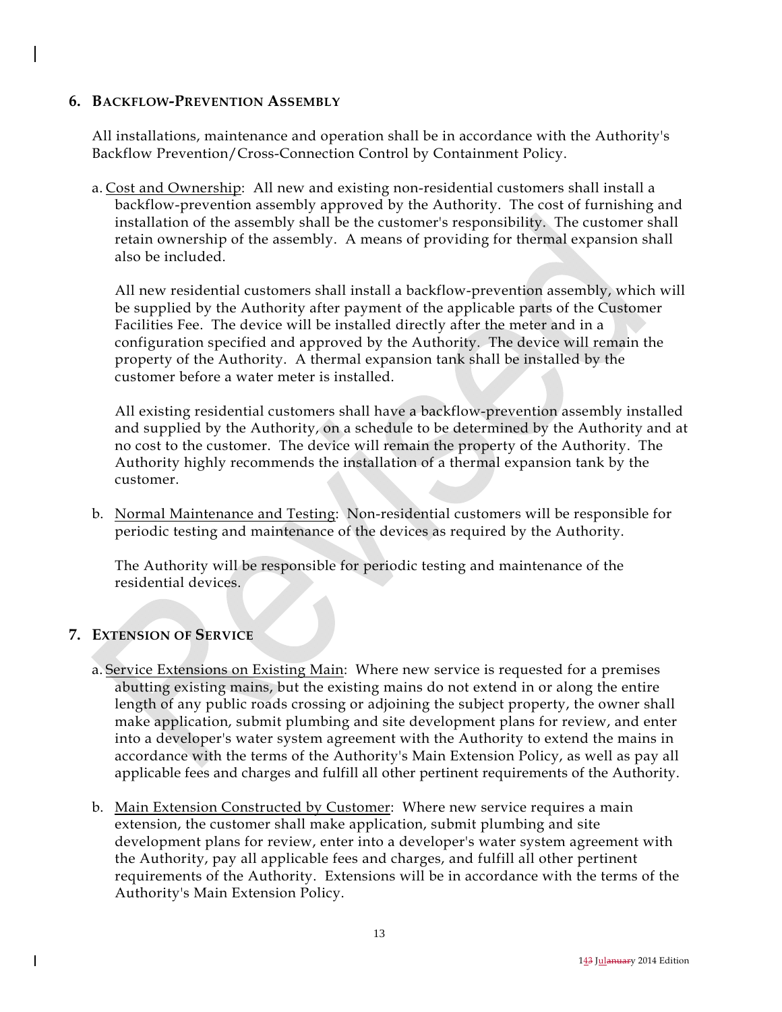## **6. BACKFLOW-PREVENTION ASSEMBLY**

 All installations, maintenance and operation shall be in accordance with the Authority's Backflow Prevention/Cross-Connection Control by Containment Policy.

 a. Cost and Ownership: All new and existing non-residential customers shall install a backflow-prevention assembly approved by the Authority. The cost of furnishing and installation of the assembly shall be the customer's responsibility. The customer shall retain ownership of the assembly. A means of providing for thermal expansion shall also be included.

 All new residential customers shall install a backflow-prevention assembly, which will be supplied by the Authority after payment of the applicable parts of the Customer Facilities Fee. The device will be installed directly after the meter and in a configuration specified and approved by the Authority. The device will remain the property of the Authority. A thermal expansion tank shall be installed by the customer before a water meter is installed.

 All existing residential customers shall have a backflow-prevention assembly installed and supplied by the Authority, on a schedule to be determined by the Authority and at no cost to the customer. The device will remain the property of the Authority. The Authority highly recommends the installation of a thermal expansion tank by the customer.

 b. Normal Maintenance and Testing: Non-residential customers will be responsible for periodic testing and maintenance of the devices as required by the Authority.

 The Authority will be responsible for periodic testing and maintenance of the residential devices.

## **7. EXTENSION OF SERVICE**

- a. Service Extensions on Existing Main: Where new service is requested for a premises abutting existing mains, but the existing mains do not extend in or along the entire length of any public roads crossing or adjoining the subject property, the owner shall make application, submit plumbing and site development plans for review, and enter into a developer's water system agreement with the Authority to extend the mains in accordance with the terms of the Authority's Main Extension Policy, as well as pay all applicable fees and charges and fulfill all other pertinent requirements of the Authority.
- b. Main Extension Constructed by Customer: Where new service requires a main extension, the customer shall make application, submit plumbing and site development plans for review, enter into a developer's water system agreement with the Authority, pay all applicable fees and charges, and fulfill all other pertinent requirements of the Authority. Extensions will be in accordance with the terms of the Authority's Main Extension Policy.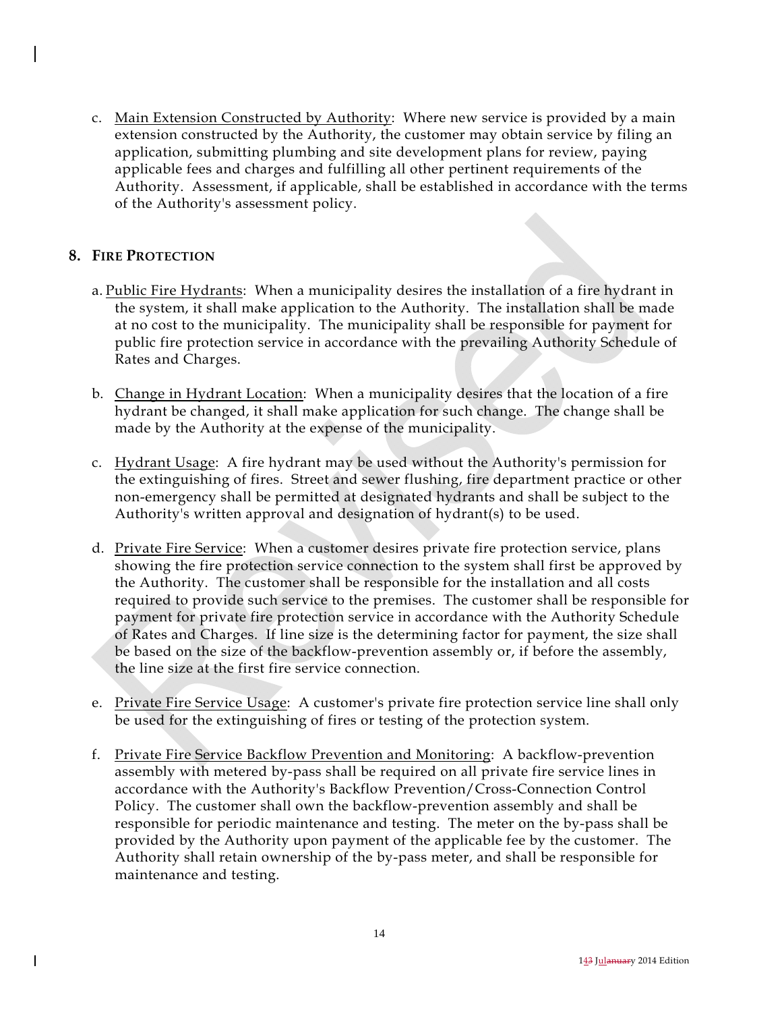c. Main Extension Constructed by Authority: Where new service is provided by a main extension constructed by the Authority, the customer may obtain service by filing an application, submitting plumbing and site development plans for review, paying applicable fees and charges and fulfilling all other pertinent requirements of the Authority. Assessment, if applicable, shall be established in accordance with the terms of the Authority's assessment policy.

## **8. FIRE PROTECTION**

 $\mathsf{l}$ 

- a. Public Fire Hydrants: When a municipality desires the installation of a fire hydrant in the system, it shall make application to the Authority. The installation shall be made at no cost to the municipality. The municipality shall be responsible for payment for public fire protection service in accordance with the prevailing Authority Schedule of Rates and Charges.
- b. Change in Hydrant Location: When a municipality desires that the location of a fire hydrant be changed, it shall make application for such change. The change shall be made by the Authority at the expense of the municipality.
- c. Hydrant Usage: A fire hydrant may be used without the Authority's permission for the extinguishing of fires. Street and sewer flushing, fire department practice or other non-emergency shall be permitted at designated hydrants and shall be subject to the Authority's written approval and designation of hydrant(s) to be used.
- d. Private Fire Service: When a customer desires private fire protection service, plans showing the fire protection service connection to the system shall first be approved by the Authority. The customer shall be responsible for the installation and all costs required to provide such service to the premises. The customer shall be responsible for payment for private fire protection service in accordance with the Authority Schedule of Rates and Charges. If line size is the determining factor for payment, the size shall be based on the size of the backflow-prevention assembly or, if before the assembly, the line size at the first fire service connection.
- e. Private Fire Service Usage: A customer's private fire protection service line shall only be used for the extinguishing of fires or testing of the protection system.
- f. Private Fire Service Backflow Prevention and Monitoring: A backflow-prevention assembly with metered by-pass shall be required on all private fire service lines in accordance with the Authority's Backflow Prevention/Cross-Connection Control Policy. The customer shall own the backflow-prevention assembly and shall be responsible for periodic maintenance and testing. The meter on the by-pass shall be provided by the Authority upon payment of the applicable fee by the customer. The Authority shall retain ownership of the by-pass meter, and shall be responsible for maintenance and testing.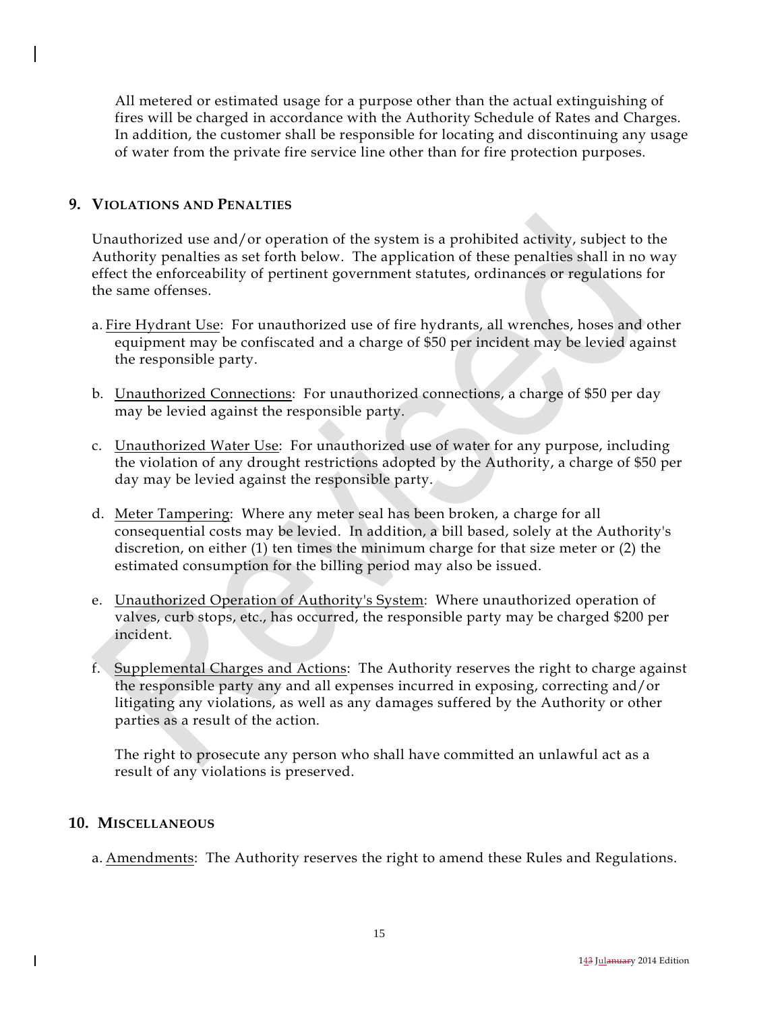All metered or estimated usage for a purpose other than the actual extinguishing of fires will be charged in accordance with the Authority Schedule of Rates and Charges. In addition, the customer shall be responsible for locating and discontinuing any usage of water from the private fire service line other than for fire protection purposes.

## **9. VIOLATIONS AND PENALTIES**

 Unauthorized use and/or operation of the system is a prohibited activity, subject to the Authority penalties as set forth below. The application of these penalties shall in no way effect the enforceability of pertinent government statutes, ordinances or regulations for the same offenses.

- a. Fire Hydrant Use: For unauthorized use of fire hydrants, all wrenches, hoses and other equipment may be confiscated and a charge of \$50 per incident may be levied against the responsible party.
- b. Unauthorized Connections: For unauthorized connections, a charge of \$50 per day may be levied against the responsible party.
- c. Unauthorized Water Use: For unauthorized use of water for any purpose, including the violation of any drought restrictions adopted by the Authority, a charge of \$50 per day may be levied against the responsible party.
- d. Meter Tampering: Where any meter seal has been broken, a charge for all consequential costs may be levied. In addition, a bill based, solely at the Authority's discretion, on either (1) ten times the minimum charge for that size meter or (2) the estimated consumption for the billing period may also be issued.
- e. **Unauthorized Operation of Authority's System:** Where unauthorized operation of valves, curb stops, etc., has occurred, the responsible party may be charged \$200 per incident.
- f. Supplemental Charges and Actions: The Authority reserves the right to charge against the responsible party any and all expenses incurred in exposing, correcting and/or litigating any violations, as well as any damages suffered by the Authority or other parties as a result of the action.

 The right to prosecute any person who shall have committed an unlawful act as a result of any violations is preserved.

### **10. MISCELLANEOUS**

a. Amendments: The Authority reserves the right to amend these Rules and Regulations.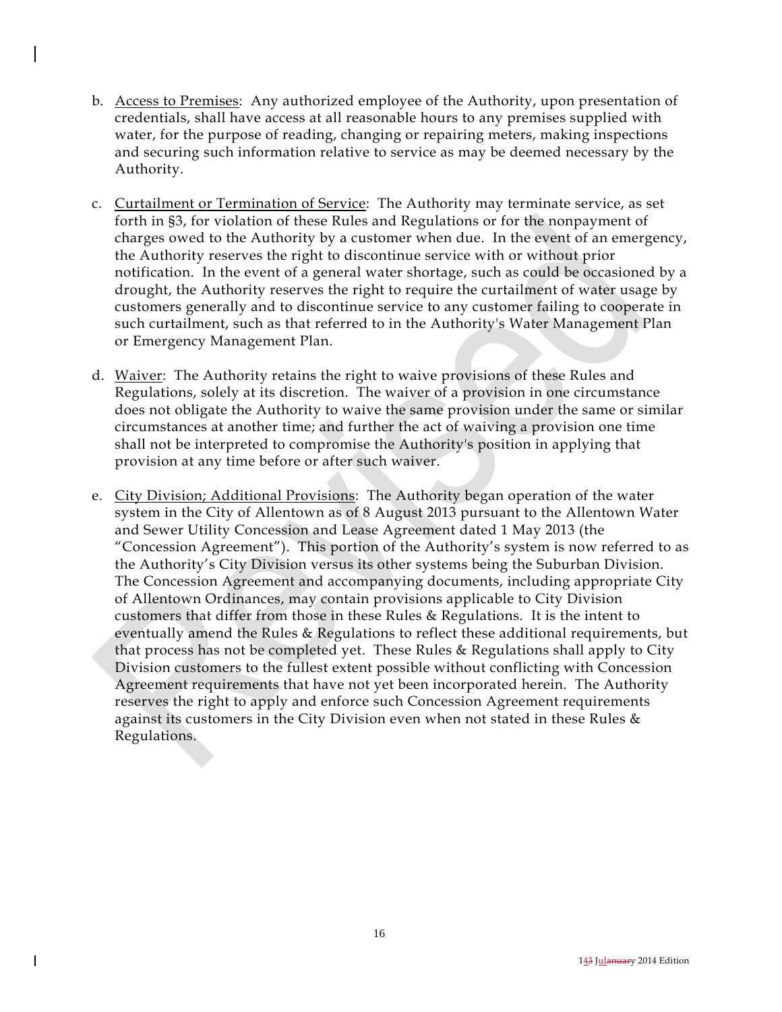- b. Access to Premises: Any authorized employee of the Authority, upon presentation of credentials, shall have access at all reasonable hours to any premises supplied with water, for the purpose of reading, changing or repairing meters, making inspections and securing such information relative to service as may be deemed necessary by the Authority.
- c. Curtailment or Termination of Service: The Authority may terminate service, as set forth in §3, for violation of these Rules and Regulations or for the nonpayment of charges owed to the Authority by a customer when due. In the event of an emergency, the Authority reserves the right to discontinue service with or without prior notification. In the event of a general water shortage, such as could be occasioned by a drought, the Authority reserves the right to require the curtailment of water usage by customers generally and to discontinue service to any customer failing to cooperate in such curtailment, such as that referred to in the Authority's Water Management Plan or Emergency Management Plan.
- d. Waiver: The Authority retains the right to waive provisions of these Rules and Regulations, solely at its discretion. The waiver of a provision in one circumstance does not obligate the Authority to waive the same provision under the same or similar circumstances at another time; and further the act of waiving a provision one time shall not be interpreted to compromise the Authority's position in applying that provision at any time before or after such waiver.
- e. City Division; Additional Provisions: The Authority began operation of the water system in the City of Allentown as of 8 August 2013 pursuant to the Allentown Water and Sewer Utility Concession and Lease Agreement dated 1 May 2013 (the "Concession Agreement"). This portion of the Authority's system is now referred to as the Authority's City Division versus its other systems being the Suburban Division. The Concession Agreement and accompanying documents, including appropriate City of Allentown Ordinances, may contain provisions applicable to City Division customers that differ from those in these Rules & Regulations. It is the intent to eventually amend the Rules & Regulations to reflect these additional requirements, but that process has not be completed yet. These Rules & Regulations shall apply to City Division customers to the fullest extent possible without conflicting with Concession Agreement requirements that have not yet been incorporated herein. The Authority reserves the right to apply and enforce such Concession Agreement requirements against its customers in the City Division even when not stated in these Rules & Regulations.

 $\mathsf{l}$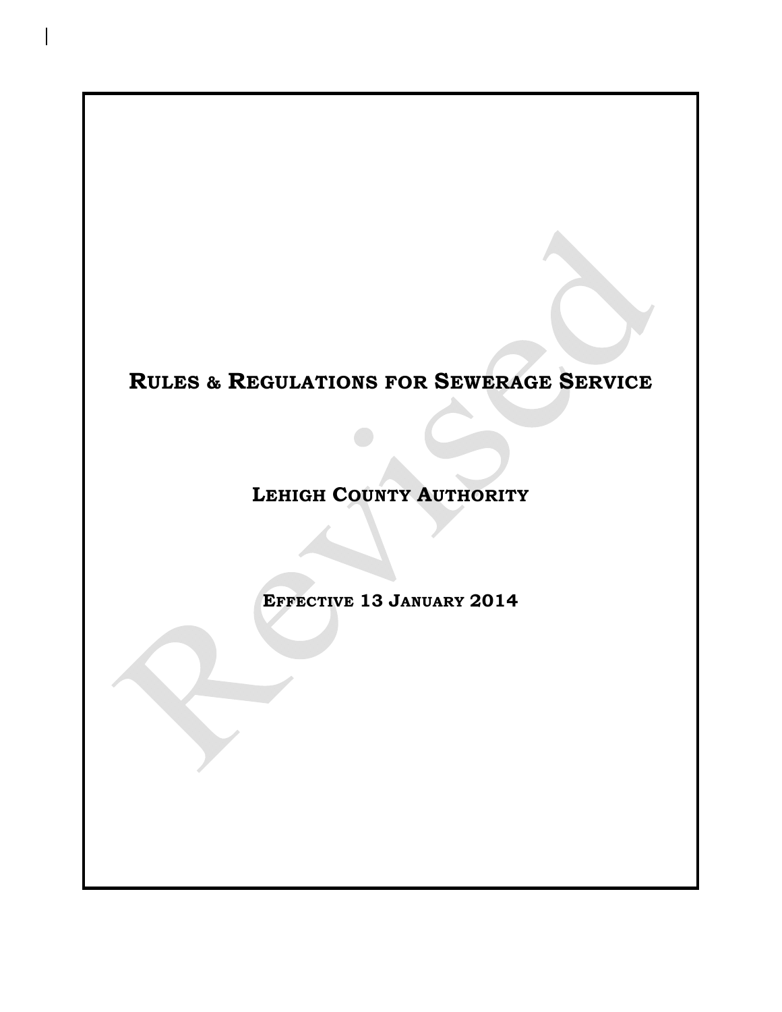# **RULES & REGULATIONS FOR SEWERAGE SERVICE**

**LEHIGH COUNTY AUTHORITY**

**EFFECTIVE 13 JANUARY 2014**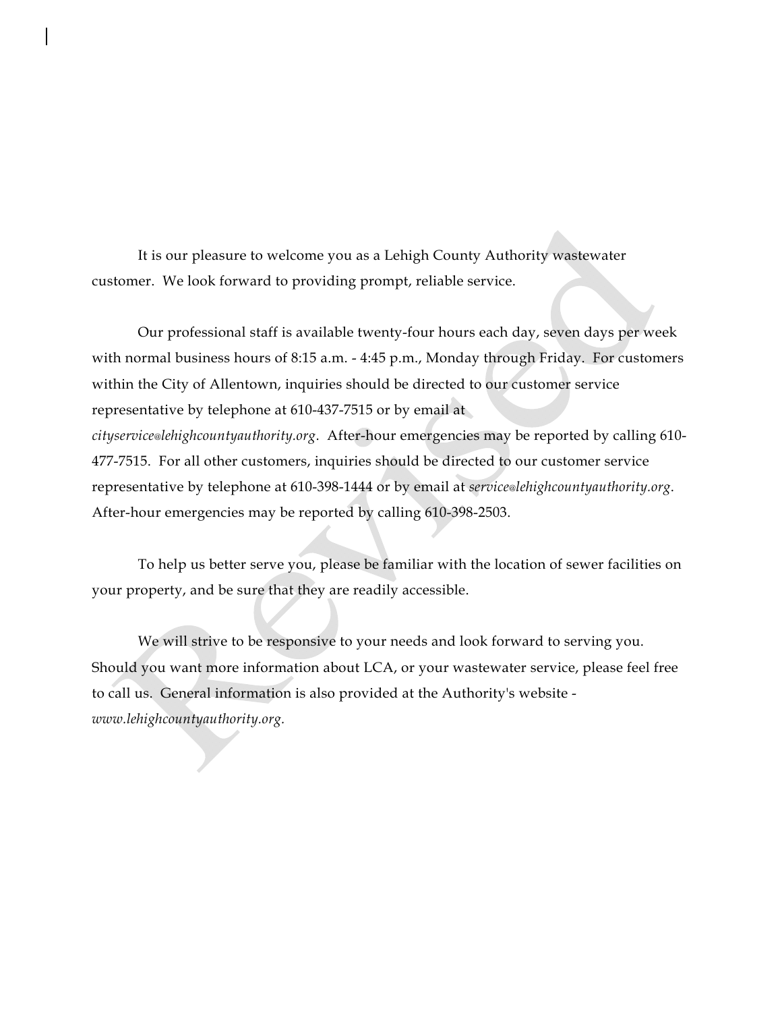It is our pleasure to welcome you as a Lehigh County Authority wastewater customer. We look forward to providing prompt, reliable service.

 Our professional staff is available twenty-four hours each day, seven days per week with normal business hours of 8:15 a.m. - 4:45 p.m., Monday through Friday. For customers within the City of Allentown, inquiries should be directed to our customer service representative by telephone at 610-437-7515 or by email at *cityservice@lehighcountyauthority.org*. After-hour emergencies may be reported by calling 610- 477-7515. For all other customers, inquiries should be directed to our customer service representative by telephone at 610-398-1444 or by email at *service@lehighcountyauthority.org*. After-hour emergencies may be reported by calling 610-398-2503.

 To help us better serve you, please be familiar with the location of sewer facilities on your property, and be sure that they are readily accessible.

 We will strive to be responsive to your needs and look forward to serving you. Should you want more information about LCA, or your wastewater service, please feel free to call us. General information is also provided at the Authority's website *www.lehighcountyauthority.org.*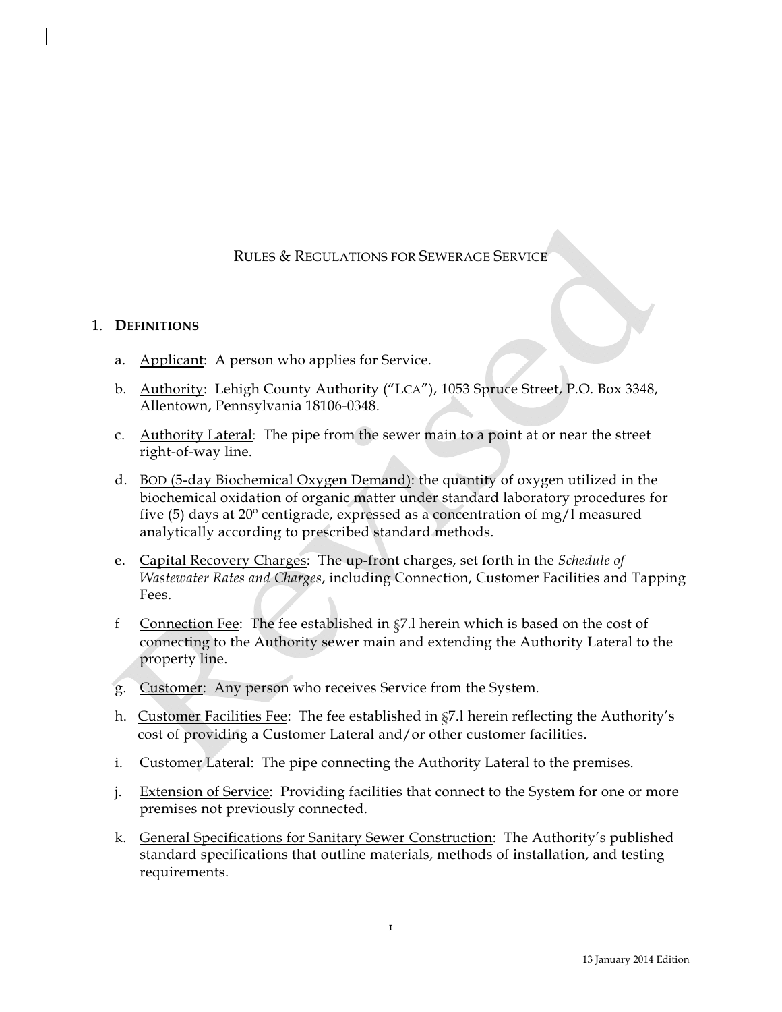## RULES & REGULATIONS FOR SEWERAGE SERVICE

### 1. **DEFINITIONS**

- a. Applicant: A person who applies for Service.
- b. Authority: Lehigh County Authority ("LCA"), 1053 Spruce Street, P.O. Box 3348, Allentown, Pennsylvania 18106-0348.
- c. Authority Lateral: The pipe from the sewer main to a point at or near the street right-of-way line.
- d. BOD (5-day Biochemical Oxygen Demand): the quantity of oxygen utilized in the biochemical oxidation of organic matter under standard laboratory procedures for five (5) days at  $20^{\circ}$  centigrade, expressed as a concentration of mg/l measured analytically according to prescribed standard methods.
- e. Capital Recovery Charges: The up-front charges, set forth in the *Schedule of Wastewater Rates and Charges*, including Connection, Customer Facilities and Tapping Fees.
- f Connection Fee: The fee established in §7.l herein which is based on the cost of connecting to the Authority sewer main and extending the Authority Lateral to the property line.
- g. Customer: Any person who receives Service from the System.
- h. Customer Facilities Fee: The fee established in §7.l herein reflecting the Authority's cost of providing a Customer Lateral and/or other customer facilities.
- i. Customer Lateral: The pipe connecting the Authority Lateral to the premises.
- j. Extension of Service: Providing facilities that connect to the System for one or more premises not previously connected.
- k. General Specifications for Sanitary Sewer Construction: The Authority's published standard specifications that outline materials, methods of installation, and testing requirements.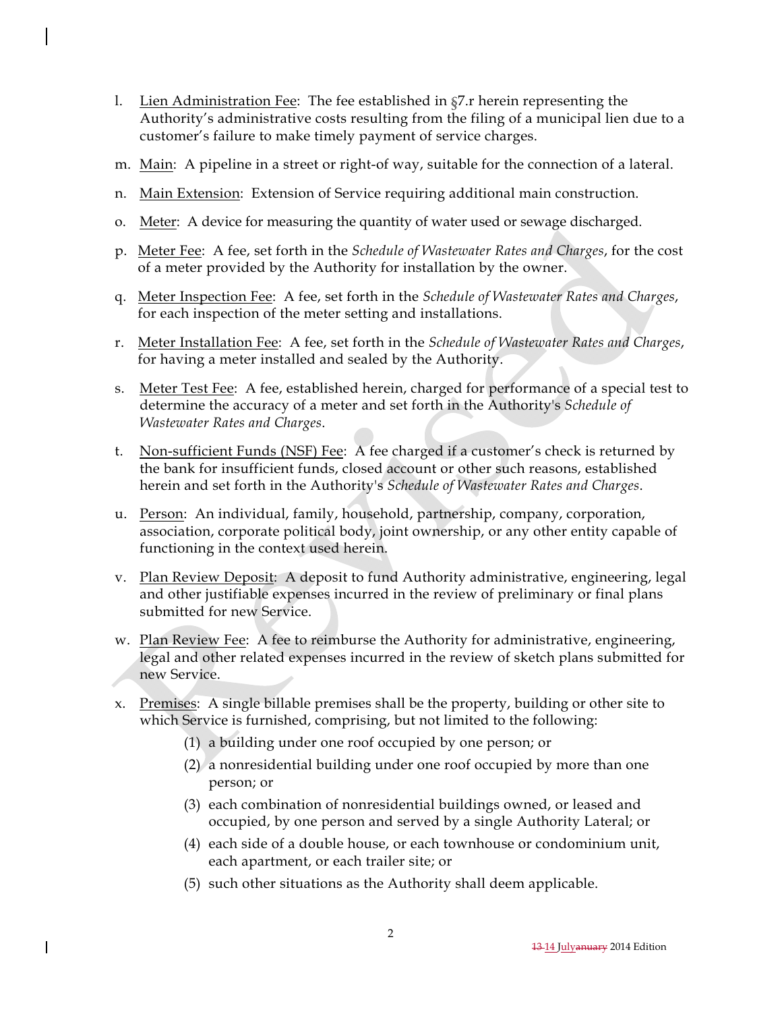- l. Lien Administration Fee: The fee established in §7.r herein representing the Authority's administrative costs resulting from the filing of a municipal lien due to a customer's failure to make timely payment of service charges.
- m. Main: A pipeline in a street or right-of way, suitable for the connection of a lateral.
- n. Main Extension: Extension of Service requiring additional main construction.
- o. Meter: A device for measuring the quantity of water used or sewage discharged.
- p. Meter Fee: A fee, set forth in the *Schedule of Wastewater Rates and Charges*, for the cost of a meter provided by the Authority for installation by the owner.
- q. Meter Inspection Fee: A fee, set forth in the *Schedule of Wastewater Rates and Charges*, for each inspection of the meter setting and installations.
- r. Meter Installation Fee: A fee, set forth in the *Schedule of Wastewater Rates and Charges*, for having a meter installed and sealed by the Authority.
- s. Meter Test Fee: A fee, established herein, charged for performance of a special test to determine the accuracy of a meter and set forth in the Authority's *Schedule of Wastewater Rates and Charges*.
- t. Non-sufficient Funds (NSF) Fee: A fee charged if a customer's check is returned by the bank for insufficient funds, closed account or other such reasons, established herein and set forth in the Authority's *Schedule of Wastewater Rates and Charges*.
- u. Person: An individual, family, household, partnership, company, corporation, association, corporate political body, joint ownership, or any other entity capable of functioning in the context used herein.
- v. Plan Review Deposit: A deposit to fund Authority administrative, engineering, legal and other justifiable expenses incurred in the review of preliminary or final plans submitted for new Service.
- w. Plan Review Fee: A fee to reimburse the Authority for administrative, engineering, legal and other related expenses incurred in the review of sketch plans submitted for new Service.
- x. Premises: A single billable premises shall be the property, building or other site to which Service is furnished, comprising, but not limited to the following:
	- (1) a building under one roof occupied by one person; or
	- (2) a nonresidential building under one roof occupied by more than one person; or
	- (3) each combination of nonresidential buildings owned, or leased and occupied, by one person and served by a single Authority Lateral; or
	- (4) each side of a double house, or each townhouse or condominium unit, each apartment, or each trailer site; or
	- (5) such other situations as the Authority shall deem applicable.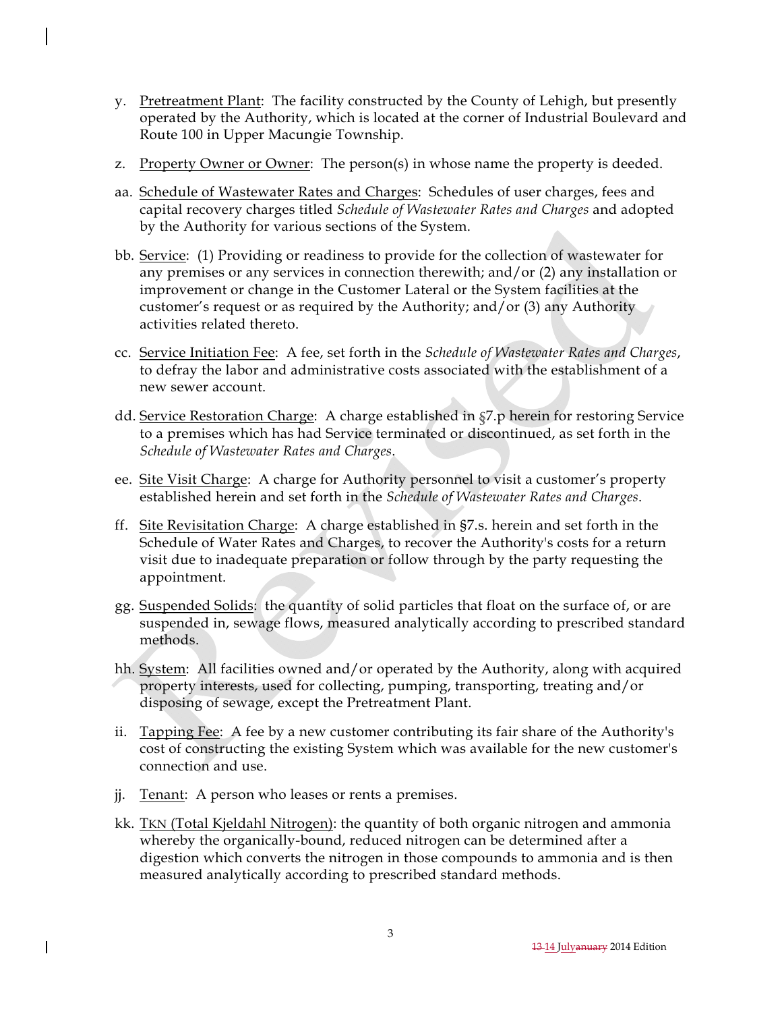- y. Pretreatment Plant: The facility constructed by the County of Lehigh, but presently operated by the Authority, which is located at the corner of Industrial Boulevard and Route 100 in Upper Macungie Township.
- z. Property Owner or Owner: The person(s) in whose name the property is deeded.
- aa. Schedule of Wastewater Rates and Charges: Schedules of user charges, fees and capital recovery charges titled *Schedule of Wastewater Rates and Charges* and adopted by the Authority for various sections of the System.
- bb. Service: (1) Providing or readiness to provide for the collection of wastewater for any premises or any services in connection therewith; and/or (2) any installation or improvement or change in the Customer Lateral or the System facilities at the customer's request or as required by the Authority; and/or (3) any Authority activities related thereto.
- cc. Service Initiation Fee: A fee, set forth in the *Schedule of Wastewater Rates and Charges*, to defray the labor and administrative costs associated with the establishment of a new sewer account.
- dd. Service Restoration Charge: A charge established in §7.p herein for restoring Service to a premises which has had Service terminated or discontinued, as set forth in the *Schedule of Wastewater Rates and Charges*.
- ee. Site Visit Charge: A charge for Authority personnel to visit a customer's property established herein and set forth in the *Schedule of Wastewater Rates and Charges*.
- ff. Site Revisitation Charge: A charge established in §7.s. herein and set forth in the Schedule of Water Rates and Charges, to recover the Authority's costs for a return visit due to inadequate preparation or follow through by the party requesting the appointment.
- gg. Suspended Solids: the quantity of solid particles that float on the surface of, or are suspended in, sewage flows, measured analytically according to prescribed standard methods.
- hh. System: All facilities owned and/or operated by the Authority, along with acquired property interests, used for collecting, pumping, transporting, treating and/or disposing of sewage, except the Pretreatment Plant.
- ii. Tapping Fee: A fee by a new customer contributing its fair share of the Authority's cost of constructing the existing System which was available for the new customer's connection and use.
- jj. Tenant: A person who leases or rents a premises.
- kk. TKN (Total Kjeldahl Nitrogen): the quantity of both organic nitrogen and ammonia whereby the organically-bound, reduced nitrogen can be determined after a digestion which converts the nitrogen in those compounds to ammonia and is then measured analytically according to prescribed standard methods.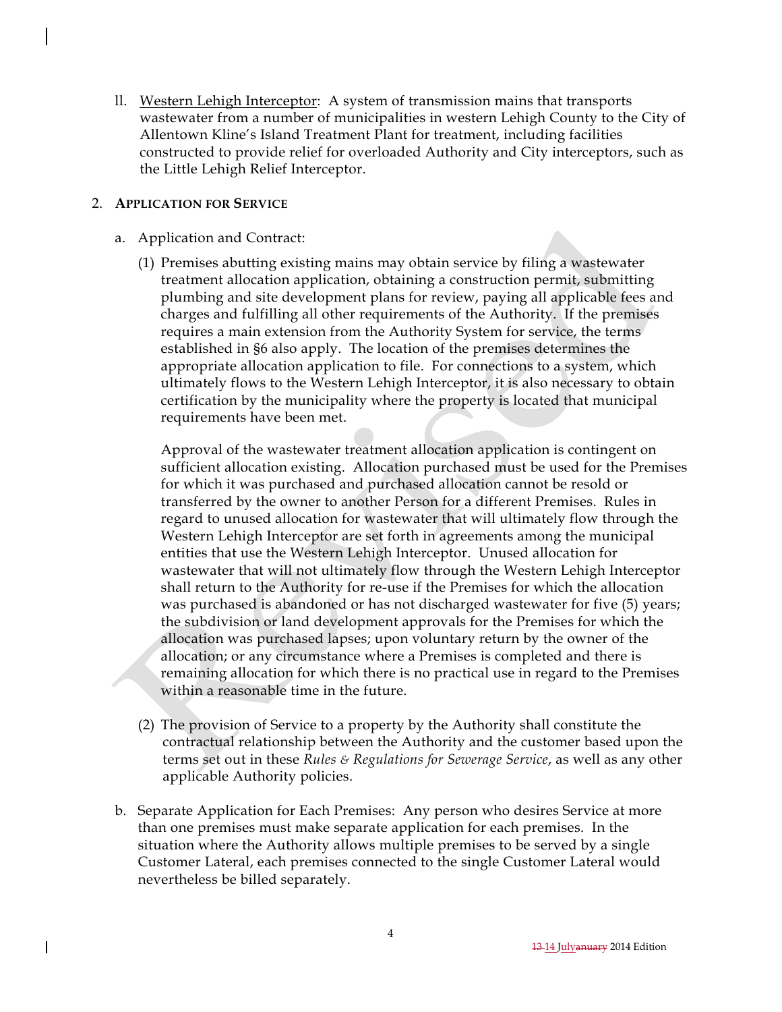ll. Western Lehigh Interceptor: A system of transmission mains that transports wastewater from a number of municipalities in western Lehigh County to the City of Allentown Kline's Island Treatment Plant for treatment, including facilities constructed to provide relief for overloaded Authority and City interceptors, such as the Little Lehigh Relief Interceptor.

## 2. **APPLICATION FOR SERVICE**

- a. Application and Contract:
	- (1) Premises abutting existing mains may obtain service by filing a wastewater treatment allocation application, obtaining a construction permit, submitting plumbing and site development plans for review, paying all applicable fees and charges and fulfilling all other requirements of the Authority. If the premises requires a main extension from the Authority System for service, the terms established in §6 also apply. The location of the premises determines the appropriate allocation application to file. For connections to a system, which ultimately flows to the Western Lehigh Interceptor, it is also necessary to obtain certification by the municipality where the property is located that municipal requirements have been met.

Approval of the wastewater treatment allocation application is contingent on sufficient allocation existing. Allocation purchased must be used for the Premises for which it was purchased and purchased allocation cannot be resold or transferred by the owner to another Person for a different Premises. Rules in regard to unused allocation for wastewater that will ultimately flow through the Western Lehigh Interceptor are set forth in agreements among the municipal entities that use the Western Lehigh Interceptor. Unused allocation for wastewater that will not ultimately flow through the Western Lehigh Interceptor shall return to the Authority for re-use if the Premises for which the allocation was purchased is abandoned or has not discharged wastewater for five (5) years; the subdivision or land development approvals for the Premises for which the allocation was purchased lapses; upon voluntary return by the owner of the allocation; or any circumstance where a Premises is completed and there is remaining allocation for which there is no practical use in regard to the Premises within a reasonable time in the future.

- (2) The provision of Service to a property by the Authority shall constitute the contractual relationship between the Authority and the customer based upon the terms set out in these *Rules & Regulations for Sewerage Service*, as well as any other applicable Authority policies.
- b. Separate Application for Each Premises: Any person who desires Service at more than one premises must make separate application for each premises. In the situation where the Authority allows multiple premises to be served by a single Customer Lateral, each premises connected to the single Customer Lateral would nevertheless be billed separately.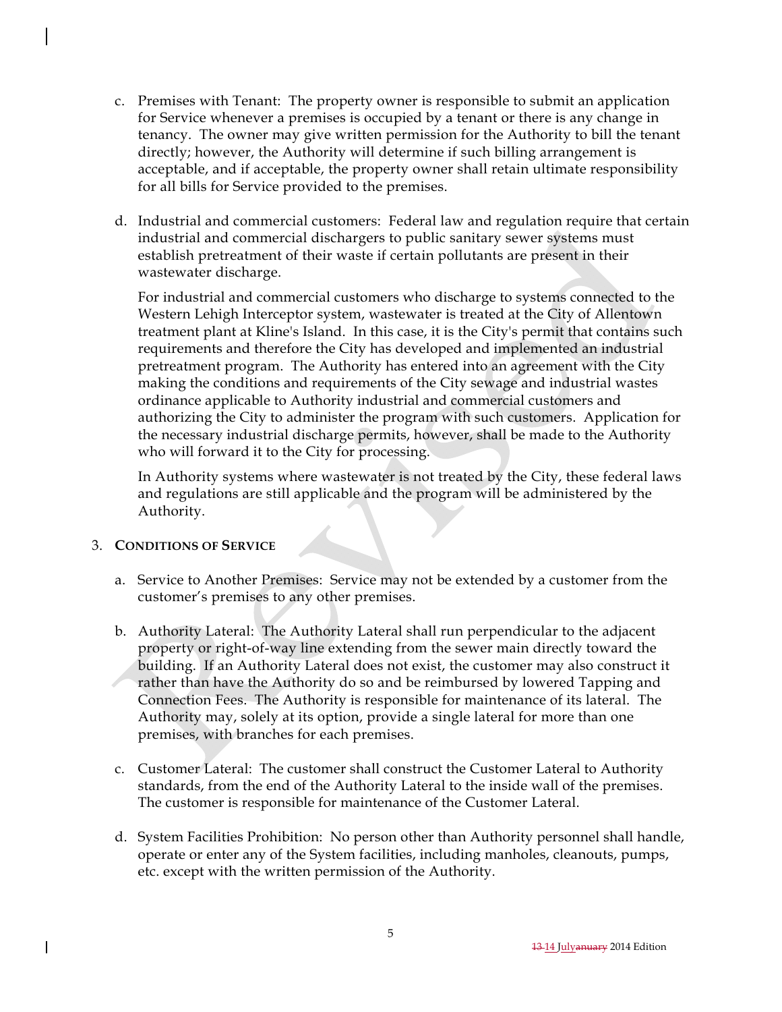- c. Premises with Tenant: The property owner is responsible to submit an application for Service whenever a premises is occupied by a tenant or there is any change in tenancy. The owner may give written permission for the Authority to bill the tenant directly; however, the Authority will determine if such billing arrangement is acceptable, and if acceptable, the property owner shall retain ultimate responsibility for all bills for Service provided to the premises.
- d. Industrial and commercial customers: Federal law and regulation require that certain industrial and commercial dischargers to public sanitary sewer systems must establish pretreatment of their waste if certain pollutants are present in their wastewater discharge.

For industrial and commercial customers who discharge to systems connected to the Western Lehigh Interceptor system, wastewater is treated at the City of Allentown treatment plant at Kline's Island. In this case, it is the City's permit that contains such requirements and therefore the City has developed and implemented an industrial pretreatment program. The Authority has entered into an agreement with the City making the conditions and requirements of the City sewage and industrial wastes ordinance applicable to Authority industrial and commercial customers and authorizing the City to administer the program with such customers. Application for the necessary industrial discharge permits, however, shall be made to the Authority who will forward it to the City for processing.

In Authority systems where wastewater is not treated by the City, these federal laws and regulations are still applicable and the program will be administered by the Authority.

## 3. **CONDITIONS OF SERVICE**

- a. Service to Another Premises: Service may not be extended by a customer from the customer's premises to any other premises.
- b. Authority Lateral: The Authority Lateral shall run perpendicular to the adjacent property or right-of-way line extending from the sewer main directly toward the building. If an Authority Lateral does not exist, the customer may also construct it rather than have the Authority do so and be reimbursed by lowered Tapping and Connection Fees. The Authority is responsible for maintenance of its lateral. The Authority may, solely at its option, provide a single lateral for more than one premises, with branches for each premises.
- c. Customer Lateral: The customer shall construct the Customer Lateral to Authority standards, from the end of the Authority Lateral to the inside wall of the premises. The customer is responsible for maintenance of the Customer Lateral.
- d. System Facilities Prohibition: No person other than Authority personnel shall handle, operate or enter any of the System facilities, including manholes, cleanouts, pumps, etc. except with the written permission of the Authority.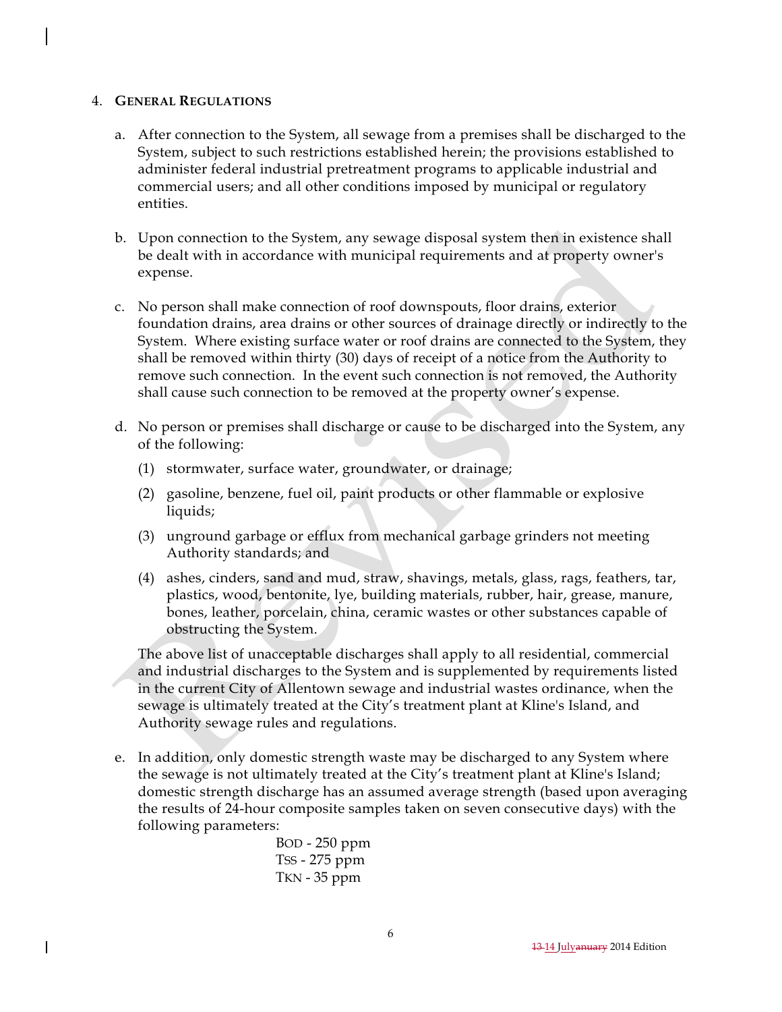#### 4. **GENERAL REGULATIONS**

- a. After connection to the System, all sewage from a premises shall be discharged to the System, subject to such restrictions established herein; the provisions established to administer federal industrial pretreatment programs to applicable industrial and commercial users; and all other conditions imposed by municipal or regulatory entities.
- b. Upon connection to the System, any sewage disposal system then in existence shall be dealt with in accordance with municipal requirements and at property owner's expense.
- c. No person shall make connection of roof downspouts, floor drains, exterior foundation drains, area drains or other sources of drainage directly or indirectly to the System. Where existing surface water or roof drains are connected to the System, they shall be removed within thirty (30) days of receipt of a notice from the Authority to remove such connection. In the event such connection is not removed, the Authority shall cause such connection to be removed at the property owner's expense.
- d. No person or premises shall discharge or cause to be discharged into the System, any of the following:
	- (1) stormwater, surface water, groundwater, or drainage;
	- (2) gasoline, benzene, fuel oil, paint products or other flammable or explosive liquids;
	- (3) unground garbage or efflux from mechanical garbage grinders not meeting Authority standards; and
	- (4) ashes, cinders, sand and mud, straw, shavings, metals, glass, rags, feathers, tar, plastics, wood, bentonite, lye, building materials, rubber, hair, grease, manure, bones, leather, porcelain, china, ceramic wastes or other substances capable of obstructing the System.

The above list of unacceptable discharges shall apply to all residential, commercial and industrial discharges to the System and is supplemented by requirements listed in the current City of Allentown sewage and industrial wastes ordinance, when the sewage is ultimately treated at the City's treatment plant at Kline's Island, and Authority sewage rules and regulations.

e. In addition, only domestic strength waste may be discharged to any System where the sewage is not ultimately treated at the City's treatment plant at Kline's Island; domestic strength discharge has an assumed average strength (based upon averaging the results of 24-hour composite samples taken on seven consecutive days) with the following parameters:

BOD - 250 ppm TSS - 275 ppm TKN - 35 ppm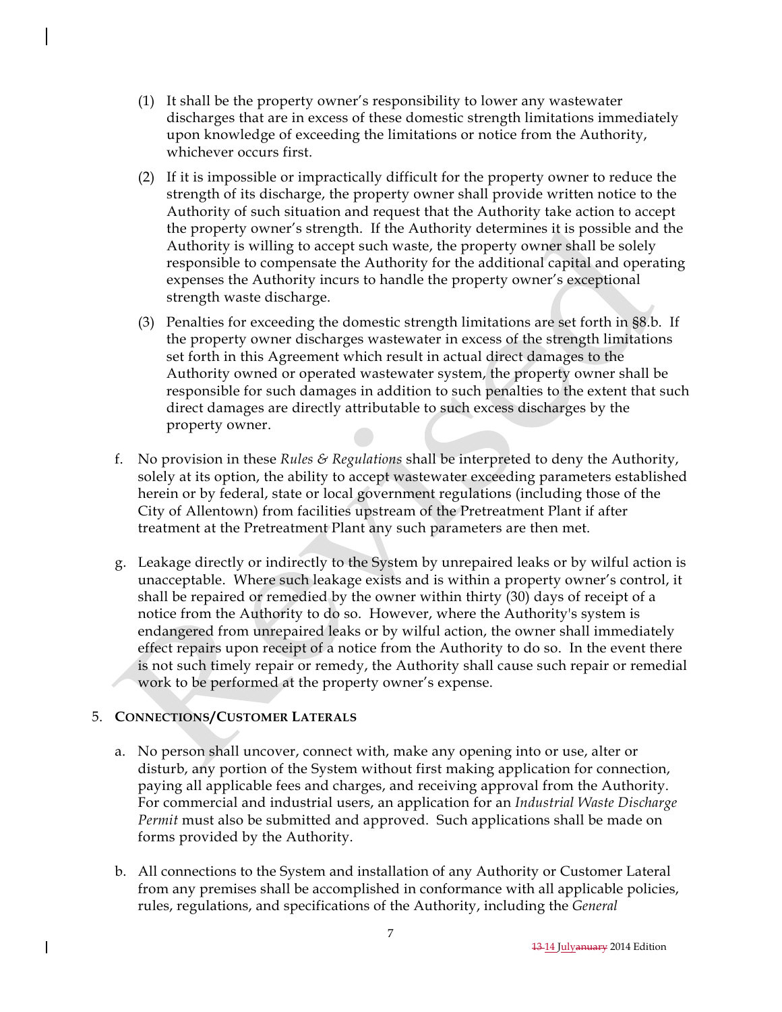- (1) It shall be the property owner's responsibility to lower any wastewater discharges that are in excess of these domestic strength limitations immediately upon knowledge of exceeding the limitations or notice from the Authority, whichever occurs first.
- (2) If it is impossible or impractically difficult for the property owner to reduce the strength of its discharge, the property owner shall provide written notice to the Authority of such situation and request that the Authority take action to accept the property owner's strength. If the Authority determines it is possible and the Authority is willing to accept such waste, the property owner shall be solely responsible to compensate the Authority for the additional capital and operating expenses the Authority incurs to handle the property owner's exceptional strength waste discharge.
- (3) Penalties for exceeding the domestic strength limitations are set forth in §8.b. If the property owner discharges wastewater in excess of the strength limitations set forth in this Agreement which result in actual direct damages to the Authority owned or operated wastewater system, the property owner shall be responsible for such damages in addition to such penalties to the extent that such direct damages are directly attributable to such excess discharges by the property owner.
- f. No provision in these *Rules & Regulations* shall be interpreted to deny the Authority, solely at its option, the ability to accept wastewater exceeding parameters established herein or by federal, state or local government regulations (including those of the City of Allentown) from facilities upstream of the Pretreatment Plant if after treatment at the Pretreatment Plant any such parameters are then met.
- g. Leakage directly or indirectly to the System by unrepaired leaks or by wilful action is unacceptable. Where such leakage exists and is within a property owner's control, it shall be repaired or remedied by the owner within thirty (30) days of receipt of a notice from the Authority to do so. However, where the Authority's system is endangered from unrepaired leaks or by wilful action, the owner shall immediately effect repairs upon receipt of a notice from the Authority to do so. In the event there is not such timely repair or remedy, the Authority shall cause such repair or remedial work to be performed at the property owner's expense.

## 5. **CONNECTIONS/CUSTOMER LATERALS**

- a. No person shall uncover, connect with, make any opening into or use, alter or disturb, any portion of the System without first making application for connection, paying all applicable fees and charges, and receiving approval from the Authority. For commercial and industrial users, an application for an *Industrial Waste Discharge Permit* must also be submitted and approved. Such applications shall be made on forms provided by the Authority.
- b. All connections to the System and installation of any Authority or Customer Lateral from any premises shall be accomplished in conformance with all applicable policies, rules, regulations, and specifications of the Authority, including the *General*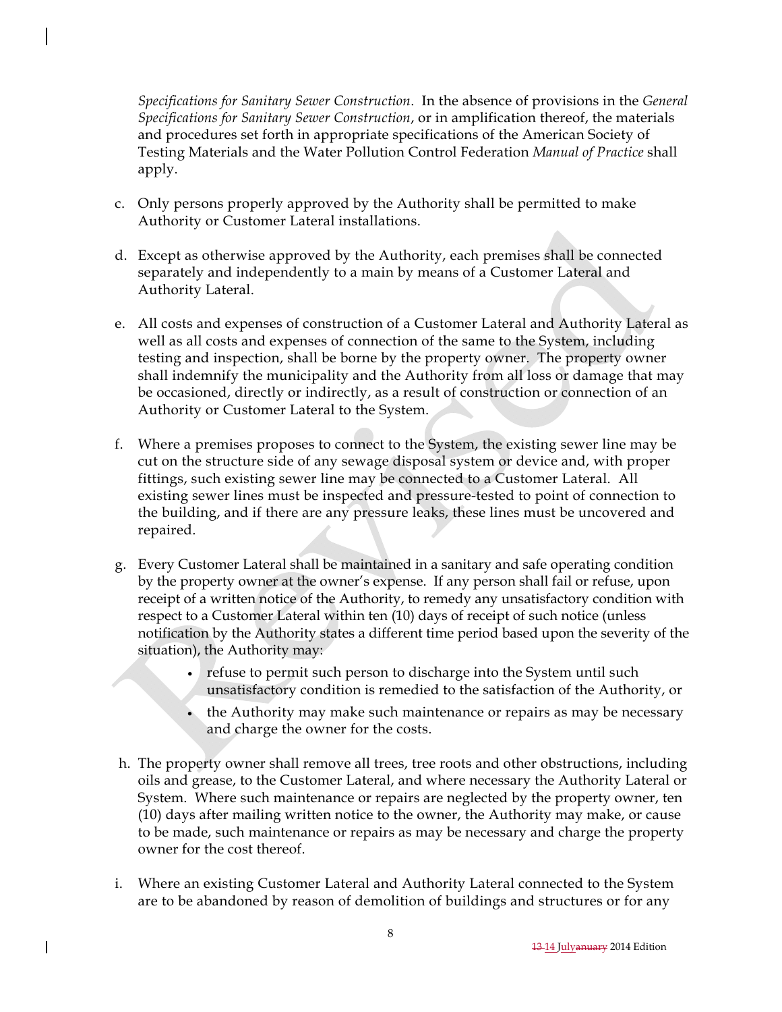*Specifications for Sanitary Sewer Construction*. In the absence of provisions in the *General Specifications for Sanitary Sewer Construction*, or in amplification thereof, the materials and procedures set forth in appropriate specifications of the American Society of Testing Materials and the Water Pollution Control Federation *Manual of Practice* shall apply.

- c. Only persons properly approved by the Authority shall be permitted to make Authority or Customer Lateral installations.
- d. Except as otherwise approved by the Authority, each premises shall be connected separately and independently to a main by means of a Customer Lateral and Authority Lateral.
- e. All costs and expenses of construction of a Customer Lateral and Authority Lateral as well as all costs and expenses of connection of the same to the System, including testing and inspection, shall be borne by the property owner. The property owner shall indemnify the municipality and the Authority from all loss or damage that may be occasioned, directly or indirectly, as a result of construction or connection of an Authority or Customer Lateral to the System.
- f. Where a premises proposes to connect to the System, the existing sewer line may be cut on the structure side of any sewage disposal system or device and, with proper fittings, such existing sewer line may be connected to a Customer Lateral. All existing sewer lines must be inspected and pressure-tested to point of connection to the building, and if there are any pressure leaks, these lines must be uncovered and repaired.
- g. Every Customer Lateral shall be maintained in a sanitary and safe operating condition by the property owner at the owner's expense. If any person shall fail or refuse, upon receipt of a written notice of the Authority, to remedy any unsatisfactory condition with respect to a Customer Lateral within ten (10) days of receipt of such notice (unless notification by the Authority states a different time period based upon the severity of the situation), the Authority may:
	- refuse to permit such person to discharge into the System until such unsatisfactory condition is remedied to the satisfaction of the Authority, or
	- the Authority may make such maintenance or repairs as may be necessary and charge the owner for the costs.
- h. The property owner shall remove all trees, tree roots and other obstructions, including oils and grease, to the Customer Lateral, and where necessary the Authority Lateral or System. Where such maintenance or repairs are neglected by the property owner, ten (10) days after mailing written notice to the owner, the Authority may make, or cause to be made, such maintenance or repairs as may be necessary and charge the property owner for the cost thereof.
- i. Where an existing Customer Lateral and Authority Lateral connected to the System are to be abandoned by reason of demolition of buildings and structures or for any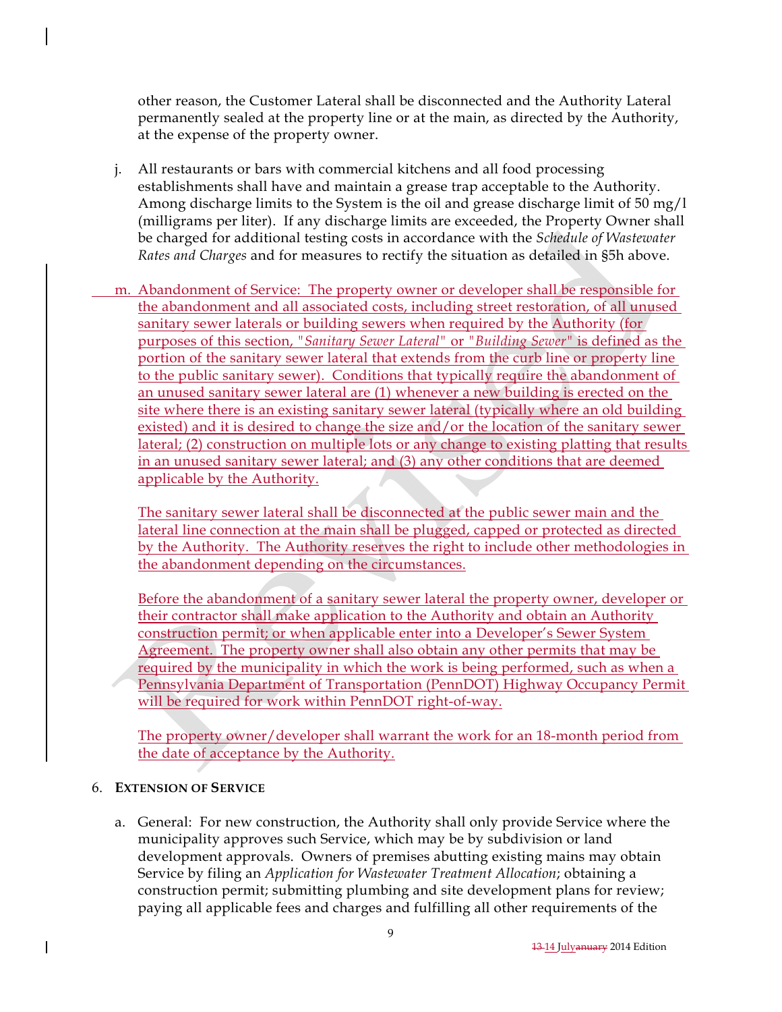other reason, the Customer Lateral shall be disconnected and the Authority Lateral permanently sealed at the property line or at the main, as directed by the Authority, at the expense of the property owner.

- j. All restaurants or bars with commercial kitchens and all food processing establishments shall have and maintain a grease trap acceptable to the Authority. Among discharge limits to the System is the oil and grease discharge limit of 50 mg/l (milligrams per liter). If any discharge limits are exceeded, the Property Owner shall be charged for additional testing costs in accordance with the *Schedule of Wastewater Rates and Charges* and for measures to rectify the situation as detailed in §5h above.
- m. Abandonment of Service: The property owner or developer shall be responsible for the abandonment and all associated costs, including street restoration, of all unused sanitary sewer laterals or building sewers when required by the Authority (for purposes of this section, *"Sanitary Sewer Lateral"* or *"Building Sewer"* is defined as the portion of the sanitary sewer lateral that extends from the curb line or property line to the public sanitary sewer). Conditions that typically require the abandonment of an unused sanitary sewer lateral are (1) whenever a new building is erected on the site where there is an existing sanitary sewer lateral (typically where an old building existed) and it is desired to change the size and/or the location of the sanitary sewer lateral; (2) construction on multiple lots or any change to existing platting that results in an unused sanitary sewer lateral; and (3) any other conditions that are deemed applicable by the Authority.

The sanitary sewer lateral shall be disconnected at the public sewer main and the lateral line connection at the main shall be plugged, capped or protected as directed by the Authority. The Authority reserves the right to include other methodologies in the abandonment depending on the circumstances.

Before the abandonment of a sanitary sewer lateral the property owner, developer or their contractor shall make application to the Authority and obtain an Authority construction permit; or when applicable enter into a Developer's Sewer System Agreement. The property owner shall also obtain any other permits that may be required by the municipality in which the work is being performed, such as when a Pennsylvania Department of Transportation (PennDOT) Highway Occupancy Permit will be required for work within PennDOT right-of-way.

The property owner/developer shall warrant the work for an 18-month period from the date of acceptance by the Authority.

### 6. **EXTENSION OF SERVICE**

a. General: For new construction, the Authority shall only provide Service where the municipality approves such Service, which may be by subdivision or land development approvals. Owners of premises abutting existing mains may obtain Service by filing an *Application for Wastewater Treatment Allocation*; obtaining a construction permit; submitting plumbing and site development plans for review; paying all applicable fees and charges and fulfilling all other requirements of the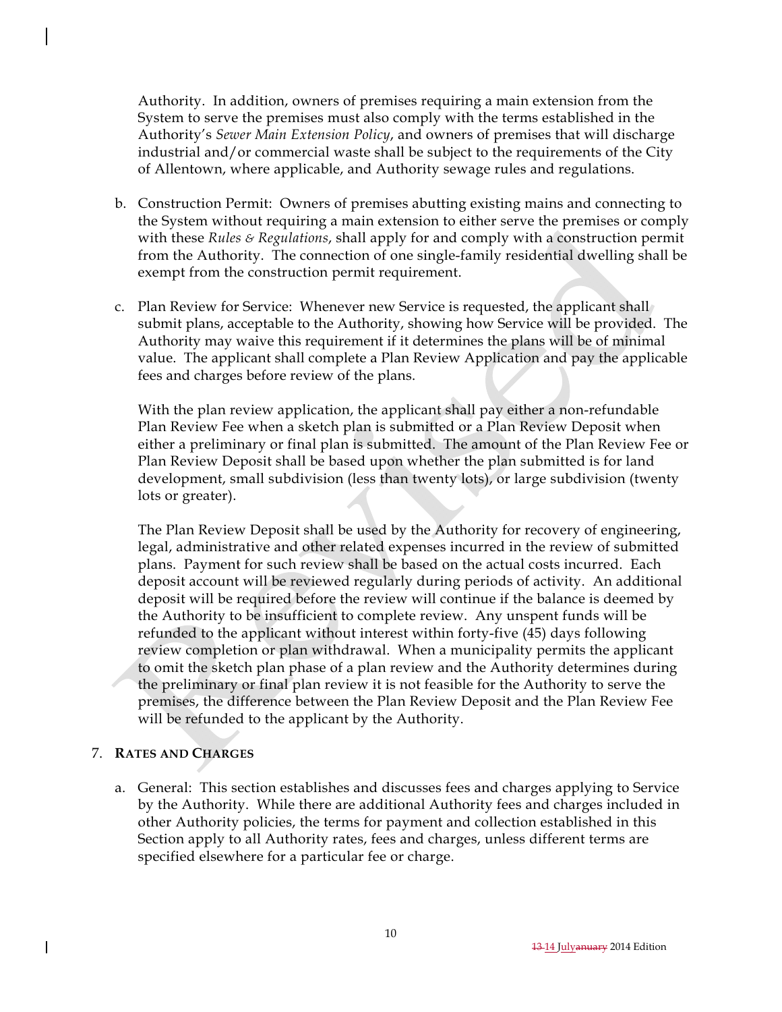Authority. In addition, owners of premises requiring a main extension from the System to serve the premises must also comply with the terms established in the Authority's *Sewer Main Extension Policy*, and owners of premises that will discharge industrial and/or commercial waste shall be subject to the requirements of the City of Allentown, where applicable, and Authority sewage rules and regulations.

- b. Construction Permit: Owners of premises abutting existing mains and connecting to the System without requiring a main extension to either serve the premises or comply with these *Rules & Regulations*, shall apply for and comply with a construction permit from the Authority. The connection of one single-family residential dwelling shall be exempt from the construction permit requirement.
- c. Plan Review for Service: Whenever new Service is requested, the applicant shall submit plans, acceptable to the Authority, showing how Service will be provided. The Authority may waive this requirement if it determines the plans will be of minimal value. The applicant shall complete a Plan Review Application and pay the applicable fees and charges before review of the plans.

With the plan review application, the applicant shall pay either a non-refundable Plan Review Fee when a sketch plan is submitted or a Plan Review Deposit when either a preliminary or final plan is submitted. The amount of the Plan Review Fee or Plan Review Deposit shall be based upon whether the plan submitted is for land development, small subdivision (less than twenty lots), or large subdivision (twenty lots or greater).

The Plan Review Deposit shall be used by the Authority for recovery of engineering, legal, administrative and other related expenses incurred in the review of submitted plans. Payment for such review shall be based on the actual costs incurred. Each deposit account will be reviewed regularly during periods of activity. An additional deposit will be required before the review will continue if the balance is deemed by the Authority to be insufficient to complete review. Any unspent funds will be refunded to the applicant without interest within forty-five (45) days following review completion or plan withdrawal. When a municipality permits the applicant to omit the sketch plan phase of a plan review and the Authority determines during the preliminary or final plan review it is not feasible for the Authority to serve the premises, the difference between the Plan Review Deposit and the Plan Review Fee will be refunded to the applicant by the Authority.

## 7. **RATES AND CHARGES**

a. General: This section establishes and discusses fees and charges applying to Service by the Authority. While there are additional Authority fees and charges included in other Authority policies, the terms for payment and collection established in this Section apply to all Authority rates, fees and charges, unless different terms are specified elsewhere for a particular fee or charge.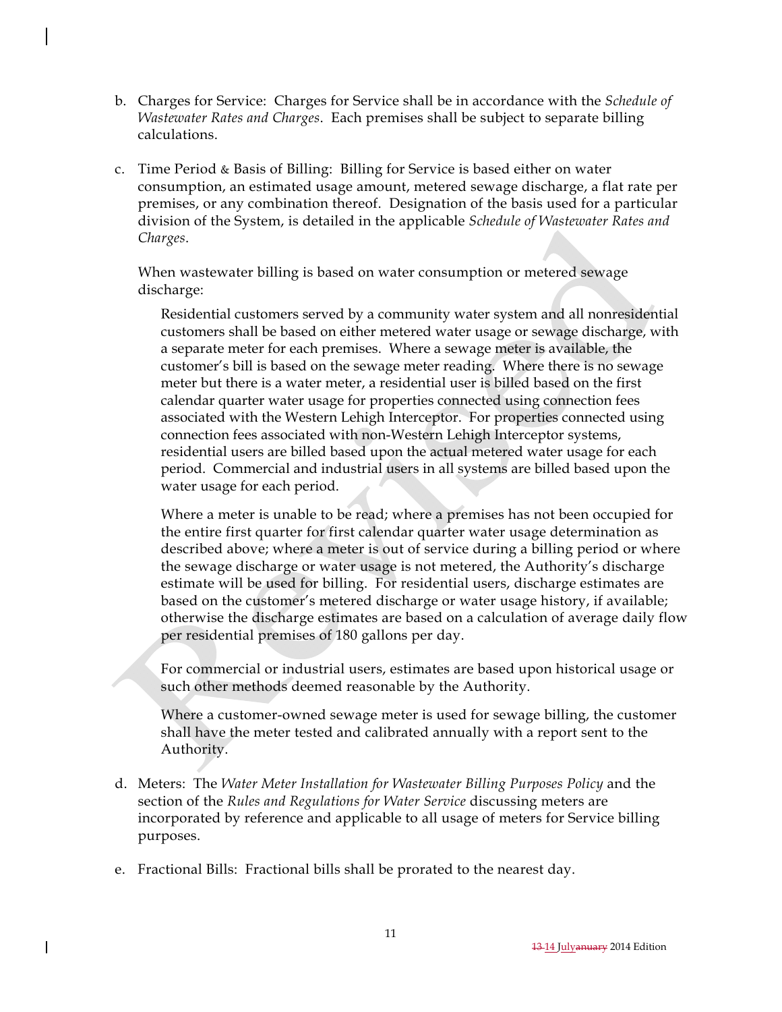- b. Charges for Service: Charges for Service shall be in accordance with the *Schedule of Wastewater Rates and Charges*. Each premises shall be subject to separate billing calculations.
- c. Time Period & Basis of Billing: Billing for Service is based either on water consumption, an estimated usage amount, metered sewage discharge, a flat rate per premises, or any combination thereof. Designation of the basis used for a particular division of the System, is detailed in the applicable *Schedule of Wastewater Rates and Charges*.

When wastewater billing is based on water consumption or metered sewage discharge:

Residential customers served by a community water system and all nonresidential customers shall be based on either metered water usage or sewage discharge, with a separate meter for each premises. Where a sewage meter is available, the customer's bill is based on the sewage meter reading. Where there is no sewage meter but there is a water meter, a residential user is billed based on the first calendar quarter water usage for properties connected using connection fees associated with the Western Lehigh Interceptor. For properties connected using connection fees associated with non-Western Lehigh Interceptor systems, residential users are billed based upon the actual metered water usage for each period. Commercial and industrial users in all systems are billed based upon the water usage for each period.

Where a meter is unable to be read; where a premises has not been occupied for the entire first quarter for first calendar quarter water usage determination as described above; where a meter is out of service during a billing period or where the sewage discharge or water usage is not metered, the Authority's discharge estimate will be used for billing. For residential users, discharge estimates are based on the customer's metered discharge or water usage history, if available; otherwise the discharge estimates are based on a calculation of average daily flow per residential premises of 180 gallons per day.

For commercial or industrial users, estimates are based upon historical usage or such other methods deemed reasonable by the Authority.

Where a customer-owned sewage meter is used for sewage billing, the customer shall have the meter tested and calibrated annually with a report sent to the Authority.

- d. Meters: The *Water Meter Installation for Wastewater Billing Purposes Policy* and the section of the *Rules and Regulations for Water Service* discussing meters are incorporated by reference and applicable to all usage of meters for Service billing purposes.
- e. Fractional Bills: Fractional bills shall be prorated to the nearest day.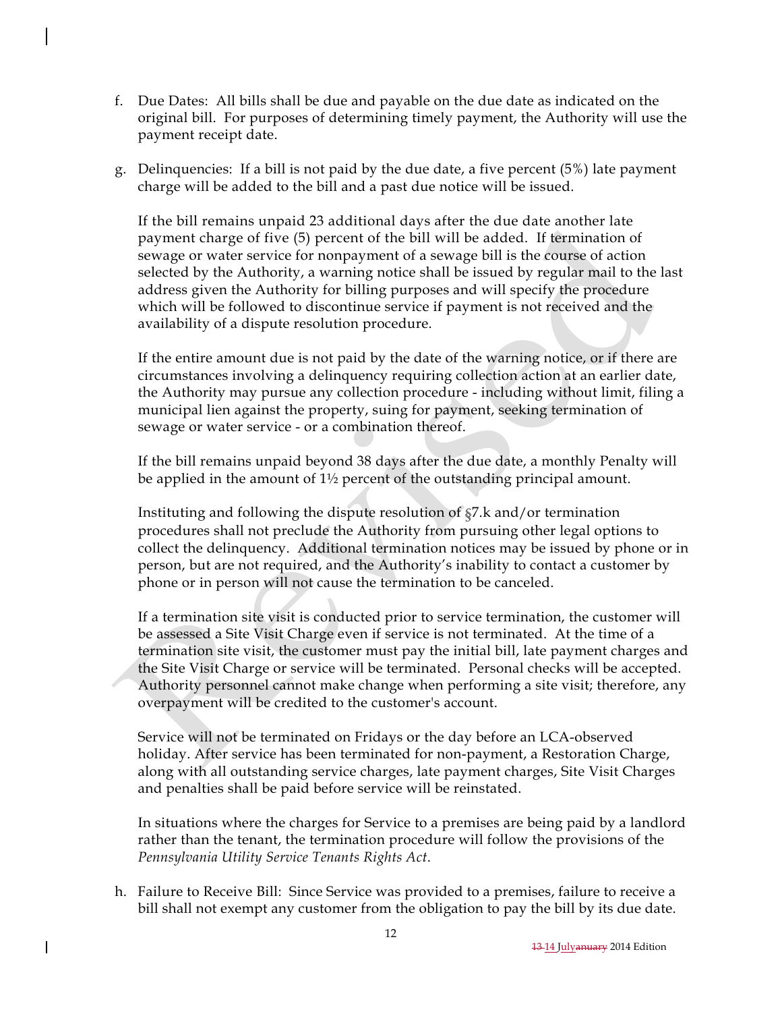- f. Due Dates: All bills shall be due and payable on the due date as indicated on the original bill. For purposes of determining timely payment, the Authority will use the payment receipt date.
- g. Delinquencies: If a bill is not paid by the due date, a five percent (5%) late payment charge will be added to the bill and a past due notice will be issued.

If the bill remains unpaid 23 additional days after the due date another late payment charge of five (5) percent of the bill will be added. If termination of sewage or water service for nonpayment of a sewage bill is the course of action selected by the Authority, a warning notice shall be issued by regular mail to the last address given the Authority for billing purposes and will specify the procedure which will be followed to discontinue service if payment is not received and the availability of a dispute resolution procedure.

If the entire amount due is not paid by the date of the warning notice, or if there are circumstances involving a delinquency requiring collection action at an earlier date, the Authority may pursue any collection procedure - including without limit, filing a municipal lien against the property, suing for payment, seeking termination of sewage or water service - or a combination thereof.

If the bill remains unpaid beyond 38 days after the due date, a monthly Penalty will be applied in the amount of 1½ percent of the outstanding principal amount.

Instituting and following the dispute resolution of §7.k and/or termination procedures shall not preclude the Authority from pursuing other legal options to collect the delinquency. Additional termination notices may be issued by phone or in person, but are not required, and the Authority's inability to contact a customer by phone or in person will not cause the termination to be canceled.

If a termination site visit is conducted prior to service termination, the customer will be assessed a Site Visit Charge even if service is not terminated. At the time of a termination site visit, the customer must pay the initial bill, late payment charges and the Site Visit Charge or service will be terminated. Personal checks will be accepted. Authority personnel cannot make change when performing a site visit; therefore, any overpayment will be credited to the customer's account.

Service will not be terminated on Fridays or the day before an LCA-observed holiday. After service has been terminated for non-payment, a Restoration Charge, along with all outstanding service charges, late payment charges, Site Visit Charges and penalties shall be paid before service will be reinstated.

In situations where the charges for Service to a premises are being paid by a landlord rather than the tenant, the termination procedure will follow the provisions of the *Pennsylvania Utility Service Tenants Rights Act*.

h. Failure to Receive Bill: Since Service was provided to a premises, failure to receive a bill shall not exempt any customer from the obligation to pay the bill by its due date.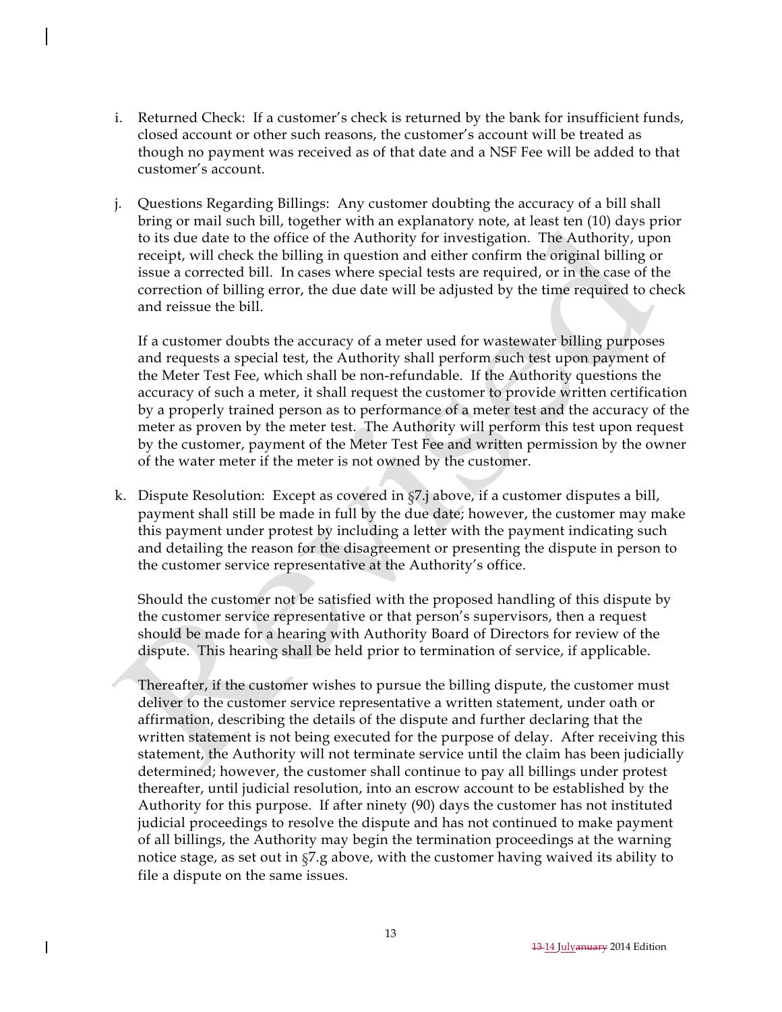- i. Returned Check: If a customer's check is returned by the bank for insufficient funds, closed account or other such reasons, the customer's account will be treated as though no payment was received as of that date and a NSF Fee will be added to that customer's account.
- j. Questions Regarding Billings: Any customer doubting the accuracy of a bill shall bring or mail such bill, together with an explanatory note, at least ten (10) days prior to its due date to the office of the Authority for investigation. The Authority, upon receipt, will check the billing in question and either confirm the original billing or issue a corrected bill. In cases where special tests are required, or in the case of the correction of billing error, the due date will be adjusted by the time required to check and reissue the bill.

If a customer doubts the accuracy of a meter used for wastewater billing purposes and requests a special test, the Authority shall perform such test upon payment of the Meter Test Fee, which shall be non-refundable. If the Authority questions the accuracy of such a meter, it shall request the customer to provide written certification by a properly trained person as to performance of a meter test and the accuracy of the meter as proven by the meter test. The Authority will perform this test upon request by the customer, payment of the Meter Test Fee and written permission by the owner of the water meter if the meter is not owned by the customer.

k. Dispute Resolution:Except as covered in §7.j above, if a customer disputes a bill, payment shall still be made in full by the due date; however, the customer may make this payment under protest by including a letter with the payment indicating such and detailing the reason for the disagreement or presenting the dispute in person to the customer service representative at the Authority's office.

Should the customer not be satisfied with the proposed handling of this dispute by the customer service representative or that person's supervisors, then a request should be made for a hearing with Authority Board of Directors for review of the dispute. This hearing shall be held prior to termination of service, if applicable.

Thereafter, if the customer wishes to pursue the billing dispute, the customer must deliver to the customer service representative a written statement, under oath or affirmation, describing the details of the dispute and further declaring that the written statement is not being executed for the purpose of delay. After receiving this statement, the Authority will not terminate service until the claim has been judicially determined; however, the customer shall continue to pay all billings under protest thereafter, until judicial resolution, into an escrow account to be established by the Authority for this purpose. If after ninety (90) days the customer has not instituted judicial proceedings to resolve the dispute and has not continued to make payment of all billings, the Authority may begin the termination proceedings at the warning notice stage, as set out in §7.g above, with the customer having waived its ability to file a dispute on the same issues.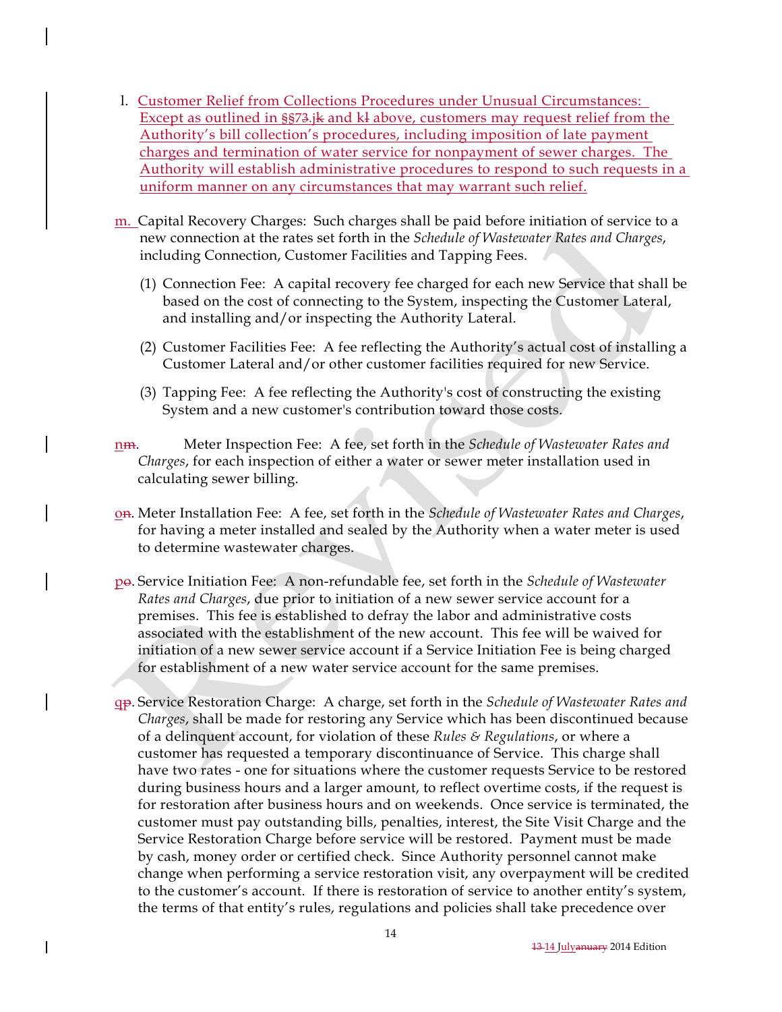- l. Customer Relief from Collections Procedures under Unusual Circumstances: Except as outlined in §§73.jk and kl above, customers may request relief from the Authority's bill collection's procedures, including imposition of late payment charges and termination of water service for nonpayment of sewer charges. The Authority will establish administrative procedures to respond to such requests in a uniform manner on any circumstances that may warrant such relief.
- m. Capital Recovery Charges: Such charges shall be paid before initiation of service to a new connection at the rates set forth in the *Schedule of Wastewater Rates and Charges*, including Connection, Customer Facilities and Tapping Fees.
	- (1) Connection Fee: A capital recovery fee charged for each new Service that shall be based on the cost of connecting to the System, inspecting the Customer Lateral, and installing and/or inspecting the Authority Lateral.
	- (2) Customer Facilities Fee: A fee reflecting the Authority's actual cost of installing a Customer Lateral and/or other customer facilities required for new Service.
	- (3) Tapping Fee: A fee reflecting the Authority's cost of constructing the existing System and a new customer's contribution toward those costs.
- nm. Meter Inspection Fee: A fee, set forth in the *Schedule of Wastewater Rates and Charges*, for each inspection of either a water or sewer meter installation used in calculating sewer billing.
- on. Meter Installation Fee: A fee, set forth in the *Schedule of Wastewater Rates and Charges*, for having a meter installed and sealed by the Authority when a water meter is used to determine wastewater charges.
- po. Service Initiation Fee: A non-refundable fee, set forth in the *Schedule of Wastewater Rates and Charges*, due prior to initiation of a new sewer service account for a premises. This fee is established to defray the labor and administrative costs associated with the establishment of the new account. This fee will be waived for initiation of a new sewer service account if a Service Initiation Fee is being charged for establishment of a new water service account for the same premises.
- qp. Service Restoration Charge: A charge, set forth in the *Schedule of Wastewater Rates and Charges*, shall be made for restoring any Service which has been discontinued because of a delinquent account, for violation of these *Rules & Regulations*, or where a customer has requested a temporary discontinuance of Service. This charge shall have two rates - one for situations where the customer requests Service to be restored during business hours and a larger amount, to reflect overtime costs, if the request is for restoration after business hours and on weekends. Once service is terminated, the customer must pay outstanding bills, penalties, interest, the Site Visit Charge and the Service Restoration Charge before service will be restored. Payment must be made by cash, money order or certified check. Since Authority personnel cannot make change when performing a service restoration visit, any overpayment will be credited to the customer's account. If there is restoration of service to another entity's system, the terms of that entity's rules, regulations and policies shall take precedence over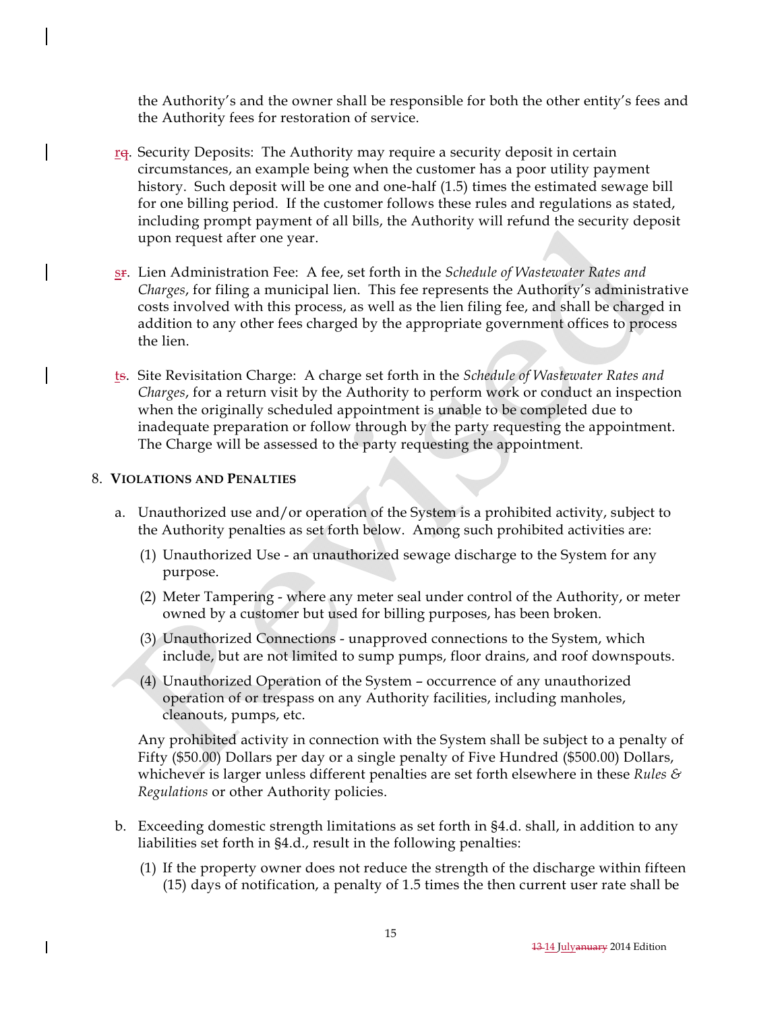the Authority's and the owner shall be responsible for both the other entity's fees and the Authority fees for restoration of service.

- re. Security Deposits: The Authority may require a security deposit in certain circumstances, an example being when the customer has a poor utility payment history. Such deposit will be one and one-half (1.5) times the estimated sewage bill for one billing period. If the customer follows these rules and regulations as stated, including prompt payment of all bills, the Authority will refund the security deposit upon request after one year.
- sr. Lien Administration Fee: A fee, set forth in the *Schedule of Wastewater Rates and Charges*, for filing a municipal lien. This fee represents the Authority's administrative costs involved with this process, as well as the lien filing fee, and shall be charged in addition to any other fees charged by the appropriate government offices to process the lien.
- ts. Site Revisitation Charge: A charge set forth in the *Schedule of Wastewater Rates and Charges*, for a return visit by the Authority to perform work or conduct an inspection when the originally scheduled appointment is unable to be completed due to inadequate preparation or follow through by the party requesting the appointment. The Charge will be assessed to the party requesting the appointment.

#### 8. **VIOLATIONS AND PENALTIES**

- a. Unauthorized use and/or operation of the System is a prohibited activity, subject to the Authority penalties as set forth below. Among such prohibited activities are:
	- (1) Unauthorized Use an unauthorized sewage discharge to the System for any purpose.
	- (2) Meter Tampering where any meter seal under control of the Authority, or meter owned by a customer but used for billing purposes, has been broken.
	- (3) Unauthorized Connections unapproved connections to the System, which include, but are not limited to sump pumps, floor drains, and roof downspouts.
	- (4) Unauthorized Operation of the System occurrence of any unauthorized operation of or trespass on any Authority facilities, including manholes, cleanouts, pumps, etc.

Any prohibited activity in connection with the System shall be subject to a penalty of Fifty (\$50.00) Dollars per day or a single penalty of Five Hundred (\$500.00) Dollars, whichever is larger unless different penalties are set forth elsewhere in these *Rules & Regulations* or other Authority policies.

- b. Exceeding domestic strength limitations as set forth in §4.d. shall, in addition to any liabilities set forth in §4.d., result in the following penalties:
	- (1) If the property owner does not reduce the strength of the discharge within fifteen (15) days of notification, a penalty of 1.5 times the then current user rate shall be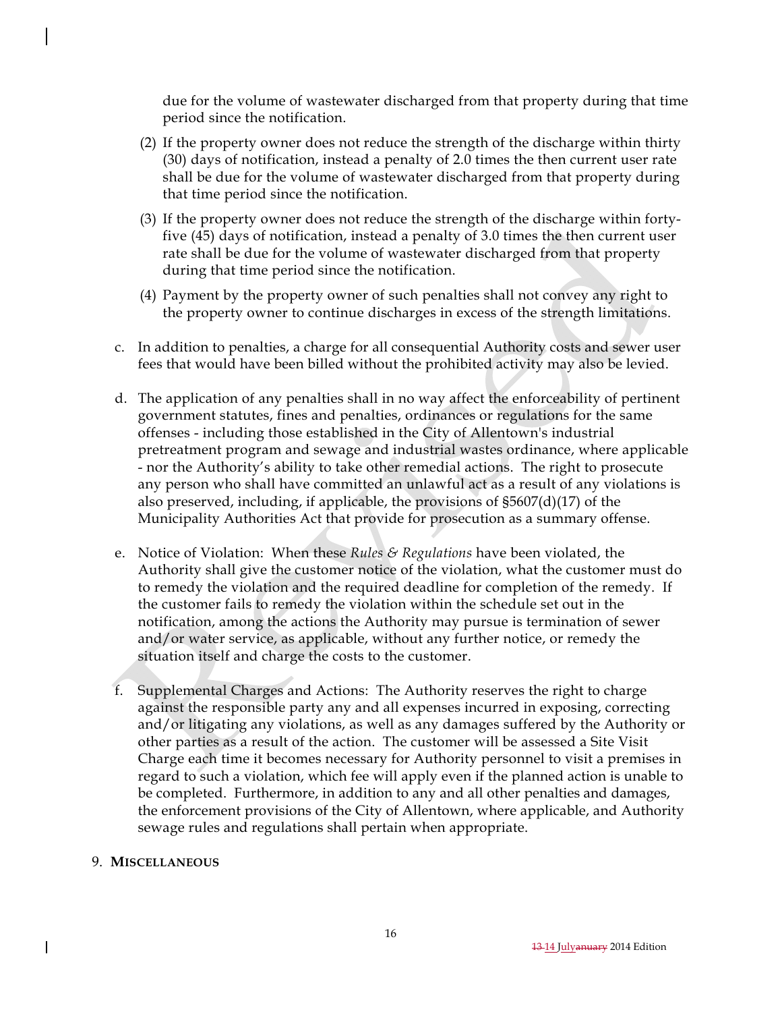due for the volume of wastewater discharged from that property during that time period since the notification.

- (2) If the property owner does not reduce the strength of the discharge within thirty (30) days of notification, instead a penalty of 2.0 times the then current user rate shall be due for the volume of wastewater discharged from that property during that time period since the notification.
- (3) If the property owner does not reduce the strength of the discharge within fortyfive (45) days of notification, instead a penalty of 3.0 times the then current user rate shall be due for the volume of wastewater discharged from that property during that time period since the notification.
- (4) Payment by the property owner of such penalties shall not convey any right to the property owner to continue discharges in excess of the strength limitations.
- c. In addition to penalties, a charge for all consequential Authority costs and sewer user fees that would have been billed without the prohibited activity may also be levied.
- d. The application of any penalties shall in no way affect the enforceability of pertinent government statutes, fines and penalties, ordinances or regulations for the same offenses - including those established in the City of Allentown's industrial pretreatment program and sewage and industrial wastes ordinance, where applicable - nor the Authority's ability to take other remedial actions. The right to prosecute any person who shall have committed an unlawful act as a result of any violations is also preserved, including, if applicable, the provisions of §5607(d)(17) of the Municipality Authorities Act that provide for prosecution as a summary offense.
- e. Notice of Violation: When these *Rules & Regulations* have been violated, the Authority shall give the customer notice of the violation, what the customer must do to remedy the violation and the required deadline for completion of the remedy. If the customer fails to remedy the violation within the schedule set out in the notification, among the actions the Authority may pursue is termination of sewer and/or water service, as applicable, without any further notice, or remedy the situation itself and charge the costs to the customer.
- f. Supplemental Charges and Actions: The Authority reserves the right to charge against the responsible party any and all expenses incurred in exposing, correcting and/or litigating any violations, as well as any damages suffered by the Authority or other parties as a result of the action. The customer will be assessed a Site Visit Charge each time it becomes necessary for Authority personnel to visit a premises in regard to such a violation, which fee will apply even if the planned action is unable to be completed. Furthermore, in addition to any and all other penalties and damages, the enforcement provisions of the City of Allentown, where applicable, and Authority sewage rules and regulations shall pertain when appropriate.

### 9. **MISCELLANEOUS**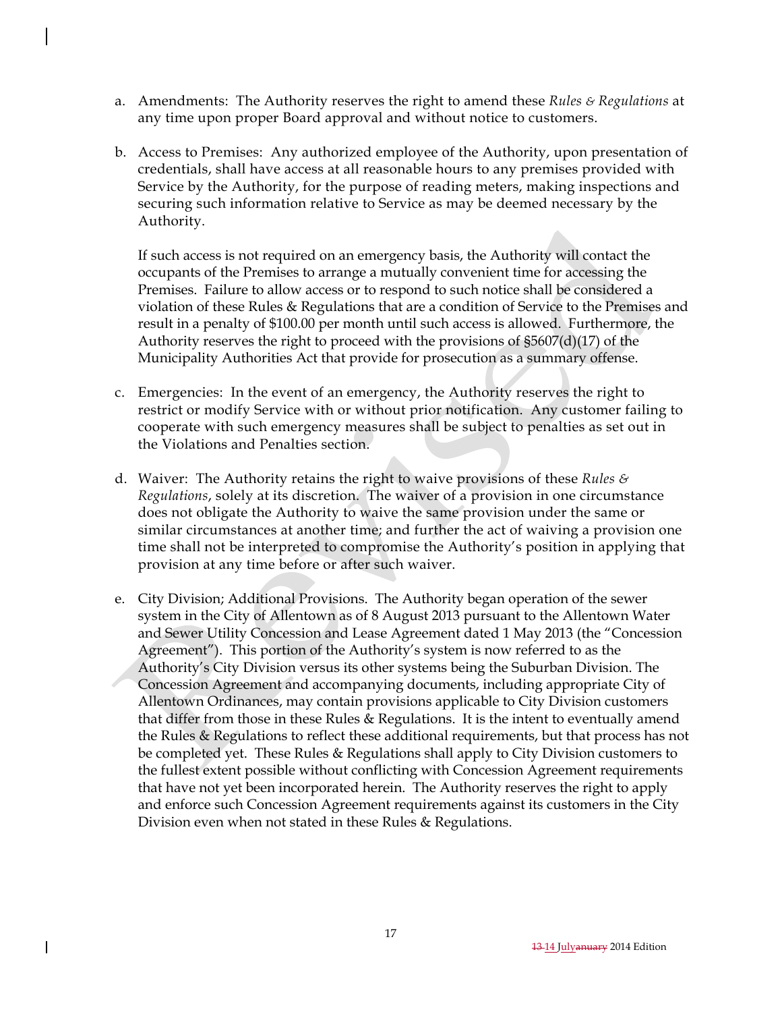- a. Amendments: The Authority reserves the right to amend these *Rules & Regulations* at any time upon proper Board approval and without notice to customers.
- b. Access to Premises: Any authorized employee of the Authority, upon presentation of credentials, shall have access at all reasonable hours to any premises provided with Service by the Authority, for the purpose of reading meters, making inspections and securing such information relative to Service as may be deemed necessary by the Authority.

If such access is not required on an emergency basis, the Authority will contact the occupants of the Premises to arrange a mutually convenient time for accessing the Premises. Failure to allow access or to respond to such notice shall be considered a violation of these Rules & Regulations that are a condition of Service to the Premises and result in a penalty of \$100.00 per month until such access is allowed. Furthermore, the Authority reserves the right to proceed with the provisions of §5607(d)(17) of the Municipality Authorities Act that provide for prosecution as a summary offense.

- c. Emergencies: In the event of an emergency, the Authority reserves the right to restrict or modify Service with or without prior notification. Any customer failing to cooperate with such emergency measures shall be subject to penalties as set out in the Violations and Penalties section.
- d. Waiver: The Authority retains the right to waive provisions of these *Rules & Regulations*, solely at its discretion. The waiver of a provision in one circumstance does not obligate the Authority to waive the same provision under the same or similar circumstances at another time; and further the act of waiving a provision one time shall not be interpreted to compromise the Authority's position in applying that provision at any time before or after such waiver.
- e. City Division; Additional Provisions. The Authority began operation of the sewer system in the City of Allentown as of 8 August 2013 pursuant to the Allentown Water and Sewer Utility Concession and Lease Agreement dated 1 May 2013 (the "Concession Agreement"). This portion of the Authority's system is now referred to as the Authority's City Division versus its other systems being the Suburban Division. The Concession Agreement and accompanying documents, including appropriate City of Allentown Ordinances, may contain provisions applicable to City Division customers that differ from those in these Rules & Regulations. It is the intent to eventually amend the Rules & Regulations to reflect these additional requirements, but that process has not be completed yet. These Rules & Regulations shall apply to City Division customers to the fullest extent possible without conflicting with Concession Agreement requirements that have not yet been incorporated herein. The Authority reserves the right to apply and enforce such Concession Agreement requirements against its customers in the City Division even when not stated in these Rules & Regulations.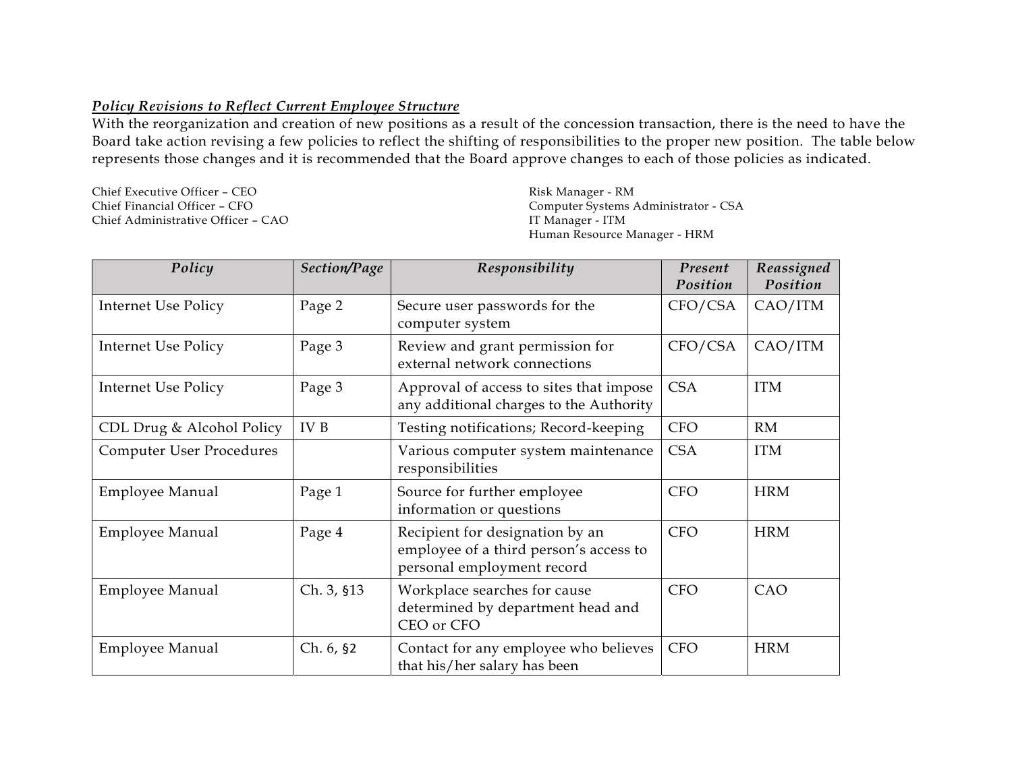## *Policy Revisions to Reflect Current Employee Structure*

With the reorganization and creation of new positions as a result of the concession transaction, there is the need to have the Board take action revising a few policies to reflect the shifting of responsibilities to the proper new position. The table below represents those changes and it is recommended that the Board approve changes to each of those policies as indicated.

Chief Executive Officer – CEO Chief Financial Officer – CFO Chief Administrative Officer – CAO Risk Manager - RM Computer Systems Administrator - CSA IT Manager - ITM Human Resource Manager - HRM

| Policy                          | Section/Page | Responsibility                                                                                          | Present<br>Position | Reassigned<br>Position |
|---------------------------------|--------------|---------------------------------------------------------------------------------------------------------|---------------------|------------------------|
| Internet Use Policy             | Page 2       | Secure user passwords for the<br>computer system                                                        | CFO/CSA             | CAO/ITM                |
| <b>Internet Use Policy</b>      | Page 3       | Review and grant permission for<br>external network connections                                         | CFO/CSA             | CAO/ITM                |
| <b>Internet Use Policy</b>      | Page 3       | Approval of access to sites that impose<br>any additional charges to the Authority                      | <b>CSA</b>          | <b>ITM</b>             |
| CDL Drug & Alcohol Policy       | IV B         | Testing notifications; Record-keeping                                                                   | <b>CFO</b>          | RM                     |
| <b>Computer User Procedures</b> |              | Various computer system maintenance<br>responsibilities                                                 | <b>CSA</b>          | <b>ITM</b>             |
| <b>Employee Manual</b>          | Page 1       | Source for further employee<br>information or questions                                                 | <b>CFO</b>          | <b>HRM</b>             |
| <b>Employee Manual</b>          | Page 4       | Recipient for designation by an<br>employee of a third person's access to<br>personal employment record | <b>CFO</b>          | <b>HRM</b>             |
| <b>Employee Manual</b>          | Ch. 3, §13   | Workplace searches for cause<br>determined by department head and<br>CEO or CFO                         | <b>CFO</b>          | CAO                    |
| <b>Employee Manual</b>          | Ch. 6, \$2   | Contact for any employee who believes<br>that his/her salary has been                                   | <b>CFO</b>          | <b>HRM</b>             |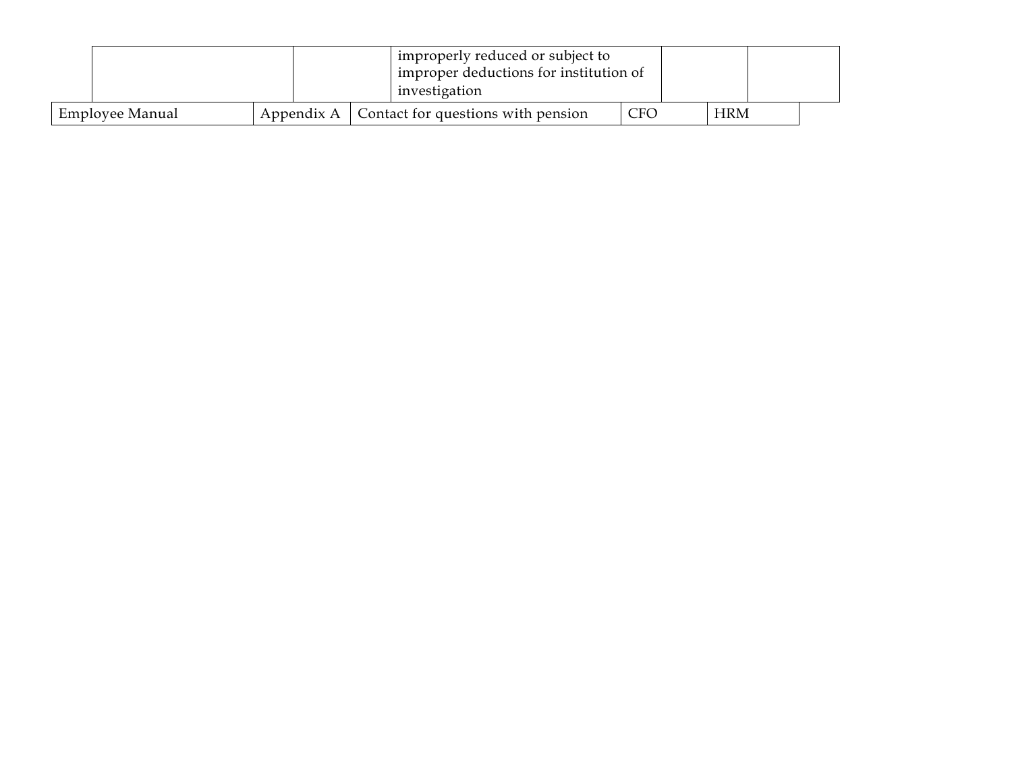|                 |  |                                                      | improperly reduced or subject to<br>improper deductions for institution of<br>investigation |            |  |            |  |
|-----------------|--|------------------------------------------------------|---------------------------------------------------------------------------------------------|------------|--|------------|--|
| Employee Manual |  | Appendix A $\mid$ Contact for questions with pension |                                                                                             | <b>CEO</b> |  | <b>HRM</b> |  |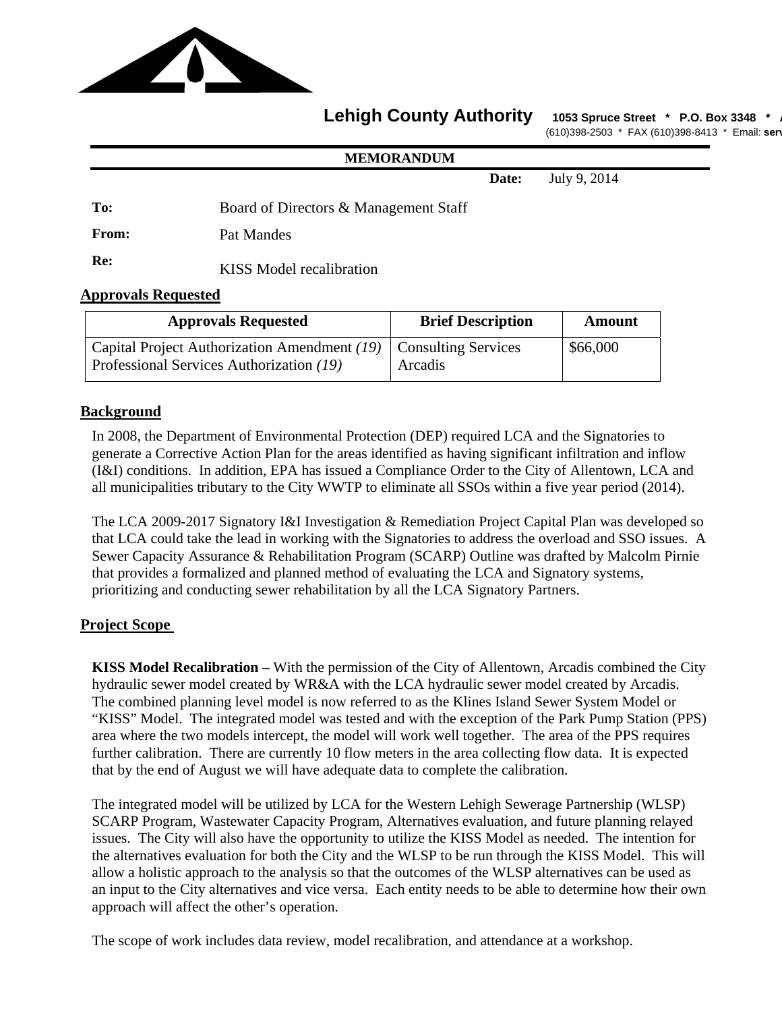

## Lehigh County Authority 1053 Spruce Street \* P.O. Box 3348

(610)398-2503 \* FAX (610)398-8413 \* Email: **serv**

#### **MEMORANDUM**

**Date:** July 9, 2014

**To:** Board of Directors & Management Staff

**From:** Pat Mandes

**Re:** KISS Model recalibration

## **Approvals Requested**

| <b>Approvals Requested</b>                                                                                     | <b>Brief Description</b> | <b>Amount</b> |  |  |
|----------------------------------------------------------------------------------------------------------------|--------------------------|---------------|--|--|
| Capital Project Authorization Amendment (19)   Consulting Services<br>Professional Services Authorization (19) | Arcadis                  | \$66,000      |  |  |

## **Background**

In 2008, the Department of Environmental Protection (DEP) required LCA and the Signatories to generate a Corrective Action Plan for the areas identified as having significant infiltration and inflow (I&I) conditions. In addition, EPA has issued a Compliance Order to the City of Allentown, LCA and all municipalities tributary to the City WWTP to eliminate all SSOs within a five year period (2014).

The LCA 2009-2017 Signatory I&I Investigation & Remediation Project Capital Plan was developed so that LCA could take the lead in working with the Signatories to address the overload and SSO issues. A Sewer Capacity Assurance & Rehabilitation Program (SCARP) Outline was drafted by Malcolm Pirnie that provides a formalized and planned method of evaluating the LCA and Signatory systems, prioritizing and conducting sewer rehabilitation by all the LCA Signatory Partners.

## **Project Scope**

**KISS Model Recalibration –** With the permission of the City of Allentown, Arcadis combined the City hydraulic sewer model created by WR&A with the LCA hydraulic sewer model created by Arcadis. The combined planning level model is now referred to as the Klines Island Sewer System Model or "KISS" Model. The integrated model was tested and with the exception of the Park Pump Station (PPS) area where the two models intercept, the model will work well together. The area of the PPS requires further calibration. There are currently 10 flow meters in the area collecting flow data. It is expected that by the end of August we will have adequate data to complete the calibration.

The integrated model will be utilized by LCA for the Western Lehigh Sewerage Partnership (WLSP) SCARP Program, Wastewater Capacity Program, Alternatives evaluation, and future planning relayed issues. The City will also have the opportunity to utilize the KISS Model as needed. The intention for the alternatives evaluation for both the City and the WLSP to be run through the KISS Model. This will allow a holistic approach to the analysis so that the outcomes of the WLSP alternatives can be used as an input to the City alternatives and vice versa. Each entity needs to be able to determine how their own approach will affect the other's operation.

The scope of work includes data review, model recalibration, and attendance at a workshop.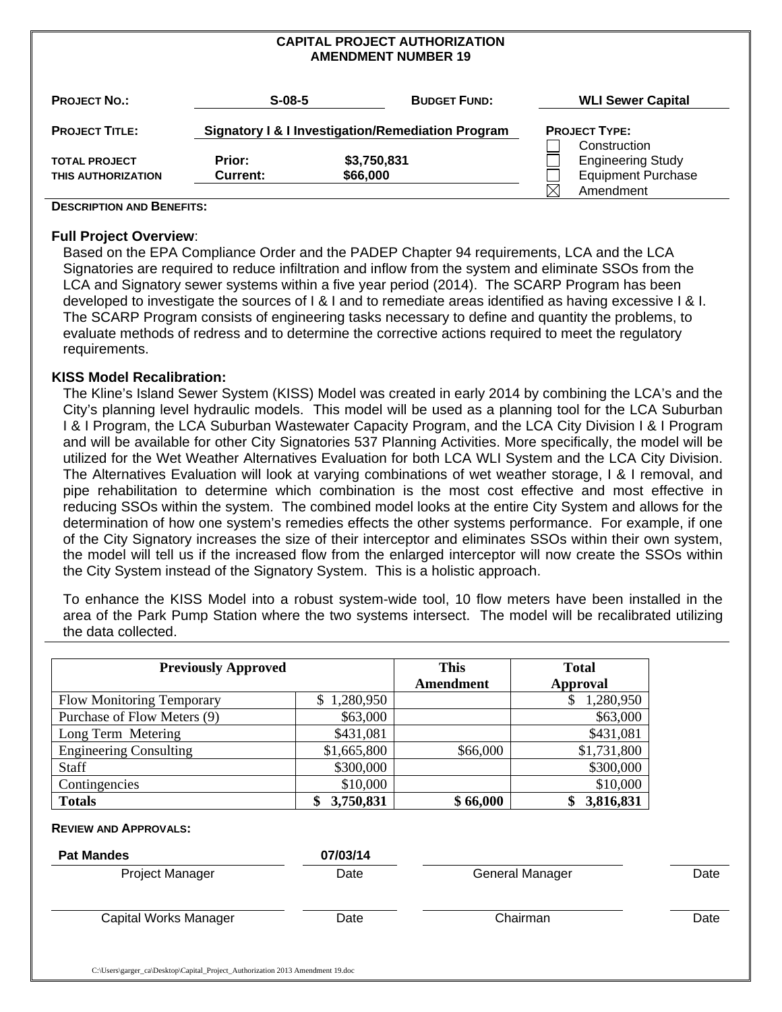#### **CAPITAL PROJECT AUTHORIZATION AMENDMENT NUMBER 19**

| <b>PROJECT NO.:</b>   | $S-08-5$        |             | <b>BUDGET FUND:</b>                               |             | <b>WLI Sewer Capital</b>  |
|-----------------------|-----------------|-------------|---------------------------------------------------|-------------|---------------------------|
| <b>PROJECT TITLE:</b> |                 |             | Signatory I & I Investigation/Remediation Program |             | <b>PROJECT TYPE:</b>      |
|                       |                 |             |                                                   |             | Construction              |
| <b>TOTAL PROJECT</b>  | Prior:          | \$3,750,831 |                                                   |             | <b>Engineering Study</b>  |
| THIS AUTHORIZATION    | <b>Current:</b> | \$66,000    |                                                   |             | <b>Equipment Purchase</b> |
|                       |                 |             |                                                   | $\boxtimes$ | Amendment                 |

#### **DESCRIPTION AND BENEFITS:**

#### **Full Project Overview**:

Based on the EPA Compliance Order and the PADEP Chapter 94 requirements, LCA and the LCA Signatories are required to reduce infiltration and inflow from the system and eliminate SSOs from the LCA and Signatory sewer systems within a five year period (2014). The SCARP Program has been developed to investigate the sources of I & I and to remediate areas identified as having excessive I & I. The SCARP Program consists of engineering tasks necessary to define and quantity the problems, to evaluate methods of redress and to determine the corrective actions required to meet the regulatory requirements.

### **KISS Model Recalibration:**

The Kline's Island Sewer System (KISS) Model was created in early 2014 by combining the LCA's and the City's planning level hydraulic models. This model will be used as a planning tool for the LCA Suburban I & I Program, the LCA Suburban Wastewater Capacity Program, and the LCA City Division I & I Program and will be available for other City Signatories 537 Planning Activities. More specifically, the model will be utilized for the Wet Weather Alternatives Evaluation for both LCA WLI System and the LCA City Division. The Alternatives Evaluation will look at varying combinations of wet weather storage, I & I removal, and pipe rehabilitation to determine which combination is the most cost effective and most effective in reducing SSOs within the system. The combined model looks at the entire City System and allows for the determination of how one system's remedies effects the other systems performance. For example, if one of the City Signatory increases the size of their interceptor and eliminates SSOs within their own system, the model will tell us if the increased flow from the enlarged interceptor will now create the SSOs within the City System instead of the Signatory System. This is a holistic approach.

To enhance the KISS Model into a robust system-wide tool, 10 flow meters have been installed in the area of the Park Pump Station where the two systems intersect. The model will be recalibrated utilizing the data collected.

| <b>Previously Approved</b>    | <b>This</b><br>Amendment | <b>Total</b><br>Approval |             |
|-------------------------------|--------------------------|--------------------------|-------------|
| Flow Monitoring Temporary     | \$1,280,950              |                          | 1,280,950   |
| Purchase of Flow Meters (9)   | \$63,000                 |                          | \$63,000    |
| Long Term Metering            | \$431,081                |                          | \$431,081   |
| <b>Engineering Consulting</b> | \$1,665,800              | \$66,000                 | \$1,731,800 |
| Staff                         | \$300,000                |                          | \$300,000   |
| Contingencies                 | \$10,000                 |                          | \$10,000    |
| <b>Totals</b>                 | 3,750,831<br>\$          | \$66,000                 | 3,816,831   |

#### **REVIEW AND APPROVALS:**

| <b>Pat Mandes</b>      | 07/03/14 |                 |      |
|------------------------|----------|-----------------|------|
| <b>Project Manager</b> | Date     | General Manager | Date |
| Capital Works Manager  | Date     | Chairman        | Date |
|                        |          |                 |      |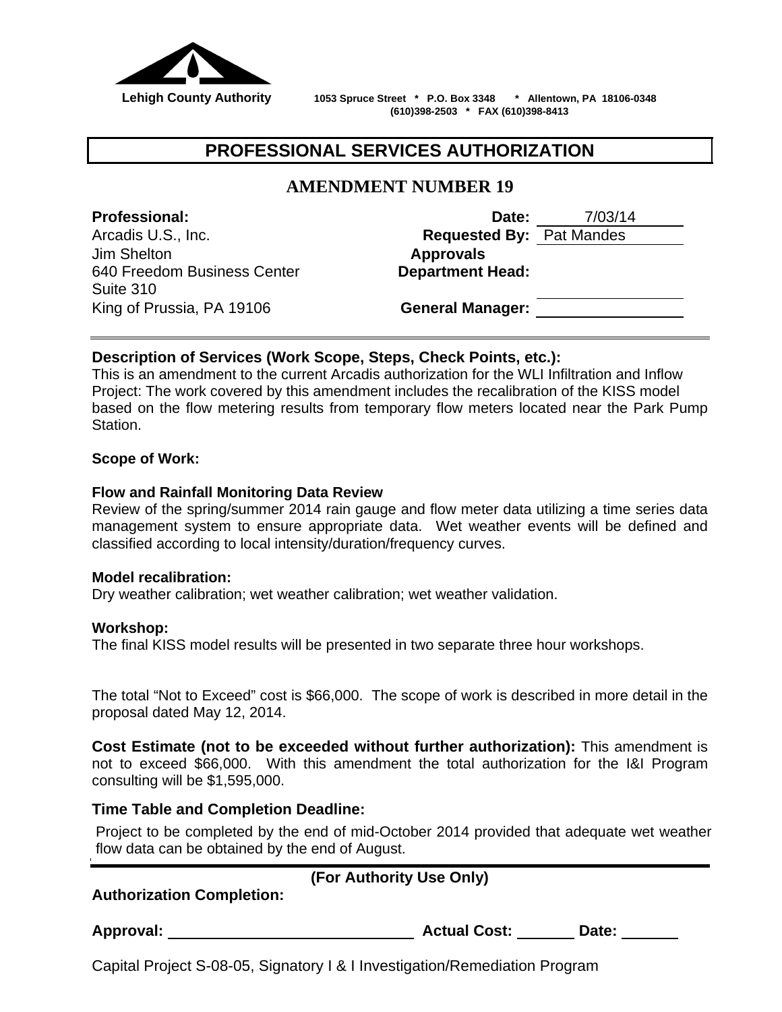

 **Lehigh County Authority 1053 Spruce Street \* P.O. Box 3348 \* Allentown, PA 18106-0348 (610)398-2503 \* FAX (610)398-8413**

# **PROFESSIONAL SERVICES AUTHORIZATION**

# **AMENDMENT NUMBER 19**

Jim Shelton **Approvals**  640 Freedom Business Center Suite 310 King of Prussia, PA 19106 **General Manager:**

**Professional: Date:** 7/03/14 Arcadis U.S., Inc. **Requested By:** Pat Mandes **Department Head:**

## **Description of Services (Work Scope, Steps, Check Points, etc.):**

This is an amendment to the current Arcadis authorization for the WLI Infiltration and Inflow Project: The work covered by this amendment includes the recalibration of the KISS model based on the flow metering results from temporary flow meters located near the Park Pump Station.

## **Scope of Work:**

## **Flow and Rainfall Monitoring Data Review**

Review of the spring/summer 2014 rain gauge and flow meter data utilizing a time series data management system to ensure appropriate data. Wet weather events will be defined and classified according to local intensity/duration/frequency curves.

## **Model recalibration:**

Dry weather calibration; wet weather calibration; wet weather validation.

## **Workshop:**

The final KISS model results will be presented in two separate three hour workshops.

The total "Not to Exceed" cost is \$66,000. The scope of work is described in more detail in the proposal dated May 12, 2014.

**Cost Estimate (not to be exceeded without further authorization):** This amendment is not to exceed \$66,000. With this amendment the total authorization for the I&I Program consulting will be \$1,595,000.

## **Time Table and Completion Deadline:**

Project to be completed by the end of mid-October 2014 provided that adequate wet weather flow data can be obtained by the end of August.

| <b>Authorization Completion:</b> | (For Authority Use Only) |
|----------------------------------|--------------------------|
|                                  |                          |

**Approval: Actual Cost: Date:** 

Capital Project S-08-05, Signatory I & I Investigation/Remediation Program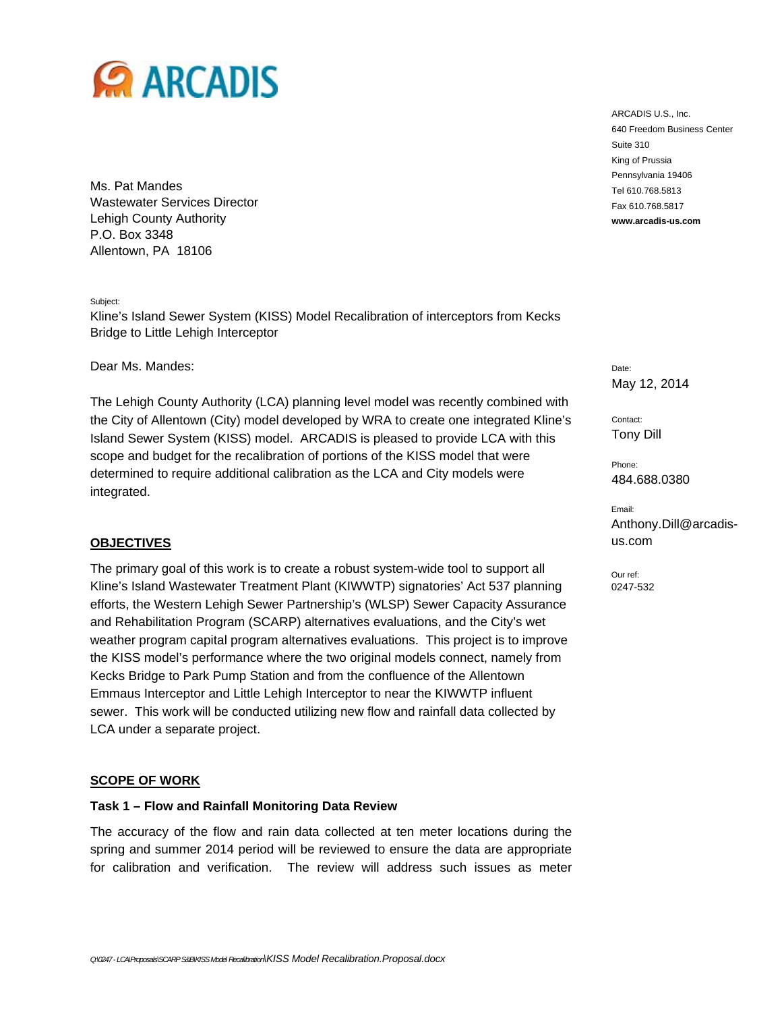

Ms. Pat Mandes Wastewater Services Director Lehigh County Authority P.O. Box 3348 Allentown, PA 18106

Subject:

Kline's Island Sewer System (KISS) Model Recalibration of interceptors from Kecks Bridge to Little Lehigh Interceptor

Dear Ms. Mandes:

The Lehigh County Authority (LCA) planning level model was recently combined with the City of Allentown (City) model developed by WRA to create one integrated Kline's Island Sewer System (KISS) model. ARCADIS is pleased to provide LCA with this scope and budget for the recalibration of portions of the KISS model that were determined to require additional calibration as the LCA and City models were integrated.

#### **OBJECTIVES**

The primary goal of this work is to create a robust system-wide tool to support all Kline's Island Wastewater Treatment Plant (KIWWTP) signatories' Act 537 planning efforts, the Western Lehigh Sewer Partnership's (WLSP) Sewer Capacity Assurance and Rehabilitation Program (SCARP) alternatives evaluations, and the City's wet weather program capital program alternatives evaluations. This project is to improve the KISS model's performance where the two original models connect, namely from Kecks Bridge to Park Pump Station and from the confluence of the Allentown Emmaus Interceptor and Little Lehigh Interceptor to near the KIWWTP influent sewer. This work will be conducted utilizing new flow and rainfall data collected by LCA under a separate project.

#### **SCOPE OF WORK**

## **Task 1 – Flow and Rainfall Monitoring Data Review**

The accuracy of the flow and rain data collected at ten meter locations during the spring and summer 2014 period will be reviewed to ensure the data are appropriate for calibration and verification. The review will address such issues as meter

ARCADIS U.S., Inc. 640 Freedom Business Center Suite 310 King of Prussia Pennsylvania 19406 Tel 610.768.5813 Fax 610.768.5817 **www.arcadis-us.com**

Date: May 12, 2014

Contact: Tony Dill

Phone: 484.688.0380

Email: Anthony.Dill@arcadisus.com

Our ref: 0247-532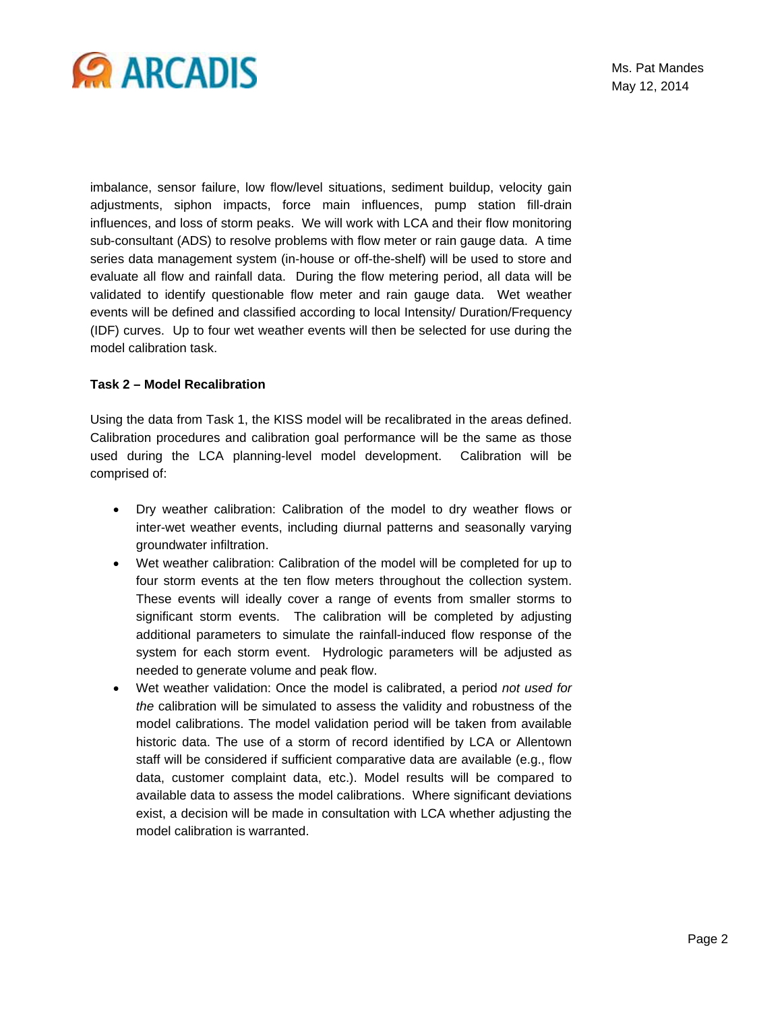

imbalance, sensor failure, low flow/level situations, sediment buildup, velocity gain adjustments, siphon impacts, force main influences, pump station fill-drain influences, and loss of storm peaks. We will work with LCA and their flow monitoring sub-consultant (ADS) to resolve problems with flow meter or rain gauge data. A time series data management system (in-house or off-the-shelf) will be used to store and evaluate all flow and rainfall data. During the flow metering period, all data will be validated to identify questionable flow meter and rain gauge data. Wet weather events will be defined and classified according to local Intensity/ Duration/Frequency (IDF) curves. Up to four wet weather events will then be selected for use during the model calibration task.

#### **Task 2 – Model Recalibration**

Using the data from Task 1, the KISS model will be recalibrated in the areas defined. Calibration procedures and calibration goal performance will be the same as those used during the LCA planning-level model development. Calibration will be comprised of:

- Dry weather calibration: Calibration of the model to dry weather flows or inter-wet weather events, including diurnal patterns and seasonally varying groundwater infiltration.
- Wet weather calibration: Calibration of the model will be completed for up to four storm events at the ten flow meters throughout the collection system. These events will ideally cover a range of events from smaller storms to significant storm events. The calibration will be completed by adjusting additional parameters to simulate the rainfall-induced flow response of the system for each storm event. Hydrologic parameters will be adjusted as needed to generate volume and peak flow.
- Wet weather validation: Once the model is calibrated, a period *not used for the* calibration will be simulated to assess the validity and robustness of the model calibrations. The model validation period will be taken from available historic data. The use of a storm of record identified by LCA or Allentown staff will be considered if sufficient comparative data are available (e.g., flow data, customer complaint data, etc.). Model results will be compared to available data to assess the model calibrations. Where significant deviations exist, a decision will be made in consultation with LCA whether adjusting the model calibration is warranted.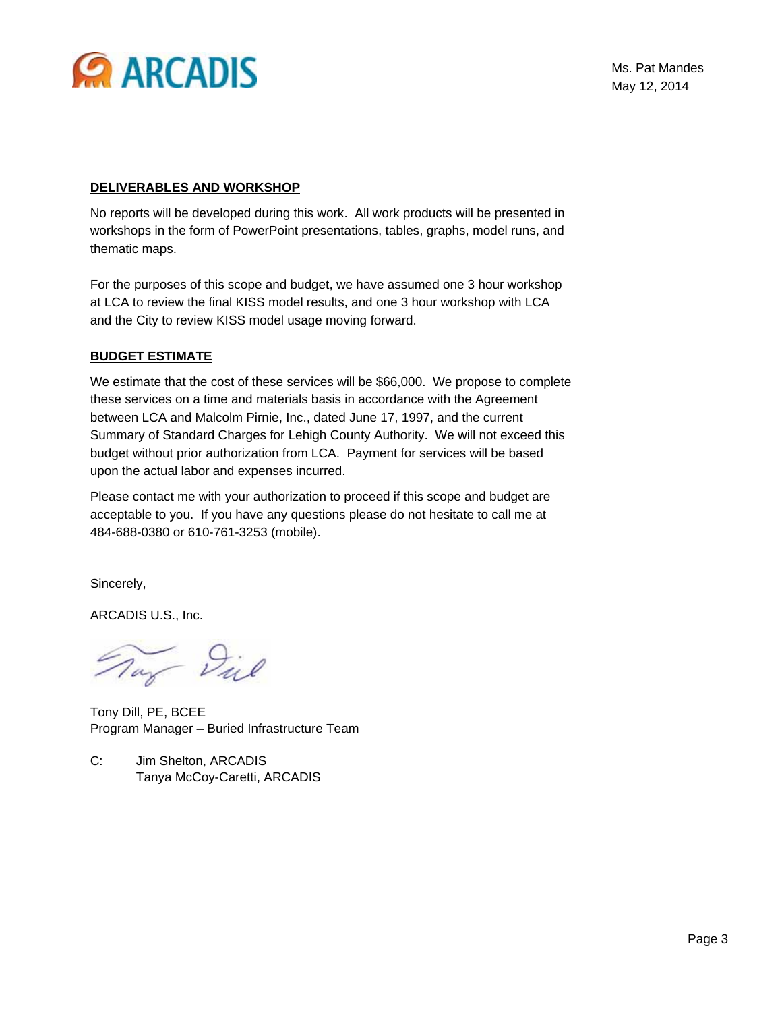

#### **DELIVERABLES AND WORKSHOP**

No reports will be developed during this work. All work products will be presented in workshops in the form of PowerPoint presentations, tables, graphs, model runs, and thematic maps.

For the purposes of this scope and budget, we have assumed one 3 hour workshop at LCA to review the final KISS model results, and one 3 hour workshop with LCA and the City to review KISS model usage moving forward.

#### **BUDGET ESTIMATE**

We estimate that the cost of these services will be \$66,000. We propose to complete these services on a time and materials basis in accordance with the Agreement between LCA and Malcolm Pirnie, Inc., dated June 17, 1997, and the current Summary of Standard Charges for Lehigh County Authority. We will not exceed this budget without prior authorization from LCA. Payment for services will be based upon the actual labor and expenses incurred.

Please contact me with your authorization to proceed if this scope and budget are acceptable to you. If you have any questions please do not hesitate to call me at 484-688-0380 or 610-761-3253 (mobile).

Sincerely,

ARCADIS U.S., Inc.

nay Diel

Tony Dill, PE, BCEE Program Manager – Buried Infrastructure Team

C: Jim Shelton, ARCADIS Tanya McCoy-Caretti, ARCADIS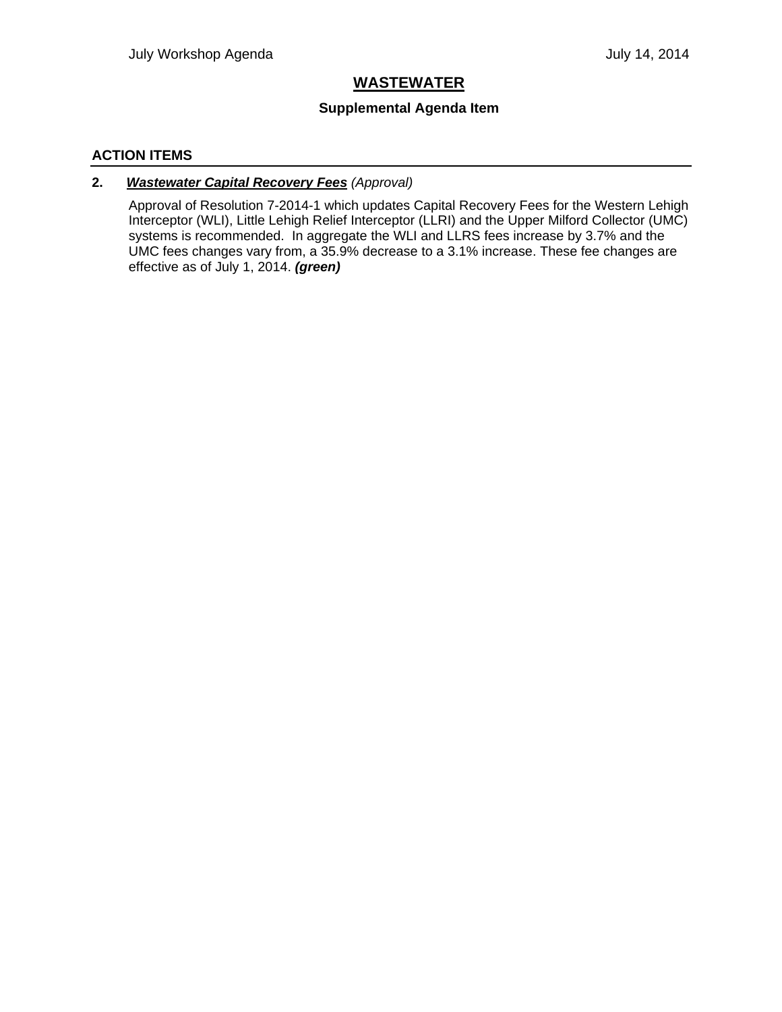## **WASTEWATER**

## **Supplemental Agenda Item**

## **ACTION ITEMS**

## **2.** *Wastewater Capital Recovery Fees (Approval)*

Approval of Resolution 7-2014-1 which updates Capital Recovery Fees for the Western Lehigh Interceptor (WLI), Little Lehigh Relief Interceptor (LLRI) and the Upper Milford Collector (UMC) systems is recommended. In aggregate the WLI and LLRS fees increase by 3.7% and the UMC fees changes vary from, a 35.9% decrease to a 3.1% increase. These fee changes are effective as of July 1, 2014. *(green)*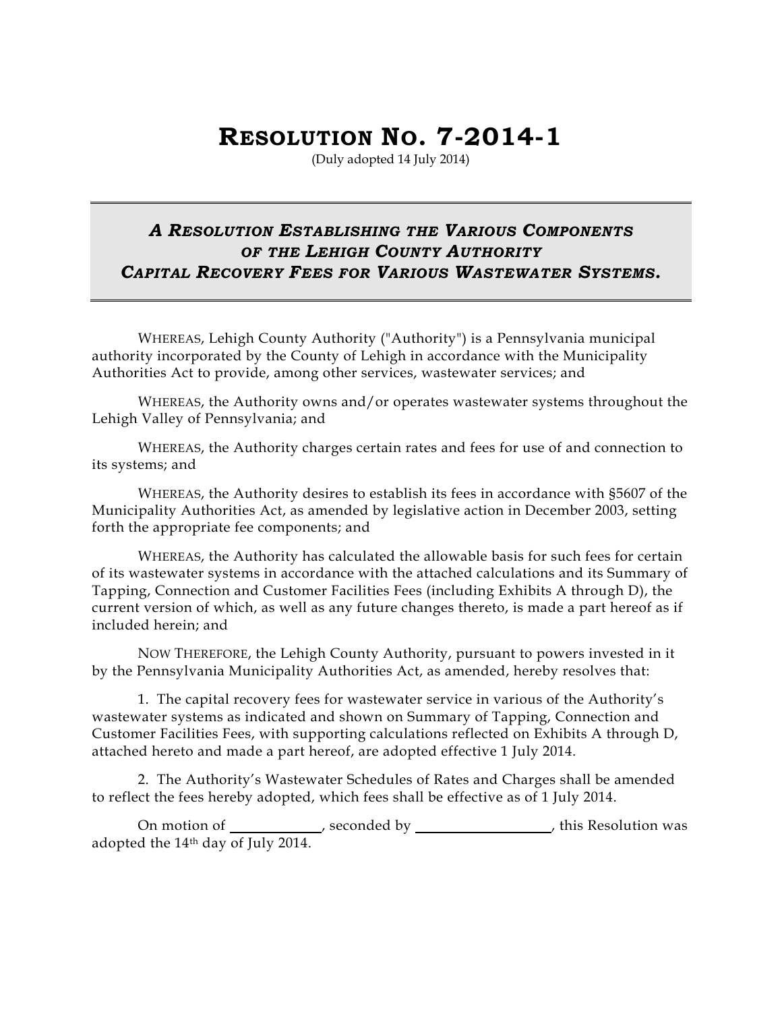# **RESOLUTION NO. 7-2014-1**

(Duly adopted 14 July 2014)

# *A RESOLUTION ESTABLISHING THE VARIOUS COMPONENTS OF THE LEHIGH COUNTY AUTHORITY CAPITAL RECOVERY FEES FOR VARIOUS WASTEWATER SYSTEMS.*

 WHEREAS, Lehigh County Authority ("Authority") is a Pennsylvania municipal authority incorporated by the County of Lehigh in accordance with the Municipality Authorities Act to provide, among other services, wastewater services; and

 WHEREAS, the Authority owns and/or operates wastewater systems throughout the Lehigh Valley of Pennsylvania; and

 WHEREAS, the Authority charges certain rates and fees for use of and connection to its systems; and

 WHEREAS, the Authority desires to establish its fees in accordance with §5607 of the Municipality Authorities Act, as amended by legislative action in December 2003, setting forth the appropriate fee components; and

 WHEREAS, the Authority has calculated the allowable basis for such fees for certain of its wastewater systems in accordance with the attached calculations and its Summary of Tapping, Connection and Customer Facilities Fees (including Exhibits A through D), the current version of which, as well as any future changes thereto, is made a part hereof as if included herein; and

 NOW THEREFORE, the Lehigh County Authority, pursuant to powers invested in it by the Pennsylvania Municipality Authorities Act, as amended, hereby resolves that:

1. The capital recovery fees for wastewater service in various of the Authority's wastewater systems as indicated and shown on Summary of Tapping, Connection and Customer Facilities Fees, with supporting calculations reflected on Exhibits A through D, attached hereto and made a part hereof, are adopted effective 1 July 2014.

2. The Authority's Wastewater Schedules of Rates and Charges shall be amended to reflect the fees hereby adopted, which fees shall be effective as of 1 July 2014.

On motion of \_\_\_\_\_\_\_\_\_\_\_\_\_, seconded by \_\_\_\_\_\_\_\_\_\_\_\_\_\_\_\_\_\_\_\_, this Resolution was adopted the 14th day of July 2014.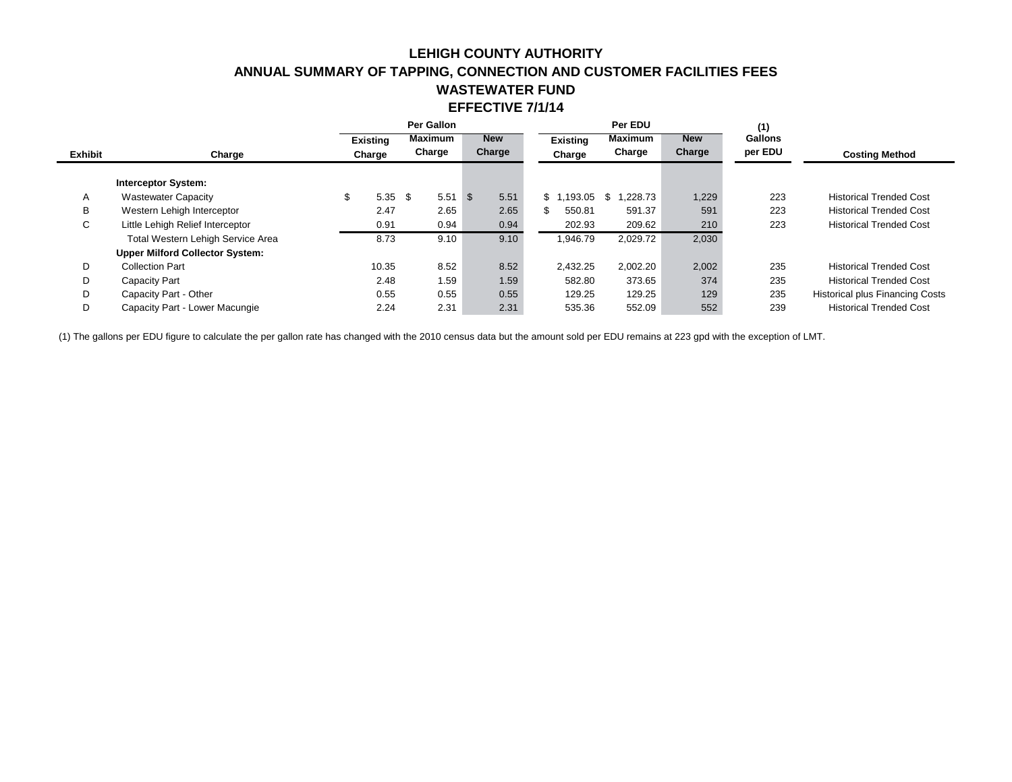## **LEHIGH COUNTY AUTHORITY ANNUAL SUMMARY OF TAPPING, CONNECTION AND CUSTOMER FACILITIES FEES WASTEWATER FUND EFFECTIVE 7/1/14**

|                |                                        |                 | Per EDU<br>Per Gallon |                              |      | (1)             |                              |        |                |                                        |
|----------------|----------------------------------------|-----------------|-----------------------|------------------------------|------|-----------------|------------------------------|--------|----------------|----------------------------------------|
|                |                                        | <b>Existing</b> |                       | <b>Maximum</b><br><b>New</b> |      | <b>Existing</b> | <b>Maximum</b><br><b>New</b> |        | <b>Gallons</b> |                                        |
| <b>Exhibit</b> | Charge                                 | Charge          | Charge                | Charge                       |      | Charge          | Charge                       | Charge | per EDU        | <b>Costing Method</b>                  |
|                | <b>Interceptor System:</b>             |                 |                       |                              |      |                 |                              |        |                |                                        |
| Α              | <b>Wastewater Capacity</b>             | \$<br>$5.35$ \$ | 5.51                  | - \$                         | 5.51 | \$1.193.05      | 1.228.73<br>-S               | 1,229  | 223            | <b>Historical Trended Cost</b>         |
| B              | Western Lehigh Interceptor             | 2.47            | 2.65                  |                              | 2.65 | 550.81          | 591.37                       | 591    | 223            | <b>Historical Trended Cost</b>         |
| C              | Little Lehigh Relief Interceptor       | 0.91            | 0.94                  |                              | 0.94 | 202.93          | 209.62                       | 210    | 223            | <b>Historical Trended Cost</b>         |
|                | Total Western Lehigh Service Area      | 8.73            | 9.10                  |                              | 9.10 | 1,946.79        | 2,029.72                     | 2,030  |                |                                        |
|                | <b>Upper Milford Collector System:</b> |                 |                       |                              |      |                 |                              |        |                |                                        |
| D              | <b>Collection Part</b>                 | 10.35           | 8.52                  |                              | 8.52 | 2,432.25        | 2.002.20                     | 2,002  | 235            | <b>Historical Trended Cost</b>         |
| D              | Capacity Part                          | 2.48            | 1.59                  |                              | 1.59 | 582.80          | 373.65                       | 374    | 235            | <b>Historical Trended Cost</b>         |
| D              | Capacity Part - Other                  | 0.55            | 0.55                  |                              | 0.55 | 129.25          | 129.25                       | 129    | 235            | <b>Historical plus Financing Costs</b> |
| D              | Capacity Part - Lower Macungie         | 2.24            | 2.31                  |                              | 2.31 | 535.36          | 552.09                       | 552    | 239            | <b>Historical Trended Cost</b>         |

(1) The gallons per EDU figure to calculate the per gallon rate has changed with the 2010 census data but the amount sold per EDU remains at 223 gpd with the exception of LMT.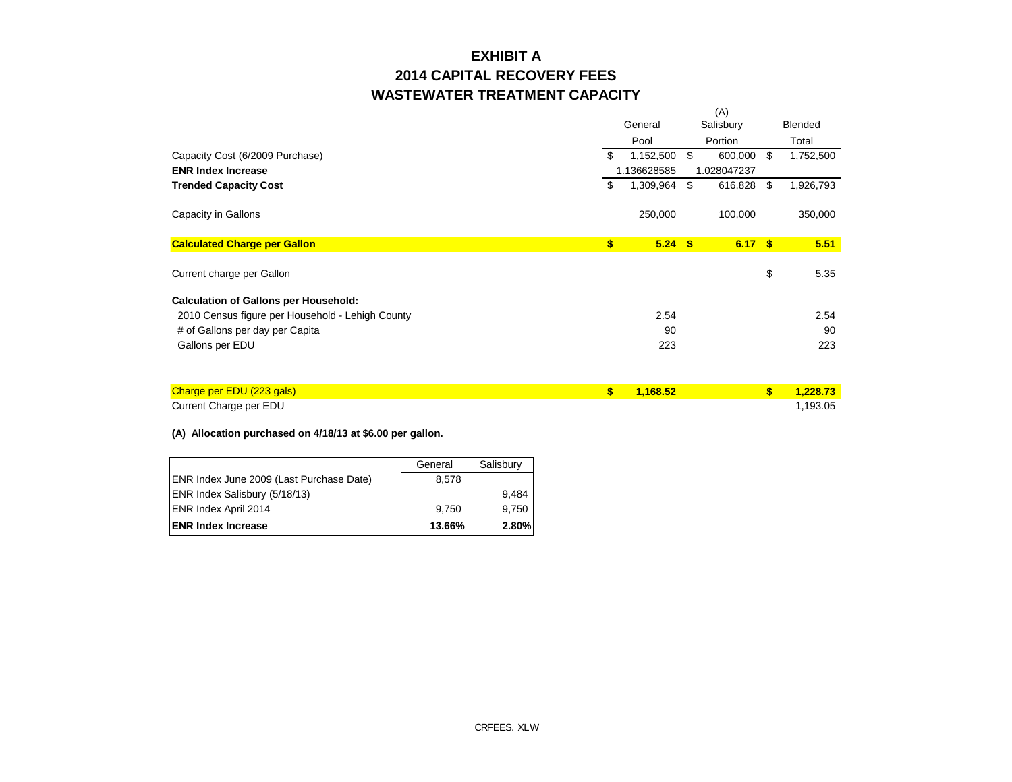# **2014 CAPITAL RECOVERY FEES WASTEWATER TREATMENT CAPACITY EXHIBIT A**

|                                                  |         | (A)         |           |             |    |           |
|--------------------------------------------------|---------|-------------|-----------|-------------|----|-----------|
|                                                  | General |             | Salisbury |             |    | Blended   |
|                                                  |         | Pool        | Portion   |             |    | Total     |
| Capacity Cost (6/2009 Purchase)                  | \$      | 1,152,500   | \$        | 600,000 \$  |    | 1,752,500 |
| <b>ENR Index Increase</b>                        |         | 1.136628585 |           | 1.028047237 |    |           |
| <b>Trended Capacity Cost</b>                     | \$      | 1,309,964   | - \$      | 616,828 \$  |    | 1,926,793 |
| Capacity in Gallons                              |         | 250,000     |           | 100,000     |    | 350,000   |
| <b>Calculated Charge per Gallon</b>              | \$      | $5.24$ \$   |           | 6.17S       |    | 5.51      |
| Current charge per Gallon                        |         |             |           |             | \$ | 5.35      |
| <b>Calculation of Gallons per Household:</b>     |         |             |           |             |    |           |
| 2010 Census figure per Household - Lehigh County |         | 2.54        |           |             |    | 2.54      |
| # of Gallons per day per Capita                  |         | 90          |           |             |    | 90        |
| Gallons per EDU                                  |         | 223         |           |             |    | 223       |
|                                                  |         |             |           |             |    |           |

| Charge per EDU (223 gals) | $\frac{1.168}{5}$ | <b>Contract Street, Street, Street, Street, Street, Street, Street, Street, Street, Street, Street, Street, Street, Street, Street, Street, Street, Street, Street, Street, Street, Street, Street, Street, Street, Street, Stre</b> | 1.228.73 |
|---------------------------|-------------------|--------------------------------------------------------------------------------------------------------------------------------------------------------------------------------------------------------------------------------------|----------|
| Current Charge per EDU    |                   |                                                                                                                                                                                                                                      | 1.193.05 |

#### **(A) Allocation purchased on 4/18/13 at \$6.00 per gallon.**

|                                          | General | Salisbury |
|------------------------------------------|---------|-----------|
| ENR Index June 2009 (Last Purchase Date) | 8.578   |           |
| ENR Index Salisbury (5/18/13)            |         | 9,484     |
| <b>ENR Index April 2014</b>              | 9.750   | 9.750     |
| <b>IENR Index Increase</b>               | 13.66%  | 2.80%     |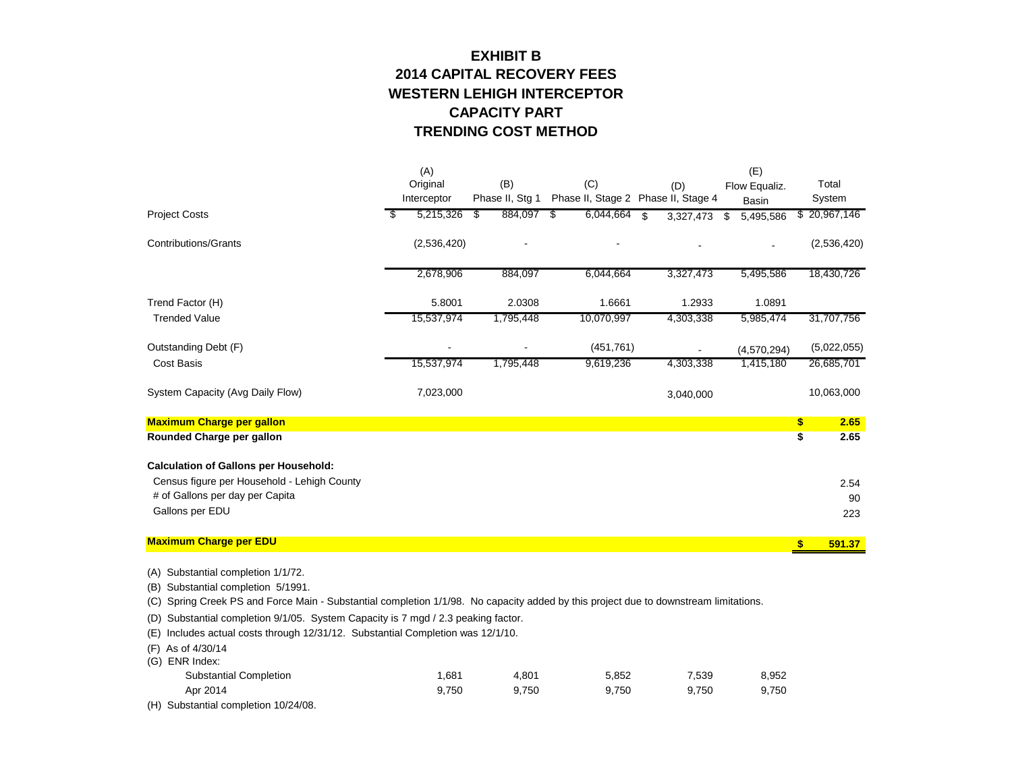## **EXHIBIT B TRENDING COST METHOD 2014 CAPITAL RECOVERY FEES CAPACITY PART WESTERN LEHIGH INTERCEPTOR**

|                                              | (A)         |                 |                |   |                   |                   | (E)             |               |              |
|----------------------------------------------|-------------|-----------------|----------------|---|-------------------|-------------------|-----------------|---------------|--------------|
|                                              | Original    | (B)             |                |   | (C)               | (D)               | Flow Equaliz.   |               | Total        |
|                                              | Interceptor | Phase II, Stg 1 |                |   | Phase II, Stage 2 | Phase II, Stage 4 | <b>Basin</b>    |               | System       |
| <b>Project Costs</b>                         | 5,215,326   | 884,097<br>S    |                | S | 6,044,664         | \$<br>3,327,473   | \$<br>5,495,586 |               | \$20,967,146 |
| <b>Contributions/Grants</b>                  | (2,536,420) |                 |                |   |                   |                   |                 |               | (2,536,420)  |
|                                              | 2,678,906   | 884,097         |                |   | 6,044,664         | 3,327,473         | 5,495,586       |               | 18,430,726   |
| Trend Factor (H)                             | 5.8001      | 2.0308          |                |   | 1.6661            | 1.2933            | 1.0891          |               |              |
| <b>Trended Value</b>                         | 15,537,974  | 1,795,448       |                |   | 10,070,997        | 4,303,338         | 5,985,474       |               | 31,707,756   |
| Outstanding Debt (F)                         |             |                 | $\overline{a}$ |   | (451, 761)        |                   | (4,570,294)     |               | (5,022,055)  |
| <b>Cost Basis</b>                            | 15,537,974  | 1,795,448       |                |   | 9,619,236         | 4,303,338         | 1,415,180       |               | 26,685,701   |
| System Capacity (Avg Daily Flow)             | 7,023,000   |                 |                |   |                   | 3,040,000         |                 |               | 10,063,000   |
| <b>Maximum Charge per gallon</b>             |             |                 |                |   |                   |                   |                 | \$            | 2.65         |
| <b>Rounded Charge per gallon</b>             |             |                 |                |   |                   |                   |                 | \$            | 2.65         |
| <b>Calculation of Gallons per Household:</b> |             |                 |                |   |                   |                   |                 |               |              |
| Census figure per Household - Lehigh County  |             |                 |                |   |                   |                   |                 |               | 2.54         |
| # of Gallons per day per Capita              |             |                 |                |   |                   |                   |                 |               | 90           |
| Gallons per EDU                              |             |                 |                |   |                   |                   |                 |               | 223          |
| <b>Maximum Charge per EDU</b>                |             |                 |                |   |                   |                   |                 | $\frac{1}{2}$ | 591.37       |
|                                              |             |                 |                |   |                   |                   |                 |               |              |

(A) Substantial completion 1/1/72.

(B) Substantial completion 5/1991.

(C) Spring Creek PS and Force Main - Substantial completion 1/1/98. No capacity added by this project due to downstream limitations.

(D) Substantial completion 9/1/05. System Capacity is 7 mgd / 2.3 peaking factor.

(E) Includes actual costs through 12/31/12. Substantial Completion was 12/1/10.

(F) As of 4/30/14

| (G) ENR Index:                |       |       |       |       |       |
|-------------------------------|-------|-------|-------|-------|-------|
| <b>Substantial Completion</b> | .681  | 4.801 | 5.852 | 7.539 | 8,952 |
| Apr 2014                      | 9.750 | 9.750 | 9.750 | 9.750 | 9,750 |

(H) Substantial completion 10/24/08.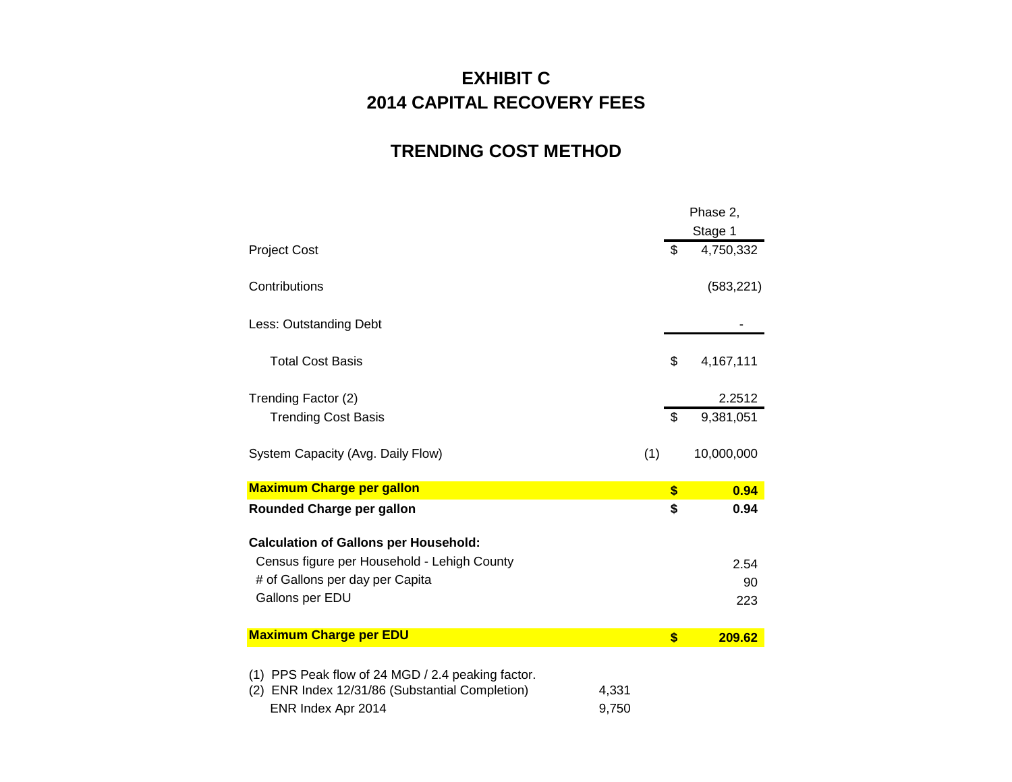# **EXHIBIT C 2014 CAPITAL RECOVERY FEES**

# **TRENDING COST METHOD**

|                                                                                                                            |                |     |              | Phase 2,   |
|----------------------------------------------------------------------------------------------------------------------------|----------------|-----|--------------|------------|
|                                                                                                                            |                |     |              | Stage 1    |
| <b>Project Cost</b>                                                                                                        |                |     | \$           | 4,750,332  |
| Contributions                                                                                                              |                |     |              | (583, 221) |
| Less: Outstanding Debt                                                                                                     |                |     |              |            |
| <b>Total Cost Basis</b>                                                                                                    |                |     | \$           | 4,167,111  |
| Trending Factor (2)                                                                                                        |                |     |              | 2.2512     |
| <b>Trending Cost Basis</b>                                                                                                 |                |     | \$           | 9,381,051  |
| System Capacity (Avg. Daily Flow)                                                                                          |                | (1) |              | 10,000,000 |
| <b>Maximum Charge per gallon</b>                                                                                           |                |     | \$           | 0.94       |
| Rounded Charge per gallon                                                                                                  |                |     | \$           | 0.94       |
| <b>Calculation of Gallons per Household:</b>                                                                               |                |     |              |            |
| Census figure per Household - Lehigh County                                                                                |                |     |              | 2.54       |
| # of Gallons per day per Capita                                                                                            |                |     |              | 90         |
| Gallons per EDU                                                                                                            |                |     |              | 223        |
| <b>Maximum Charge per EDU</b>                                                                                              |                |     | $\mathbf{s}$ | 209.62     |
| (1) PPS Peak flow of 24 MGD / 2.4 peaking factor.<br>(2) ENR Index 12/31/86 (Substantial Completion)<br>ENR Index Apr 2014 | 4,331<br>9,750 |     |              |            |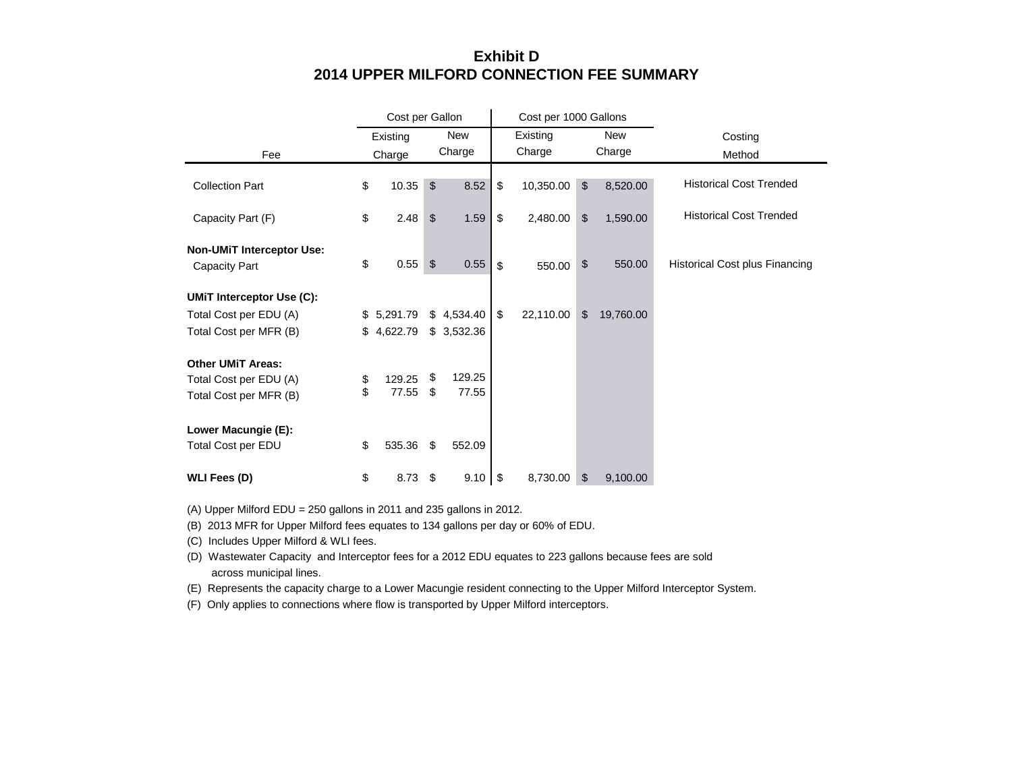## **Exhibit D 2014 UPPER MILFORD CONNECTION FEE SUMMARY**

|                                                          | Cost per Gallon |                |            |    | Cost per 1000 Gallons |                |            |                                       |
|----------------------------------------------------------|-----------------|----------------|------------|----|-----------------------|----------------|------------|---------------------------------------|
|                                                          | Existing        |                | <b>New</b> |    | Existing              |                | <b>New</b> | Costing                               |
| Fee                                                      | Charge          |                | Charge     |    | Charge                |                | Charge     | Method                                |
| <b>Collection Part</b>                                   | \$<br>10.35     | \$             | 8.52       | \$ | 10,350.00             | $\sqrt[6]{2}$  | 8,520.00   | <b>Historical Cost Trended</b>        |
| Capacity Part (F)                                        | \$<br>2.48      | \$             | 1.59       | \$ | 2,480.00              | $\mathfrak{S}$ | 1,590.00   | <b>Historical Cost Trended</b>        |
| <b>Non-UMIT Interceptor Use:</b><br><b>Capacity Part</b> | \$<br>0.55      | $\mathfrak{S}$ | 0.55       | \$ | 550.00                | \$             | 550.00     | <b>Historical Cost plus Financing</b> |
| <b>UMIT Interceptor Use (C):</b>                         |                 |                |            |    |                       |                |            |                                       |
| Total Cost per EDU (A)                                   | \$<br>5,291.79  |                | \$4,534.40 | \$ | 22,110.00             | \$             | 19,760.00  |                                       |
| Total Cost per MFR (B)                                   | \$<br>4,622.79  |                | \$3,532.36 |    |                       |                |            |                                       |
| <b>Other UMIT Areas:</b>                                 |                 |                |            |    |                       |                |            |                                       |
| Total Cost per EDU (A)                                   | \$<br>129.25    | \$             | 129.25     |    |                       |                |            |                                       |
| Total Cost per MFR (B)                                   | \$<br>77.55     | \$             | 77.55      |    |                       |                |            |                                       |
| Lower Macungie (E):                                      |                 |                |            |    |                       |                |            |                                       |
| Total Cost per EDU                                       | \$<br>535.36    | \$             | 552.09     |    |                       |                |            |                                       |
| <b>WLI Fees (D)</b>                                      | \$<br>8.73      | \$             | 9.10       | \$ | 8,730.00              | \$             | 9,100.00   |                                       |

(A) Upper Milford EDU = 250 gallons in 2011 and 235 gallons in 2012.

(B) 2013 MFR for Upper Milford fees equates to 134 gallons per day or 60% of EDU.

(C) Includes Upper Milford & WLI fees.

(D) Wastewater Capacity and Interceptor fees for a 2012 EDU equates to 223 gallons because fees are sold across municipal lines.

(E) Represents the capacity charge to a Lower Macungie resident connecting to the Upper Milford Interceptor System.

(F) Only applies to connections where flow is transported by Upper Milford interceptors.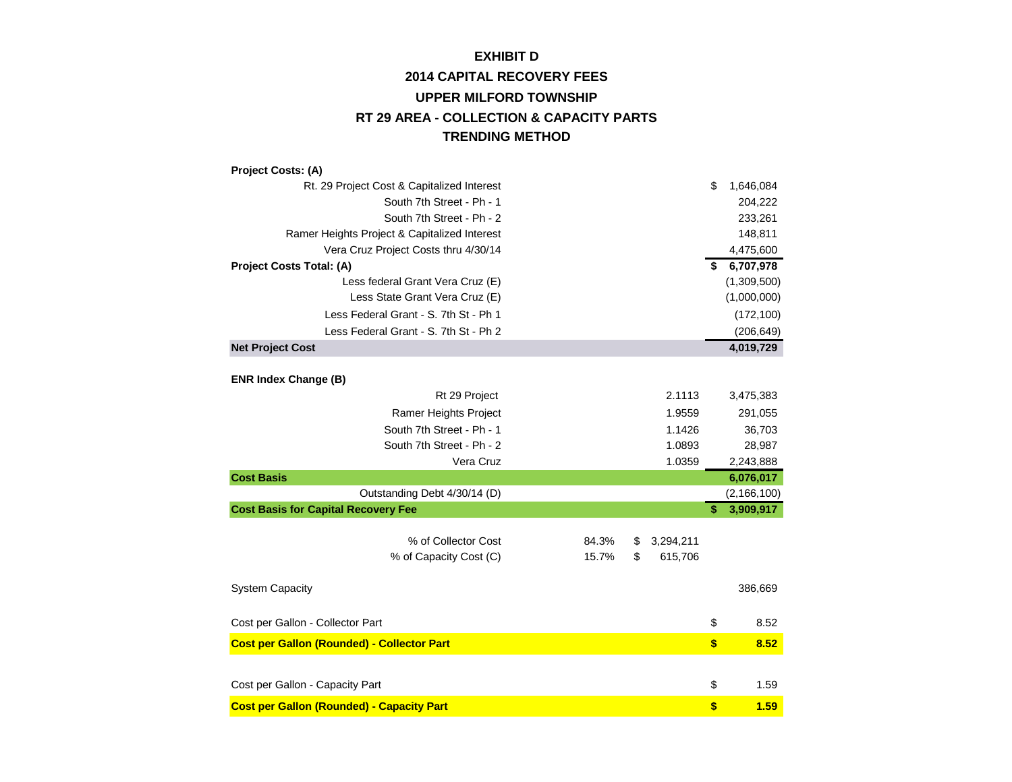# **2014 CAPITAL RECOVERY FEES UPPER MILFORD TOWNSHIP EXHIBIT D RT 29 AREA - COLLECTION & CAPACITY PARTS TRENDING METHOD**

| Project Costs: (A)                                |       |                 |                   |               |
|---------------------------------------------------|-------|-----------------|-------------------|---------------|
| Rt. 29 Project Cost & Capitalized Interest        |       |                 | \$                | 1,646,084     |
| South 7th Street - Ph - 1                         |       |                 |                   | 204,222       |
| South 7th Street - Ph - 2                         |       |                 |                   | 233,261       |
| Ramer Heights Project & Capitalized Interest      |       |                 |                   | 148,811       |
| Vera Cruz Project Costs thru 4/30/14              |       |                 |                   | 4,475,600     |
| Project Costs Total: (A)                          |       |                 | \$                | 6,707,978     |
| Less federal Grant Vera Cruz (E)                  |       |                 |                   | (1,309,500)   |
| Less State Grant Vera Cruz (E)                    |       |                 |                   | (1,000,000)   |
| Less Federal Grant - S. 7th St - Ph 1             |       |                 |                   | (172, 100)    |
| Less Federal Grant - S. 7th St - Ph 2             |       |                 |                   | (206, 649)    |
| <b>Net Project Cost</b>                           |       |                 |                   | 4,019,729     |
|                                                   |       |                 |                   |               |
| <b>ENR Index Change (B)</b>                       |       |                 |                   |               |
| Rt 29 Project                                     |       | 2.1113          |                   | 3,475,383     |
| Ramer Heights Project                             |       | 1.9559          |                   | 291,055       |
| South 7th Street - Ph - 1                         |       | 1.1426          |                   | 36,703        |
| South 7th Street - Ph - 2                         |       | 1.0893          |                   | 28,987        |
| Vera Cruz                                         |       | 1.0359          |                   | 2,243,888     |
| <b>Cost Basis</b>                                 |       |                 |                   | 6,076,017     |
| Outstanding Debt 4/30/14 (D)                      |       |                 |                   | (2, 166, 100) |
| <b>Cost Basis for Capital Recovery Fee</b>        |       |                 | \$                | 3,909,917     |
|                                                   |       |                 |                   |               |
| % of Collector Cost                               | 84.3% | \$<br>3,294,211 |                   |               |
| % of Capacity Cost (C)                            | 15.7% | \$<br>615,706   |                   |               |
|                                                   |       |                 |                   |               |
| <b>System Capacity</b>                            |       |                 |                   | 386,669       |
|                                                   |       |                 |                   |               |
| Cost per Gallon - Collector Part                  |       |                 | \$                | 8.52          |
| <b>Cost per Gallon (Rounded) - Collector Part</b> |       |                 | $\boldsymbol{\$}$ | 8.52          |
|                                                   |       |                 |                   |               |
| Cost per Gallon - Capacity Part                   |       |                 | \$                | 1.59          |
|                                                   |       |                 | \$                | 1.59          |
| <b>Cost per Gallon (Rounded) - Capacity Part</b>  |       |                 |                   |               |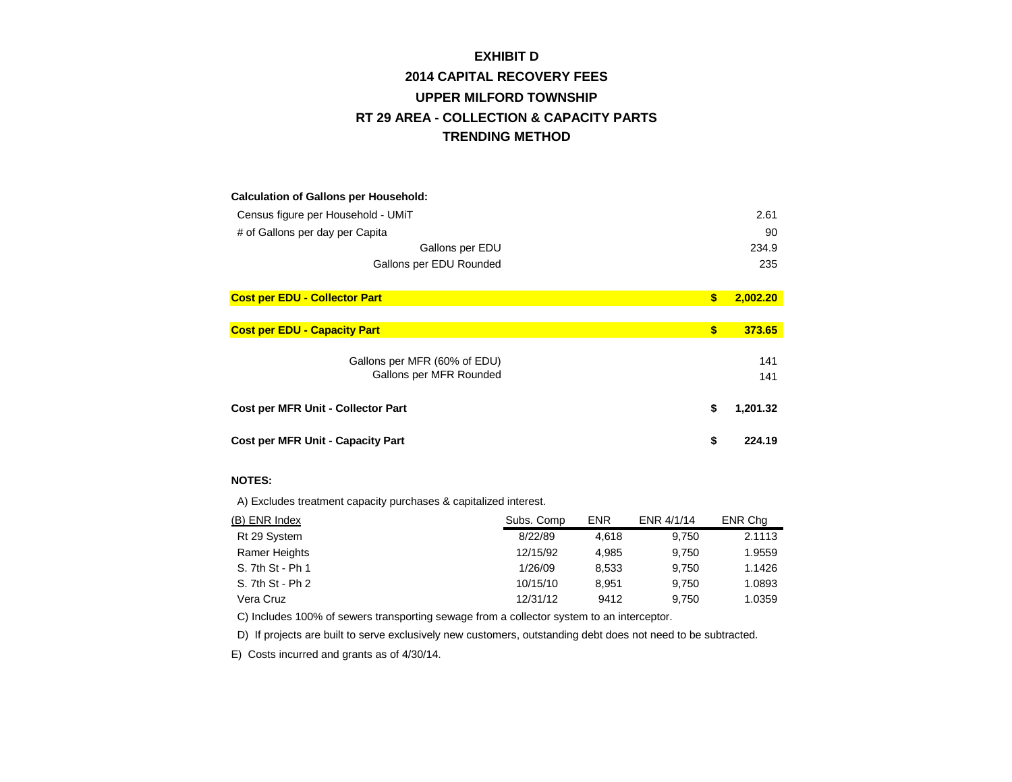# **2014 CAPITAL RECOVERY FEES UPPER MILFORD TOWNSHIP EXHIBIT D RT 29 AREA - COLLECTION & CAPACITY PARTS TRENDING METHOD**

| <b>Calculation of Gallons per Household:</b> |              |          |
|----------------------------------------------|--------------|----------|
| Census figure per Household - UMIT           |              | 2.61     |
| # of Gallons per day per Capita              |              | 90       |
| Gallons per EDU                              |              | 234.9    |
| Gallons per EDU Rounded                      |              | 235      |
|                                              |              |          |
| <b>Cost per EDU - Collector Part</b>         | \$           | 2,002.20 |
|                                              |              |          |
| <b>Cost per EDU - Capacity Part</b>          | $\mathbf{s}$ | 373.65   |
|                                              |              |          |
| Gallons per MFR (60% of EDU)                 |              | 141      |
| Gallons per MFR Rounded                      |              | 141      |
|                                              |              |          |
| Cost per MFR Unit - Collector Part           | \$           | 1,201.32 |
|                                              |              |          |
| <b>Cost per MFR Unit - Capacity Part</b>     | \$           | 224.19   |

#### **NOTES:**

A) Excludes treatment capacity purchases & capitalized interest.

| (B) ENR Index    | Subs. Comp | <b>ENR</b> | ENR 4/1/14 | ENR Cha |
|------------------|------------|------------|------------|---------|
| Rt 29 System     | 8/22/89    | 4.618      | 9.750      | 2.1113  |
| Ramer Heights    | 12/15/92   | 4.985      | 9.750      | 1.9559  |
| S. 7th St - Ph 1 | 1/26/09    | 8.533      | 9.750      | 1.1426  |
| S. 7th St - Ph 2 | 10/15/10   | 8.951      | 9.750      | 1.0893  |
| Vera Cruz        | 12/31/12   | 9412       | 9.750      | 1.0359  |

C) Includes 100% of sewers transporting sewage from a collector system to an interceptor.

D) If projects are built to serve exclusively new customers, outstanding debt does not need to be subtracted.

E) Costs incurred and grants as of 4/30/14.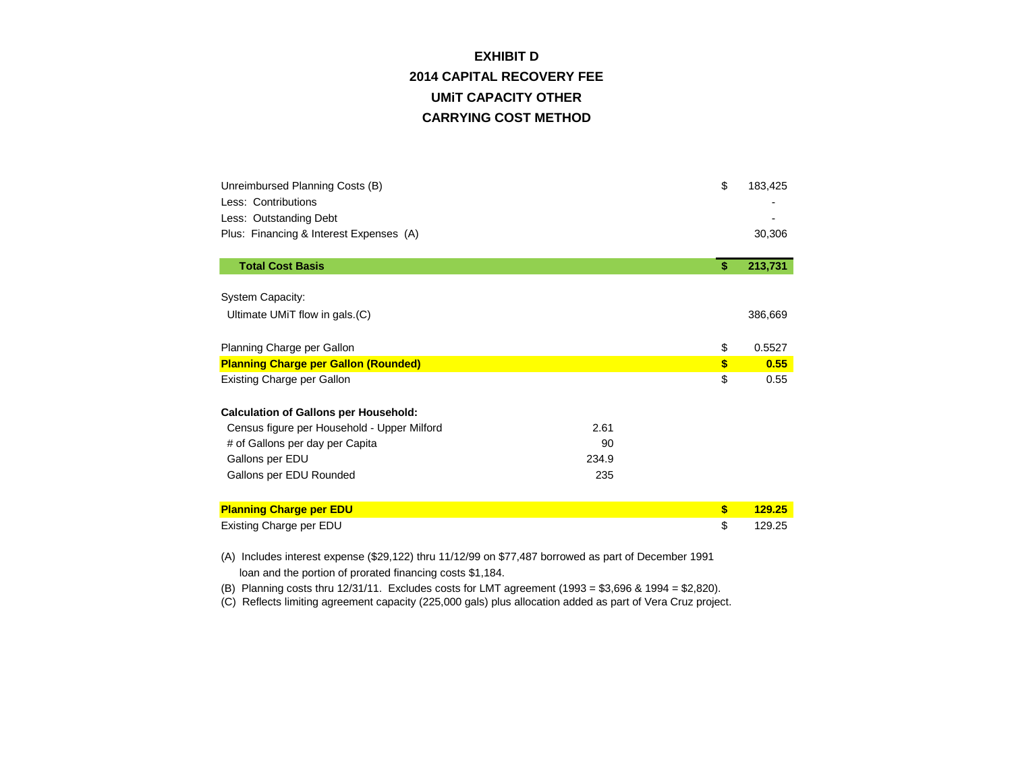# **CARRYING COST METHOD EXHIBIT D 2014 CAPITAL RECOVERY FEE UMiT CAPACITY OTHER**

| Unreimbursed Planning Costs (B)<br>Less: Contributions<br>Less: Outstanding Debt<br>Plus: Financing & Interest Expenses (A) | \$  | 183,425<br>30,306 |
|-----------------------------------------------------------------------------------------------------------------------------|-----|-------------------|
| <b>Total Cost Basis</b>                                                                                                     | \$. | 213,731           |
| System Capacity:<br>Ultimate UMiT flow in gals.(C)                                                                          |     | 386,669           |
| Planning Charge per Gallon                                                                                                  | \$  | 0.5527            |
| <b>Planning Charge per Gallon (Rounded)</b>                                                                                 | \$  | 0.55              |
| <b>Existing Charge per Gallon</b>                                                                                           | \$  | 0.55              |
| <b>Calculation of Gallons per Household:</b>                                                                                |     |                   |
| 2.61<br>Census figure per Household - Upper Milford                                                                         |     |                   |
| # of Gallons per day per Capita<br>90                                                                                       |     |                   |
| 234.9<br>Gallons per EDU                                                                                                    |     |                   |
| 235<br>Gallons per EDU Rounded                                                                                              |     |                   |
| <b>Planning Charge per EDU</b>                                                                                              | \$  | 129.25            |
| Existing Charge per EDU                                                                                                     | \$  | 129.25            |

(A) Includes interest expense (\$29,122) thru 11/12/99 on \$77,487 borrowed as part of December 1991 loan and the portion of prorated financing costs \$1,184.

(B) Planning costs thru 12/31/11. Excludes costs for LMT agreement (1993 = \$3,696 & 1994 = \$2,820).

(C) Reflects limiting agreement capacity (225,000 gals) plus allocation added as part of Vera Cruz project.